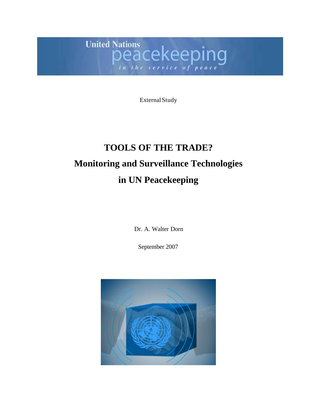**United Nations** ations<br>eacekeeping in the service of pe

External Study

# **TOOLS OF THE TRADE? Monitoring and Surveillance Technologies in UN Peacekeeping**

Dr. A. Walter Dorn

September 2007

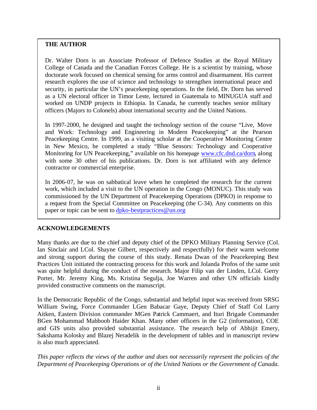## **THE AUTHOR**

Dr. Walter Dorn is an Associate Professor of Defence Studies at the Royal Military College of Canada and the Canadian Forces College. He is a scientist by training, whose doctorate work focused on chemical sensing for arms control and disarmament. His current research explores the use of science and technology to strengthen international peace and security, in particular the UN's peacekeeping operations. In the field, Dr. Dorn has served as a UN electoral officer in Timor Leste, lectured in Guatemala to MINUGUA staff and worked on UNDP projects in Ethiopia. In Canada, he currently teaches senior military officers (Majors to Colonels) about international security and the United Nations.

In 1997-2000, he designed and taught the technology section of the course "Live, Move and Work: Technology and Engineering in Modern Peacekeeping" at the Pearson Peacekeeping Centre. In 1999, as a visiting scholar at the Cooperative Monitoring Centre in New Mexico, he completed a study "Blue Sensors: Technology and Cooperative Monitoring for UN Peacekeeping," available on his homepage www.cfc.dnd.ca/dorn, along with some 30 other of his publications. Dr. Dorn is not affiliated with any defence contractor or commercial enterprise.

In 2006-07, he was on sabbatical leave when he completed the research for the current work, which included a visit to the UN operation in the Congo (MONUC). This study was commissioned by the UN Department of Peacekeeping Operations (DPKO) in response to a request from the Special Committee on Peacekeeping (the C-34). Any comments on this paper or topic can be sent to dpko-bestpractices@un.org

## **ACKNOWLEDGEMENTS**

Many thanks are due to the chief and deputy chief of the DPKO Military Planning Service (Col. Ian Sinclair and LCol. Shayne Gilbert, respectively and respectfully) for their warm welcome and strong support during the course of this study. Renata Dwan of the Peacekeeping Best Practices Unit initiated the contracting process for this work and Jolanda Profos of the same unit was quite helpful during the conduct of the research. Major Filip van der Linden, LCol. Gerry Porter, Mr. Jeremy King, Ms. Kristina Segulja, Joe Warren and other UN officials kindly provided constructive comments on the manuscript.

In the Democratic Republic of the Congo, substantial and helpful input was received from SRSG William Swing, Force Commander LGen Babacar Gaye, Deputy Chief of Staff Col Larry Aitken, Eastern Division commander MGen Patrick Cammaert, and Ituri Brigade Commander BGen Mohammad Mahboob Haider Khan. Many other officers in the G2 (information), COE and GIS units also provided substantial assistance. The research help of Abhijit Emery, Sakshama Kolosky and Blazej Neradelik in the development of tables and in manuscript review is also much appreciated.

*This paper reflects the views of the author and does not necessarily represent the policies of the Department of Peacekeeping Operations or of the United Nations or the Government of Canada.*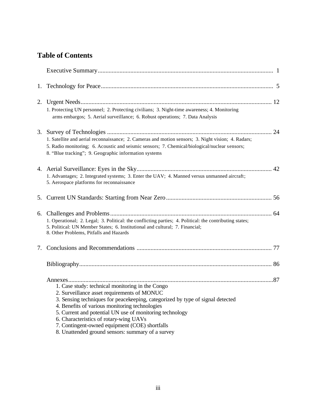## **Table of Contents**

|    | 1. Protecting UN personnel; 2. Protecting civilians; 3. Night-time awareness; 4. Monitoring<br>arms embargos; 5. Aerial surveillance; 6. Robust operations; 7. Data Analysis                                                                                                                                                                                                                |
|----|---------------------------------------------------------------------------------------------------------------------------------------------------------------------------------------------------------------------------------------------------------------------------------------------------------------------------------------------------------------------------------------------|
|    | 1. Satellite and aerial reconnaissance; 2. Cameras and motion sensors; 3. Night vision; 4. Radars;<br>5. Radio monitoring; 6. Acoustic and seismic sensors; 7. Chemical/biological/nuclear sensors;<br>8. "Blue tracking"; 9. Geographic information systems                                                                                                                                |
|    | 1. Advantages; 2. Integrated systems; 3. Enter the UAV; 4. Manned versus unmanned aircraft;<br>5. Aerospace platforms for reconnaissance                                                                                                                                                                                                                                                    |
|    |                                                                                                                                                                                                                                                                                                                                                                                             |
|    | 1. Operational; 2. Legal; 3. Political: the conflicting parties; 4. Political: the contributing states;<br>5. Political: UN Member States; 6. Institutional and cultural; 7. Financial;<br>8. Other Problems, Pitfalls and Hazards                                                                                                                                                          |
| 7. |                                                                                                                                                                                                                                                                                                                                                                                             |
|    |                                                                                                                                                                                                                                                                                                                                                                                             |
|    | 1. Case study: technical monitoring in the Congo<br>2. Surveillance asset requirements of MONUC<br>3. Sensing techniques for peacekeeping, categorized by type of signal detected<br>4. Benefits of various monitoring technologies<br>5. Current and potential UN use of monitoring technology<br>6. Characteristics of rotary-wing UAVs<br>7. Contingent-owned equipment (COE) shortfalls |

8. Unattended ground sensors: summary of a survey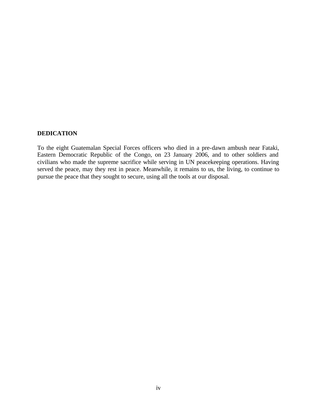## **DEDICATION**

To the eight Guatemalan Special Forces officers who died in a pre-dawn ambush near Fataki, Eastern Democratic Republic of the Congo, on 23 January 2006, and to other soldiers and civilians who made the supreme sacrifice while serving in UN peacekeeping operations. Having served the peace, may they rest in peace. Meanwhile, it remains to us, the living, to continue to pursue the peace that they sought to secure, using all the tools at our disposal.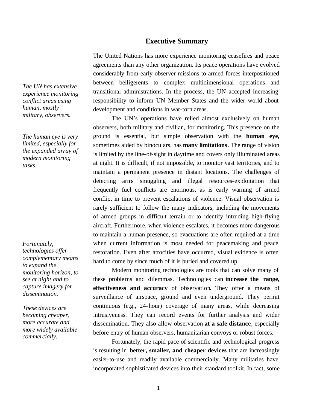## **Executive Summary**

The United Nations has more experience monitoring ceasefires and peace agreements than any other organization. Its peace operations have evolved considerably from early observer missions to armed forces interpositioned between belligerents to complex multidimensional operations and transitional administrations. In the process, the UN accepted increasing responsibility to inform UN Member States and the wider world about development and conditions in war-torn areas.

The UN's operations have relied almost exclusively on human observers, both military and civilian, for monitoring. This presence on the ground is essential, but simple observation with the **human eye,** sometimes aided by binoculars, has **many limitations**. The range of vision is limited by the line-of-sight in daytime and covers only illuminated areas at night. It is difficult, if not impossible, to monitor vast territories, and to maintain a permanent presence in distant locations. The challenges of detecting arms smuggling and illegal resources-exploitation that frequently fuel conflicts are enormous, as is early warning of armed conflict in time to prevent escalations of violence. Visual observation is rarely sufficient to follow the many indicators, including the movements of armed groups in difficult terrain or to identify intruding high-flying aircraft. Furthermore, when violence escalates, it becomes more dangerous to maintain a human presence, so evacuations are often required at a time when current information is most needed for peacemaking and peace restoration. Even after atrocities have occurred, visual evidence is often hard to come by since much of it is buried and covered up.

Modern monitoring technologies are tools that can solve many of these problems and dilemmas. Technologies can **increase the range, effectiveness and accuracy** of observation**.** They offer a means of surveillance of airspace, ground and even underground. They permit continuous (e.g., 24-hour) coverage of many areas, while decreasing intrusiveness. They can record events for further analysis and wider dissemination. They also allow observation **at a safe distance**, especially before entry of human observers, humanitarian convoys or robust forces.

Fortunately, the rapid pace of scientific and technological progress is resulting in **better, smaller, and cheaper devices** that are increasingly easier-to-use and readily available commercially. Many militaries have incorporated sophisticated devices into their standard toolkit. In fact, some

*The UN has extensive experience monitoring conflict areas using human, mostly military, observers.* 

*The human eye is very limited, especially for the expanded array of modern monitoring tasks.* 

*Fortunately, technologies offer complementary means to expand the monitoring horizon, to see at night and to capture imagery for dissemination.* 

*These devices are becoming cheaper, more accurate and more widely available commercially.*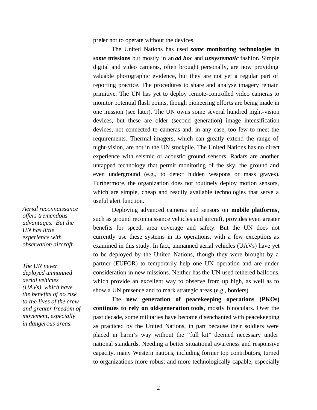prefer not to operate without the devices.

The United Nations has used *some* **monitoring technologies in** *some* **missions** but mostly in an *ad hoc* and *unsystematic* fashion**.** Simple digital and video cameras, often brought personally, are now providing valuable photographic evidence, but they are not yet a regular part of reporting practice. The procedures to share and analyse imagery remain primitive. The UN has yet to deploy remote-controlled video cameras to monitor potential flash points, though pioneering efforts are being made in one mission (see later). The UN owns some several hundred night-vision devices, but these are older (second generation) image intensification devices, not connected to cameras and, in any case, too few to meet the requirements. Thermal imagers, which can greatly extend the range of night-vision, are not in the UN stockpile. The United Nations has no direct experience with seismic or acoustic ground sensors. Radars are another untapped technology that permit monitoring of the sky, the ground and even underground (e.g., to detect hidden weapons or mass graves). Furthermore, the organization does not routinely deploy motion sensors, which are simple, cheap and readily available technologies that serve a useful alert function.

Deploying advanced cameras and sensors on **mobile platforms**, such as ground reconnaissance vehicles and aircraft, provides even greater benefits for speed, area coverage and safety. But the UN does not currently use these systems in its operations, with a few exceptions as examined in this study. In fact, unmanned aerial vehicles (UAVs) have yet to be deployed by the United Nations, though they were brought by a partner (EUFOR) to temporarily help one UN operation and are under consideration in new missions. Neither has the UN used tethered balloons, which provide an excellent way to observe from up high, as well as to show a UN presence and to mark strategic areas (e.g., borders).

The **new generation of peacekeeping operations (PKOs) continues to rely on old-generation tools**, mostly binoculars. Over the past decade, some militaries have become disenchanted with peacekeeping as practiced by the United Nations, in part because their soldiers were placed in harm's way without the "full kit" deemed necessary under national standards. Needing a better situational awareness and responsive capacity, many Western nations, including former top contributors, turned to organizations more robust and more technologically capable, especially

*Aerial reconnaissance offers tremendous advantages. But the UN has little experience with observation aircraft.* 

*The UN never deployed unmanned aerial vehicles (UAVs), which have the benefits of no risk to the lives of the crew and greater freedom of movement, especially in dangerous areas.*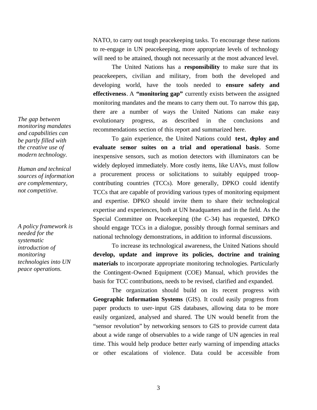NATO, to carry out tough peacekeeping tasks. To encourage these nations to re-engage in UN peacekeeping, more appropriate levels of technology will need to be attained, though not necessarily at the most advanced level.

The United Nations has a **responsibility** to make sure that its peacekeepers, civilian and military, from both the developed and developing world, have the tools needed to **ensure safety and effectiveness**. A **"monitoring gap"** currently exists between the assigned monitoring mandates and the means to carry them out. To narrow this gap, there are a number of ways the United Nations can make easy evolutionary progress, as described in the conclusions and recommendations section of this report and summarized here.

To gain experience, the United Nations could **test, deploy and evaluate sensor suites on a trial and operational basis**. Some inexpensive sensors, such as motion detectors with illuminators can be widely deployed immediately. More costly items, like UAVs, must follow a procurement process or solicitations to suitably equipped troopcontributing countries (TCCs). More generally, DPKO could identify TCCs that are capable of providing various types of monitoring equipment and expertise. DPKO should invite them to share their technological expertise and experiences, both at UN headquarters and in the field. As the Special Committee on Peacekeeping (the C-34) has requested, DPKO should engage TCCs in a dialogue, possibly through formal seminars and national technology demonstrations, in addition to informal discussions.

To increase its technological awareness, the United Nations should **develop, update and improve its policies, doctrine and training materials** to incorporate appropriate monitoring technologies. Particularly the Contingent-Owned Equipment (COE) Manual, which provides the basis for TCC contributions, needs to be revised, clarified and expanded.

The organization should build on its recent progress with **Geographic Information Systems** (GIS). It could easily progress from paper products to user-input GIS databases, allowing data to be more easily organized, analysed and shared. The UN would benefit from the "sensor revolution" by networking sensors to GIS to provide current data about a wide range of observables to a wide range of UN agencies in real time. This would help produce better early warning of impending attacks or other escalations of violence. Data could be accessible from

*The gap between monitoring mandates and capabilities can be partly filled with the creative use of modern technology.* 

*Human and technical sources of information are complementary, not competitive.* 

*A policy framework is needed for the systematic introduction of monitoring technologies into UN peace operations.*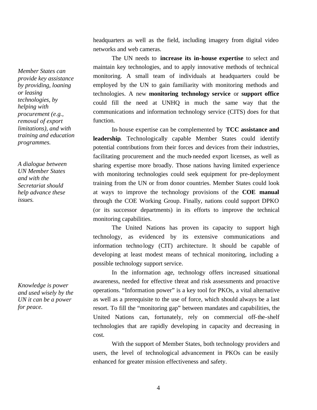headquarters as well as the field, including imagery from digital video networks and web cameras.

The UN needs to **increase its in-house expertise** to select and maintain key technologies, and to apply innovative methods of technical monitoring. A small team of individuals at headquarters could be employed by the UN to gain familiarity with monitoring methods and technologies. A new **monitoring technology service** or **support office** could fill the need at UNHQ in much the same way that the communications and information technology service (CITS) does for that function.

In-house expertise can be complemented by **TCC assistance and leadership**. Technologically capable Member States could identify potential contributions from their forces and devices from their industries, facilitating procurement and the much-needed export licenses, as well as sharing expertise more broadly. Those nations having limited experience with monitoring technologies could seek equipment for pre-deployment training from the UN or from donor countries. Member States could look at ways to improve the technology provisions of the **COE manual** through the COE Working Group. Finally, nations could support DPKO (or its successor departments) in its efforts to improve the technical monitoring capabilities.

The United Nations has proven its capacity to support high technology, as evidenced by its extensive communications and information technology (CIT) architecture. It should be capable of developing at least modest means of technical monitoring, including a possible technology support service.

In the information age, technology offers increased situational awareness, needed for effective threat and risk assessments and proactive operations. "Information power" is a key tool for PKOs, a vital alternative as well as a prerequisite to the use of force, which should always be a last resort. To fill the "monitoring gap" between mandates and capabilities, the United Nations can, fortunately, rely on commercial off-the-shelf technologies that are rapidly developing in capacity and decreasing in cost.

With the support of Member States, both technology providers and users, the level of technological advancement in PKOs can be easily enhanced for greater mission effectiveness and safety.

*Member States can provide key assistance by providing, loaning or leasing technologies, by helping with procurement (e.g., removal of export limitations), and with training and education programmes.* 

*A dialogue between UN Member States and with the Secretariat should help advance these issues.* 

*Knowledge is power and used wisely by the UN it can be a power for peace.*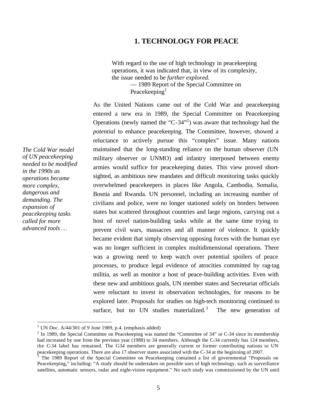## **1. TECHNOLOGY FOR PEACE**

With regard to the use of high technology in peacekeeping operations, it was indicated that, in view of its complexity, the issue needed to be *further explored*. — 1989 Report of the Special Committee on

Peacekeeping $<sup>1</sup>$ </sup>

As the United Nations came out of the Cold War and peacekeeping entered a new era in 1989, the Special Committee on Peacekeeping Operations (newly named the "C-34"<sup>2</sup>) was aware that technology had the *potential* to enhance peacekeeping. The Committee, however, showed a reluctance to actively pursue this "complex" issue. Many nations maintained that the long-standing reliance on the human observer (UN military observer or UNMO) and infantry interposed between enemy armies would suffice for peacekeeping duties. This view proved shortsighted, as ambitious new mandates and difficult monitoring tasks quickly overwhelmed peacekeepers in places like Angola, Cambodia, Somalia, Bosnia and Rwanda. UN personnel, including an increasing number of civilians and police, were no longer stationed solely on borders between states but scattered throughout countries and large regions, carrying out a host of novel nation-building tasks while at the same time trying to prevent civil wars, massacres and all manner of violence. It quickly became evident that simply observing opposing forces with the human eye was no longer sufficient in complex multidimensional operations. There was a growing need to keep watch over potential spoilers of peace processes, to produce legal evidence of atrocities committed by rag-tag militia, as well as monitor a host of peace-building activities. Even with these new and ambitious goals, UN member states and Secretariat officials were reluctant to invest in observation technologies, for reasons to be explored later. Proposals for studies on high-tech monitoring continued to surface, but no UN studies materialized. $3$ The new generation of

*The Cold War model of UN peacekeeping needed to be modified in the 1990s as operations became more complex, dangerous and demanding. The expansion of peacekeeping tasks called for more advanced tools …*

<sup>&</sup>lt;sup>1</sup> UN Doc. A/44/301 of 9 June 1989, p.4. (emphasis added)

 $2 \text{ In } 1989$ , the Special Committee on Peacekeeping was named the "Committee of 34" or C-34 since its membership had increased by one from the previous year (1988) to 34 members. Although the C-34 currently has 124 members, the C-34 label has remained. The C-34 members are generally current or former contributing nations to UN peacekeeping operations. There are also 17 observer states associated with the C-34 at the beginning of 2007.<br><sup>3</sup> The 1989 Report of the Special Committee on Peacekeeping contained a list of governmental "Proposals on

Peacekeeping," including: "A study should be undertaken on possible uses of high technology, such as surveillance satellites, automatic sensors, radar and night-vision equipment." No such study was commissioned by the UN until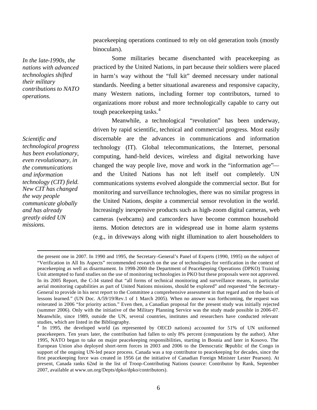peacekeeping operations continued to rely on old generation tools (mostly binoculars).

Some militaries became disenchanted with peacekeeping as practiced by the United Nations, in part because their soldiers were placed in harm's way without the "full kit" deemed necessary under national standards. Needing a better situational awareness and responsive capacity, many Western nations, including former top contributors, turned to organizations more robust and more technologically capable to carry out tough peacekeeping tasks.<sup>4</sup>

Meanwhile, a technological "revolution" has been underway, driven by rapid scientific, technical and commercial progress. Most easily discernable are the advances in communications and information technology (IT). Global telecommunications, the Internet, personal computing, hand-held devices, wireless and digital networking have changed the way people live, move and work in the "information age" and the United Nations has not left itself out completely. UN communications systems evolved alongside the commercial sector. But for monitoring and surveillance technologies, there was no similar progress in the United Nations, despite a commercial sensor revolution in the world. Increasingly inexpensive products such as high-zoom digital cameras, web cameras (webcams) and camcorders have become common household items. Motion detectors are in widespread use in home alarm systems (e.g., in driveways along with night illumination to alert householders to

*In the late-1990s, the nations with advanced technologies shifted their military contributions to NATO operations.* 

*Scientific and technological progress has been evolutionary, even revolutionary, in the communications and information technology (CIT) field. New CIT has changed the way people communicate globally and has already greatly aided UN missions.* 

 $\overline{a}$ the present one in 2007. In 1990 and 1995, the Secretary-General's Panel of Experts (1990, 1995) on the subject of "Verification in All Its Aspects" recommended research on the use of technologies for verification in the context of peacekeeping as well as disarmament. In 1998-2000 the Department of Peacekeeping Operations (DPKO) Training Unit attempted to fund studies on the use of monitoring technologies in PKO but these proposals were not approved. In its 2005 Report, the C-34 stated that "all forms of technical monitoring and surveillance means, in particular aerial monitoring capabilities as part of United Nations missions, should be explored" and requested "the Secretary-General to provide in his next report to the Committee a comprehensive assessment in that regard and on the basis of lessons learned." (UN Doc. A/59/19/Rev.1 of 1 March 2005). When no answer was forthcoming, the request was reiterated in 2006 "for priority action." Even then, a Canadian proposal for the present study was initially rejected (summer 2006). Only with the initiative of the Military Planning Service was the study made possible in 2006-07. Meanwhile, since 1989, outside the UN, several countries, institutes and researchers have conducted relevant studies, which are listed in the Bibliography.

<sup>&</sup>lt;sup>4</sup> In 1995, the developed world (as represented by OECD nations) accounted for 51% of UN uniformed peacekeepers. Ten years later, the contribution had fallen to only 8% percent (computations by the author). After 1995, NATO began to take on major peacekeeping responsibilities, starting in Bosnia and later in Kosovo. The European Union also deployed short-term forces in 2003 and 2006 to the Democratic Republic of the Congo in support of the ongoing UN-led peace process. Canada was a top contributor to peacekeeping for decades, since the first peacekeeping force was created in 1956 (at the initiative of Canadian Foreign Minister Lester Pearson). At present, Canada ranks 62nd in the list of Troop-Contributing Nations (source: Contributor by Rank, September 2007, available at www.un.org/Depts/dpko/dpko/contributors).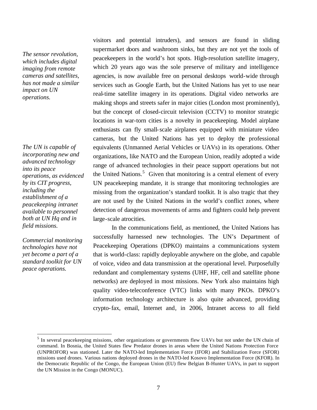*The sensor revolution, which includes digital imaging from remote cameras and satellites, has not made a similar impact on UN operations.*

*The UN is capable of incorporating new and advanced technology into its peace operations, as evidenced by its CIT progress, including the establishment of a peacekeeping intranet available to personnel both at UN Hq and in field missions.* 

*Commercial monitoring technologies have not yet become a part of a standard toolkit for UN peace operations.* 

 $\overline{a}$ 

visitors and potential intruders), and sensors are found in sliding supermarket doors and washroom sinks, but they are not yet the tools of peacekeepers in the world's hot spots. High-resolution satellite imagery, which 20 years ago was the sole preserve of military and intelligence agencies, is now available free on personal desktops world-wide through services such as Google Earth, but the United Nations has yet to use near real-time satellite imagery in its operations. Digital video networks are making shops and streets safer in major cities (London most prominently), but the concept of closed-circuit television (CCTV) to monitor strategic locations in war-torn cities is a novelty in peacekeeping. Model airplane enthusiasts can fly small-scale airplanes equipped with miniature video cameras, but the United Nations has yet to deploy the professional equivalents (Unmanned Aerial Vehicles or UAVs) in its operations. Other organizations, like NATO and the European Union, readily adopted a wide range of advanced technologies in their peace support operations but not the United Nations.<sup>5</sup> Given that monitoring is a central element of every UN peacekeeping mandate, it is strange that monitoring technologies are missing from the organization's standard toolkit. It is also tragic that they are not used by the United Nations in the world's conflict zones, where detection of dangerous movements of arms and fighters could help prevent large-scale atrocities.

In the communications field, as mentioned, the United Nations has successfully harnessed new technologies. The UN's Department of Peacekeeping Operations (DPKO) maintains a communications system that is world-class: rapidly deployable anywhere on the globe, and capable of voice, video and data transmission at the operational level. Purposefully redundant and complementary systems (UHF, HF, cell and satellite phone networks) are deployed in most missions. New York also maintains high quality video-teleconference (VTC) links with many PKOs. DPKO's information technology architecture is also quite advanced, providing crypto-fax, email, Internet and, in 2006, Intranet access to all field

<sup>&</sup>lt;sup>5</sup> In several peacekeeping missions, other organizations or governments flew UAVs but not under the UN chain of command. In Bosnia, the United States flew Predator drones in areas where the United Nations Protection Force (UNPROFOR) was stationed. Later the NATO-led Implementation Force (IFOR) and Stabilization Force (SFOR) missions used drones. Various nations deployed drones in the NATO-led Kosovo Implementation Force (KFOR). In the Democratic Republic of the Congo, the European Union (EU) flew Belgian B-Hunter UAVs, in part to support the UN Mission in the Congo (MONUC).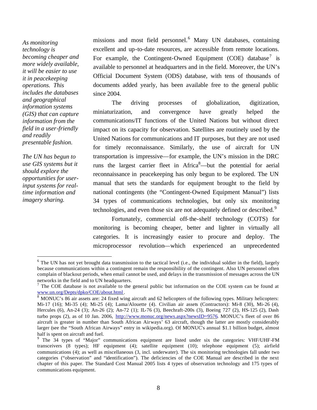*As monitoring technology is becoming cheaper and more widely available, it will be easier to use it in peacekeeping operations. This includes the databases and geographical information systems (GIS) that can capture information from the field in a user-friendly and readily presentable fashion.* 

*The UN has begun to use GIS systems but it should explore the opportunities for userinput systems for realtime information and imagery sharing.* 

 $\overline{a}$ 

missions and most field personnel.<sup>6</sup> Many UN databases, containing excellent and up-to-date resources, are accessible from remote locations. For example, the Contingent-Owned Equipment (COE) database<sup>7</sup> is available to personnel at headquarters and in the field. Moreover, the UN's Official Document System (ODS) database, with tens of thousands of documents added yearly, has been available free to the general public since 2004.

The driving processes of globalization, digitization, miniaturization, and convergence have greatly helped the communications/IT functions of the United Nations but without direct impact on its capacity for observation. Satellites are routinely used by the United Nations for communications and IT purposes, but they are not used for timely reconnaissance. Similarly, the use of aircraft for UN transportation is impressive—for example, the UN's mission in the DRC runs the largest carrier fleet in  $A$ frica $8$ —but the potential for aerial reconnaissance in peacekeeping has only begun to be explored. The UN manual that sets the standards for equipment brought to the field by national contingents (the "Contingent-Owned Equipment Manual") lists 34 types of communications technologies, but only six monitoring technologies, and even those six are not adequately defined or described.<sup>9</sup>

Fortunately, commercial off-the-shelf technology (COTS) for monitoring is becoming cheaper, better and lighter in virtually all categories. It is increasingly easier to procure and deploy. The microprocessor revolution—which experienced an unprecedented

 $6$  The UN has not yet brought data transmission to the tactical level (i.e., the individual soldier in the field), largely because communications within a contingent remain the responsibility of the contingent. Also UN personnel often complain of blackout periods, when email cannot be used, and delays in the transmission of messages across the UN networks in the field and to UN headquarters.

 $7$  The COE database is not available to the general public but information on the COE system can be found at www.un.org/Depts/dpko/COE/about.html .

<sup>&</sup>lt;sup>8</sup> MONUC's 86 air assets are: 24 fixed wing aircraft and 62 helicopters of the following types. Military helicopters: Mi-17 (16); Mi-35 (4); Mi-25 (4); Lama/Alouette (4). Civilian air assets (Contractors): Mi-8 (30), Mi-26 (4), Hercules (6), An-24 (3); An-26 (2); An-72 (1); IL-76 (3), Beechraft-200s (3), Boeing 727 (2), HS-125 (2), Dash turbo props (2), as of 10 Jan. 2006, http://www.monuc.org/news.aspx?newsID=9576. MONUC's fleet of over 86 aircraft is greater in number than South African Airways' 63 aircraft, though the latter are mostly considerably larger (see the "South African Airways" entry in wikipedia.org). Of MONUC's annual \$1.1 billion budget, almost half is spent on aircraft and fuel.

<sup>&</sup>lt;sup>9</sup> The 34 types of "Major" communications equipment are listed under six the categories: VHF/UHF-FM transceivers (8 types); HF equipment (4); satellite equipment (10); telephone equipment (5); airfield communications (4); as well as miscellaneous (3, incl. underwater). The six monitoring technologies fall under two categories ("observation" and "identification"). The deficiencies of the COE Manual are described in the next chapter of this paper. The Standard Cost Manual 2005 lists 4 types of observation technology and 175 types of communications equipment.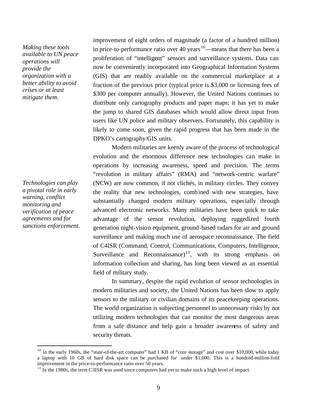*Making these tools available to UN peace operations will provide the organization with a better ability to avoid crises or at least mitigate them.* 

*Technologies can play a pivotal role in early warning, conflict monitoring and verification of peace agreements and for sanctions enforcement.* 

 $\overline{a}$ 

improvement of eight orders of magnitude (a factor of a hundred million) in price-to-performance ratio over 40 years<sup>10</sup>—means that there has been a proliferation of "intelligent" sensors and surveillance systems. Data can now be conveniently incorporated into Geographical Information Systems (GIS) that are readily available on the commercial marketplace at a fraction of the previous price (typical price is \$3,000 or licensing fees of \$300 per computer annually). However, the United Nations continues to distribute only cartography products and paper maps; it has yet to make the jump to shared GIS databases which would allow direct input from users like UN police and military observers. Fortunately, this capability is likely to come soon, given the rapid progress that has been made in the DPKO's cartography/GIS units.

Modern militaries are keenly aware of the process of technological evolution and the enormous difference new technologies can make in operations by increasing awareness, speed and precision. The terms "revolution in military affairs" (RMA) and "network-centric warfare" (NCW) are now common, if not clichés, in military circles. They convey the reality that new technologies, combined with new strategies, have substantially changed modern military operations, especially through advanced electronic networks. Many militaries have been quick to take advantage of the sensor revolution, deploying ruggedized fourth generation night-vision equipment, ground-based radars for air and ground surveillance and making much use of aerospace reconnaissance. The field of C4ISR (Command, Control, Communications, Computers, Intelligence, Surveillance and Reconnaissance)<sup>11</sup>, with its strong emphasis on information collection and sharing, has long been viewed as an essential field of military study.

In summary, despite the rapid evolution of sensor technologies in modern militaries and society, the United Nations has been slow to apply sensors to the military or civilian domains of its peacekeeping operations. The world organization is subjecting personnel to unnecessary risks by not utilizing modern technologies that can monitor the most dangerous areas from a safe distance and help gain a broader awareness of safety and security threats.

 $10$  In the early 1960s, the "state-of-the-art computer" had 1 KB of "core storage" and cost over \$10,000, while today a laptop with 10 GB of hard disk space can be purchased for under \$1,000. This is a hundred-million-fold improvement in the price-to-performance ratio over 50 years.

 $11$  In the 1980s, the term C3ISR was used since computers had yet to make such a high level of impact.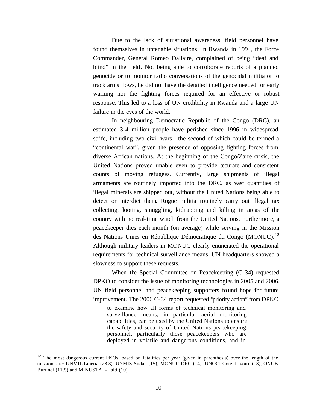Due to the lack of situational awareness, field personnel have found themselves in untenable situations. In Rwanda in 1994, the Force Commander, General Romeo Dallaire, complained of being "deaf and blind" in the field. Not being able to corroborate reports of a planned genocide or to monitor radio conversations of the genocidal militia or to track arms flows, he did not have the detailed intelligence needed for early warning nor the fighting forces required for an effective or robust response. This led to a loss of UN credibility in Rwanda and a large UN failure in the eyes of the world.

In neighbouring Democratic Republic of the Congo (DRC), an estimated 3-4 million people have perished since 1996 in widespread strife, including two civil wars—the second of which could be termed a "continental war", given the presence of opposing fighting forces from diverse African nations. At the beginning of the Congo/Zaire crisis, the United Nations proved unable even to provide accurate and consistent counts of moving refugees. Currently, large shipments of illegal armaments are routinely imported into the DRC, as vast quantities of illegal minerals are shipped out, without the United Nations being able to detect or interdict them. Rogue militia routinely carry out illegal tax collecting, looting, smuggling, kidnapping and killing in areas of the country with no real-time watch from the United Nations. Furthermore, a peacekeeper dies each month (on average) while serving in the Mission des Nations Unies en République Démocratique du Congo (MONUC).<sup>12</sup> Although military leaders in MONUC clearly enunciated the operational requirements for technical surveillance means, UN headquarters showed a slowness to support these requests.

When the Special Committee on Peacekeeping (C-34) requested DPKO to consider the issue of monitoring technologies in 2005 and 2006, UN field personnel and peacekeeping supporters found hope for future improvement. The 2006 C-34 report requested "priority action" from DPKO

to examine how all forms of technical monitoring and surveillance means, in particular aerial monitoring capabilities, can be used by the United Nations to ensure the safety and security of United Nations peacekeeping personnel, particularly those peacekeepers who are deployed in volatile and dangerous conditions, and in

<sup>&</sup>lt;sup>12</sup> The most dangerous current PKOs, based on fatalities per year (given in parenthesis) over the length of the mission, are: UNMIL-Liberia (28.3), UNMIS-Sudan (15), MONUC-DRC (14), UNOCI-Cote d'Ivoire (13), ONUB-Burundi (11.5) and MINUSTAH-Haiti (10).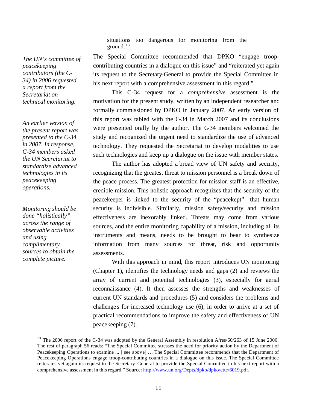situations too dangerous for monitoring from the ground. <sup>13</sup>

*The UN's committee of peacekeeping contributors (the C-34) in 2006 requested a report from the Secretariat on technical monitoring.* 

*An earlier version of the present report was presented to the C-34 in 2007. In response, C-34 members asked the UN Secretariat to standardize advanced technologies in its peacekeeping operations.* 

*Monitoring should be done "holistically" across the range of observable activities and using complimentary sources to obtain the complete picture.* 

 $\overline{a}$ 

The Special Committee recommended that DPKO "engage troopcontributing countries in a dialogue on this issue" and "reiterated yet again its request to the Secretary-General to provide the Special Committee in his next report with a comprehensive assessment in this regard."

This C-34 request for a *comprehensive* assessment is the motivation for the present study, written by an independent researcher and formally commissioned by DPKO in January 2007. An early version of this report was tabled with the C-34 in March 2007 and its conclusions were presented orally by the author. The C-34 members welcomed the study and recognized the urgent need to standardize the use of advanced technology. They requested the Secretariat to develop modalities to use such technologies and keep up a dialogue on the issue with member states.

The author has adopted a broad view of UN safety and security, recognizing that the greatest threat to mission personnel is a break down of the peace process. The greatest protection for mission staff is an effective, credible mission. This holistic approach recognizes that the security of the peacekeeper is linked to the security of the "peacekept"—that human security is indivisible. Similarly, mission safety/security and mission effectiveness are inexorably linked. Threats may come from various sources, and the entire monitoring capability of a mission, including all its instruments and means, needs to be brought to bear to synthesize information from many sources for threat, risk and opportunity assessments.

With this approach in mind, this report introduces UN monitoring (Chapter 1), identifies the technology needs and gaps (2) and reviews the array of current and potential technologies (3), especially for aerial reconnaissance (4). It then assesses the strengths and weaknesses of current UN standards and procedures (5) and considers the problems and challenges for increased technology use (6), in order to arrive at a set of practical recommendations to improve the safety and effectiveness of UN peacekeeping (7).

11

<sup>&</sup>lt;sup>13</sup> The 2006 report of the C-34 was adopted by the General Assembly in resolution A/res/60/263 of 15 June 2006. The rest of paragraph 56 reads: "The Special Committee stresses the need for priority action by the Department of Peacekeeping Operations to examine ... [ see above] … The Special Committee recommends that the Department of Peacekeeping Operations engage troop-contributing countries in a dialogue on this issue. The Special Committee reiterates yet again its request to the Secretary-General to provide the Special Committee in his next report with a comprehensive assessment in this regard." Source: http://www.un.org/Depts/dpko/dpko/ctte/6019.pdf.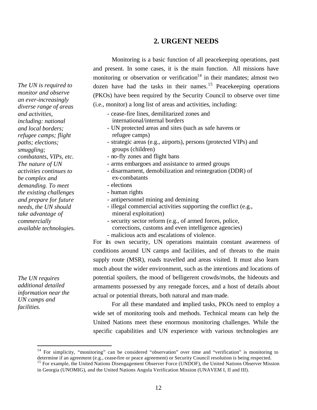## **2. URGENT NEEDS**

Monitoring is a basic function of all peacekeeping operations, past and present. In some cases, it is the main function. All missions have monitoring or observation or verification<sup>14</sup> in their mandates; almost two dozen have had the tasks in their names.<sup>15</sup> Peacekeeping operations (PKOs) have been required by the Security Council to observe over time (i.e., monitor) a long list of areas and activities, including:

- cease-fire lines, demilitarized zones and international/internal borders
- UN protected areas and sites (such as safe havens or refugee camps)
- strategic areas (e.g., airports), persons (protected VIPs) and groups (children)
- no-fly zones and flight bans
- arms embargoes and assistance to armed groups
- disarmament, demobilization and reintegration (DDR) of ex-combatants
- elections
- human rights
- antipersonnel mining and demining
- illegal commercial activities supporting the conflict (e.g., mineral exploitation)
- security sector reform (e.g., of armed forces, police, corrections, customs and even intelligence agencies) - malicious acts and escalations of violence.

For its own security, UN operations maintain constant awareness of conditions around UN camps and facilities, and of threats to the main supply route (MSR), roads travelled and areas visited. It must also learn much about the wider environment, such as the intentions and locations of potential spoilers, the mood of belligerent crowds/mobs, the hideouts and armaments possessed by any renegade forces, and a host of details about actual or potential threats, both natural and man-made.

For all these mandated and implied tasks, PKOs need to employ a wide set of monitoring tools and methods. Technical means can help the United Nations meet these enormous monitoring challenges. While the specific capabilities and UN experience with various technologies are

*The UN is required to monitor and observe an ever-increasingly diverse range of areas and activities, including: national and local borders; refugee camps; flight paths; elections; smuggling; combatants, VIPs, etc. The nature of UN activities continues to be complex and demanding. To meet the existing challenges and prepare for future needs, the UN should take advantage of commercially available technologies.*

*The UN requires additional detailed information near the UN camps and facilities.*

<sup>&</sup>lt;sup>14</sup> For simplicity, "monitoring" can be considered "observation" over time and "verification" is monitoring to determine if an agreement (e.g., cease-fire or peace agreement) or Security Council resolution is being respected.

<sup>&</sup>lt;sup>15</sup> For example, the United Nations Disengagement Observer Force (UNDOF), the United Nations Observer Mission in Georgia (UNOMIG), and the United Nations Angola Verification Mission (UNAVEM I, II and III).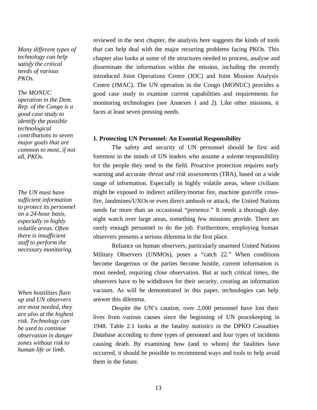*Many different types of technology can help satisfy the critical needs of various PKOs.* 

#### *The MONUC*

*operation in the Dem. Rep. of the Congo is a good case study to identify the possible technological contributions to seven major goals that are common to most, if not all, PKOs.*

*The UN must have sufficient information to protect its personnel on a 24-hour basis, especially in highly volatile areas. Often there is insufficient staff to perform the necessary monitoring.*

*When hostilities flare up and UN observers are most needed, they are also at the highest risk. Technology can be used to continue observation in danger zones without risk to human life or limb.*

reviewed in the next chapter, the analysis here suggests the kinds of tools that can help deal with the major recurring problems facing PKOs. This chapter also looks at some of the structures needed to process, analyse and disseminate the information within the mission, including the recently introduced Joint Operations Centre (JOC) and Joint Mission Analysis Centre (JMAC). The UN operation in the Congo (MONUC) provides a good case study to examine current capabilities and requirements for monitoring technologies (see Annexes 1 and 2). Like other missions, it faces at least seven pressing needs.

#### **1. Protecting UN Personnel: An Essential Responsibility**

The safety and security of UN personnel should be first and foremost in the minds of UN leaders who assume a solemn responsibility for the people they send to the field. Proactive protection requires early warning and accurate *threat and risk assessments* (TRA), based on a wide range of information. Especially in highly volatile areas, where civilians might be exposed to indirect artillery/mortar fire, machine gun/rifle crossfire, landmines/UXOs or even direct ambush or attack, the United Nations needs far more than an occasional "presence." It needs a thorough daynight watch over large areas, something few missions provide. There are rarely enough personnel to do the job. Furthermore, employing human observers presents a serious dilemma in the first place.

Reliance on human observers, particularly unarmed United Nations Military Observers (UNMOs), poses a "catch 22." When conditions become dangerous or the parties become hostile, current information is most needed, requiring close observation. But at such critical times, the observers have to be withdrawn for their security, creating an information vacuum. As will be demonstrated in this paper, technologies can help answer this dilemma.

Despite the UN's caution, over 2,000 personnel have lost their lives from various causes since the beginning of UN peacekeeping in 1948. Table 2.1 looks at the fatality statistics in the DPKO Casualties Database according to three types of personnel and four types of incidents causing death. By examining how (and to whom) the fatalities have occurred, it should be possible to recommend ways and tools to help avoid them in the future.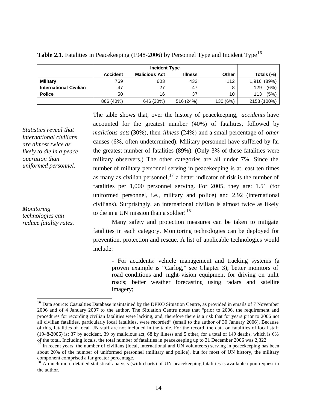|                               | <b>Incident Type</b> |                      |                |          |             |
|-------------------------------|----------------------|----------------------|----------------|----------|-------------|
|                               | <b>Accident</b>      | <b>Malicious Act</b> | <b>Illness</b> | Other    | Totals (%)  |
| <b>Military</b>               | 769                  | 603                  | 432            | 112      | 1,916 (89%) |
| <b>International Civilian</b> | 47                   | 27                   | 47             | 8        | (6%)<br>129 |
| <b>Police</b>                 | 50                   | 16                   | 37             | 10       | (5%)<br>113 |
|                               | 866 (40%)            | 646 (30%)            | 516 (24%)      | 130 (6%) | 2158 (100%) |

Table 2.1. Fatalities in Peacekeeping (1948-2006) by Personnel Type and Incident Type<sup>16</sup>

The table shows that, over the history of peacekeeping, *accidents* have accounted for the greatest number (40%) of fatalities, followed by *malicious acts* (30%), then *illness* (24%) and a small percentage of *other* causes (6%, often undetermined). Military personnel have suffered by far the greatest number of fatalities (89%). (Only 3% of these fatalities were military observers.) The other categories are all under 7%. Since the number of military personnel serving in peacekeeping is at least ten times as many as civilian personnel, $17$  a better indicator of risk is the number of fatalities per 1,000 personnel serving. For 2005, they are: 1.51 (for uniformed personnel, i.e., military and police) and 2.92 (international civilians). Surprisingly, an international civilian is almost twice as likely to die in a UN mission than a soldier! $1^8$ 

*Monitoring technologies can reduce fatality rates.*

*Statistics reveal that international civilians are almost twice as likely to die in a peace* 

*operation than uniformed personnel.*

 $\overline{a}$ 

Many safety and protection measures can be taken to mitigate fatalities in each category. Monitoring technologies can be deployed for prevention, protection and rescue. A list of applicable technologies would include:

- For accidents: vehicle management and tracking systems (a proven example is "Carlog," see Chapter 3); better monitors of road conditions and night-vision equipment for driving on unlit roads; better weather forecasting using radars and satellite imagery;

<sup>&</sup>lt;sup>16</sup> Data source: Casualties Database maintained by the DPKO Situation Centre, as provided in emails of 7 November 2006 and of 4 January 2007 to the author. The Situation Centre notes that "prior to 2006, the requirement and procedures for recording civilian fatalities were lacking, and, therefore there is a risk that for years prior to 2006 not all civilian fatalities, particularly local fatalities, were recorded" (email to the author of 30 January 2006). Because of this, fatalities of local UN staff are not included in the table. For the record, the data on fatalities of local staff (1948-2006) is: 37 by accident, 39 by malicious act, 68 by illness and 5 other, for a total of 149 deaths, which is 6% of the total. Including locals, the total number of fatalities in peacekeeping up to 31 December 2006 was 2,322.

<sup>&</sup>lt;sup>17</sup> In recent years, the number of civilians (local, international and UN volunteers) serving in peacekeeping has been about 20% of the number of uniformed personnel (military and police), but for most of UN history, the military component comprised a far greater percentage.

 $18$  A much more detailed statistical analysis (with charts) of UN peacekeeping fatalities is available upon request to the author.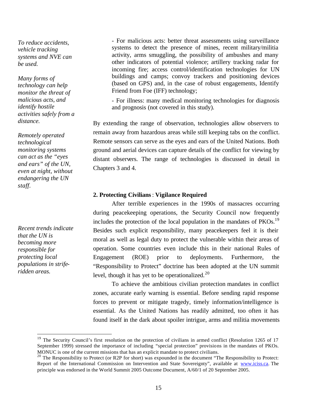*To reduce accidents, vehicle tracking systems and NVE can be used.*

*Many forms of technology can help monitor the threat of malicious acts, and identify hostile activities safely from a distance.*

*Remotely operated technological monitoring systems can act as the "eyes and ears" of the UN, even at night, without endangering the UN staff.*

*Recent trends indicate that the UN is becoming more responsible for protecting local populations in striferidden areas.*

 $\overline{a}$ 

- For malicious acts: better threat assessments using surveillance systems to detect the presence of mines, recent military/militia activity, arms smuggling, the possibility of ambushes and many other indicators of potential violence; artillery tracking radar for incoming fire; access control/identification technologies for UN buildings and camps; convoy trackers and positioning devices (based on GPS) and, in the case of robust engagements, Identify Friend from Foe (IFF) technology;

- For illness: many medical monitoring technologies for diagnosis and prognosis (not covered in this study).

By extending the range of observation, technologies allow observers to remain away from hazardous areas while still keeping tabs on the conflict. Remote sensors can serve as the eyes and ears of the United Nations. Both ground and aerial devices can capture details of the conflict for viewing by distant observers. The range of technologies is discussed in detail in Chapters 3 and 4.

## **2. Protecting Civilians**: **Vigilance Required**

After terrible experiences in the 1990s of massacres occurring during peacekeeping operations, the Security Council now frequently includes the protection of the local population in the mandates of  $PKOs$ <sup>19</sup> Besides such explicit responsibility, many peacekeepers feel it is their moral as well as legal duty to protect the vulnerable within their areas of operation. Some countries even include this in their national Rules of Engagement (ROE) prior to deployments. Furthermore, the "Responsibility to Protect" doctrine has been adopted at the UN summit level, though it has yet to be operationalized.<sup>20</sup>

To achieve the ambitious civilian protection mandates in conflict zones, accurate early warning is essential. Before sending rapid response forces to prevent or mitigate tragedy, timely information/intelligence is essential. As the United Nations has readily admitted, too often it has found itself in the dark about spoiler intrigue, arms and militia movements

 $19$  The Security Council's first resolution on the protection of civilians in armed conflict (Resolution 1265 of 17 September 1999) stressed the importance of including "special protection" provisions in the mandates of PKOs. MONUC is one of the current missions that has an explicit mandate to protect civilians.

<sup>&</sup>lt;sup>20</sup> The Responsibility to Protect (or R2P for short) was expounded in the document "The Responsibility to Protect: Report of the International Commission on Intervention and State Sovereignty", available at www.iciss.ca. The principle was endorsed in the World Summit 2005 Outcome Document, A/60/1 of 20 September 2005.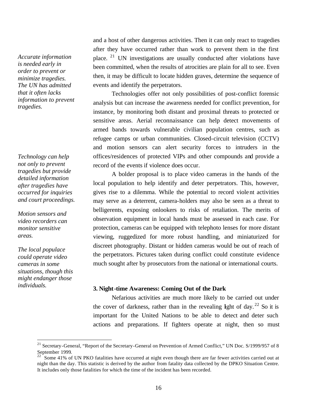*Accurate information is needed early in order to prevent or minimize tragedies. The UN has admitted that it often lacks information to prevent tragedies.*

*Technology can help not only to prevent tragedies but provide detailed information after tragedies have occurred for inquiries and court proceedings.* 

*Motion sensors and video recorders can monitor sensitive areas.*

*The local populace could operate video cameras in some situations, though this might endanger those individuals.*

 $\overline{a}$ 

and a host of other dangerous activities. Then it can only react to tragedies after they have occurred rather than work to prevent them in the first place. <sup>21</sup> UN investigations are usually conducted after violations have been committed, when the results of atrocities are plain for all to see. Even then, it may be difficult to locate hidden graves, determine the sequence of events and identify the perpetrators.

Technologies offer not only possibilities of post-conflict forensic analysis but can increase the awareness needed for conflict prevention, for instance, by monitoring both distant and proximal threats to protected or sensitive areas. Aerial reconnaissance can help detect movements of armed bands towards vulnerable civilian population centres, such as refugee camps or urban communities. Closed-circuit television (CCTV) and motion sensors can alert security forces to intruders in the offices/residences of protected VIPs and other compounds and provide a record of the events if violence does occur.

A bolder proposal is to place video cameras in the hands of the local population to help identify and deter perpetrators. This, however, gives rise to a dilemma. While the potential to record violent activities may serve as a deterrent, camera-holders may also be seen as a threat to belligerents, exposing onlookers to risks of retaliation. The merits of observation equipment in local hands must be assessed in each case. For protection, cameras can be equipped with telephoto lenses for more distant viewing, ruggedized for more robust handling, and miniaturized for discreet photography. Distant or hidden cameras would be out of reach of the perpetrators. Pictures taken during conflict could constitute evidence much sought after by prosecutors from the national or international courts.

## **3. Night-time Awareness: Coming Out of the Dark**

Nefarious activities are much more likely to be carried out under the cover of darkness, rather than in the revealing light of day. <sup>22</sup> So it is important for the United Nations to be able to detect and deter such actions and preparations. If fighters operate at night, then so must

<sup>&</sup>lt;sup>21</sup> Secretary-General, "Report of the Secretary-General on Prevention of Armed Conflict," UN Doc. S/1999/957 of 8 September 1999.

 $22^{22}$  Some 41% of UN PKO fatalities have occurred at night even though there are far fewer activities carried out at night than the day. This statistic is derived by the author from fatality data collected by the DPKO Situation Centre. It includes only those fatalities for which the time of the incident has been recorded.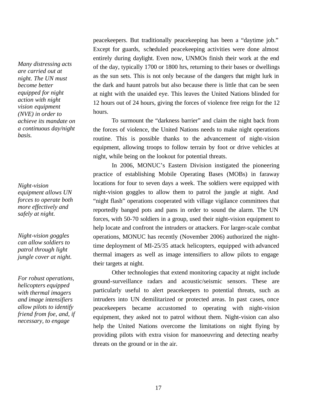*Many distressing acts are carried out at night. The UN must become better equipped for night action with night vision equipment (NVE) in order to achieve its mandate on a continuous day/night basis.*

*Night-vision equipment allows UN forces to operate both more effectively and safely at night.*

*Night-vision goggles can allow soldiers to patrol through light jungle cover at night.*

*For robust operations, r* or rooms operations,<br>helicopters equipped *detect intruders with thermal imagers penetrating into and image intensifiers sensitive areas. allow pilots to identify friend from foe, and, if necessary, to engage* 

peacekeepers. But traditionally peacekeeping has been a "daytime job." Except for guards, scheduled peacekeeping activities were done almost entirely during daylight. Even now, UNMOs finish their work at the end of the day, typically 1700 or 1800 hrs, returning to their bases or dwellings as the sun sets. This is not only because of the dangers that might lurk in the dark and haunt patrols but also because there is little that can be seen at night with the unaided eye. This leaves the United Nations blinded for 12 hours out of 24 hours, giving the forces of violence free reign for the 12 hours.

To surmount the "darkness barrier" and claim the night back from the forces of violence, the United Nations needs to make night operations routine. This is possible thanks to the advancement of night-vision equipment, allowing troops to follow terrain by foot or drive vehicles at night, while being on the lookout for potential threats.

In 2006, MONUC's Eastern Division instigated the pioneering practice of establishing Mobile Operating Bases (MOBs) in faraway locations for four to seven days a week. The soldiers were equipped with night-vision goggles to allow them to patrol the jungle at night. And "night flash" operations cooperated with village vigilance committees that reportedly banged pots and pans in order to sound the alarm. The UN forces, with 50-70 soldiers in a group, used their night-vision equipment to help locate and confront the intruders or attackers. For larger-scale combat operations, MONUC has recently (November 2006) authorized the nighttime deployment of MI-25/35 attack helicopters, equipped with advanced thermal imagers as well as image intensifiers to allow pilots to engage their targets at night.

Other technologies that extend monitoring capacity at night include ground-surveillance radars and acoustic/seismic sensors. These are particularly useful to alert peacekeepers to potential threats, such as intruders into UN demilitarized or protected areas. In past cases, once peacekeepers became accustomed to operating with night-vision equipment, they asked not to patrol without them. Night-vision can also help the United Nations overcome the limitations on night flying by providing pilots with extra vision for manoeuvring and detecting nearby threats on the ground or in the air.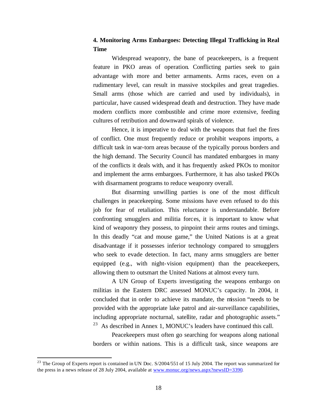## **4. Monitoring Arms Embargoes: Detecting Illegal Trafficking in Real Time**

Widespread weaponry, the bane of peacekeepers, is a frequent feature in PKO areas of operation. Conflicting parties seek to gain advantage with more and better armaments. Arms races, even on a rudimentary level, can result in massive stockpiles and great tragedies. Small arms (those which are carried and used by individuals), in particular, have caused widespread death and destruction. They have made modern conflicts more combustible and crime more extensive, feeding cultures of retribution and downward spirals of violence.

Hence, it is imperative to deal with the weapons that fuel the fires of conflict. One must frequently reduce or prohibit weapons imports, a difficult task in war-torn areas because of the typically porous borders and the high demand. The Security Council has mandated embargoes in many of the conflicts it deals with, and it has frequently asked PKOs to monitor and implement the arms embargoes. Furthermore, it has also tasked PKOs with disarmament programs to reduce weaponry overall.

But disarming unwilling parties is one of the most difficult challenges in peacekeeping. Some missions have even refused to do this job for fear of retaliation. This reluctance is understandable. Before confronting smugglers and militia forces, it is important to know what kind of weaponry they possess, to pinpoint their arms routes and timings. In this deadly "cat and mouse game," the United Nations is at a great disadvantage if it possesses inferior technology compared to smugglers who seek to evade detection. In fact, many arms smugglers are better equipped (e.g., with night-vision equipment) than the peacekeepers, allowing them to outsmart the United Nations at almost every turn.

A UN Group of Experts investigating the weapons embargo on militias in the Eastern DRC assessed MONUC's capacity. In 2004, it concluded that in order to achieve its mandate, the mission "needs to be provided with the appropriate lake patrol and air-surveillance capabilities, including appropriate nocturnal, satellite, radar and photographic assets." <sup>23</sup> As described in Annex 1, MONUC's leaders have continued this call.

Peacekeepers must often go searching for weapons along national borders or within nations. This is a difficult task, since weapons are

 $^{23}$  The Group of Experts report is contained in UN Doc. S/2004/551 of 15 July 2004. The report was summarized for the press in a news release of 28 July 2004, available at www.monuc.org/news.aspx?newsID=3390.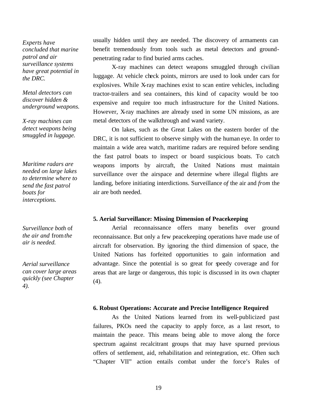*Experts have concluded that marine patrol and air surveillance systems have great potential in the DRC.*

*Metal detectors can discover hidden & underground weapons.*

*X-ray machines can detect weapons being smuggled in luggage.*

*Maritime radars are needed on large lakes to determine where to send the fast patrol boats for interceptions.*

*Surveillance both* of *the air and* from *the air is needed.*

*Aerial surveillance can cover large areas quickly (see Chapter 4).*

usually hidden until they are needed. The discovery of armaments can benefit tremendously from tools such as metal detectors and groundpenetrating radar to find buried arms caches.

X-ray machines can detect weapons smuggled through civilian luggage. At vehicle check points, mirrors are used to look under cars for explosives. While X-ray machines exist to scan entire vehicles, including tractor-trailers and sea containers, this kind of capacity would be too expensive and require too much infrastructure for the United Nations. However, X-ray machines are already used in some UN missions, as are metal detectors of the walkthrough and wand variety.

On lakes, such as the Great Lakes on the eastern border of the DRC, it is not sufficient to observe simply with the human eye. In order to maintain a wide area watch, maritime radars are required before sending the fast patrol boats to inspect or board suspicious boats. To catch weapons imports by aircraft, the United Nations must maintain surveillance over the airspace and determine where illegal flights are landing, before initiating interdictions. Surveillance *of* the air and *from* the air are both needed.

#### **5. Aerial Surveillance: Missing Dimension of Peacekeeping**

Aerial reconnaissance offers many benefits over ground reconnaissance. But only a few peacekeeping operations have made use of aircraft for observation. By ignoring the third dimension of space, the United Nations has forfeited opportunities to gain information and advantage. Since the potential is so great for speedy coverage and for areas that are large or dangerous, this topic is discussed in its own chapter (4).

#### **6. Robust Operations: Accurate and Precise Intelligence Required**

As the United Nations learned from its well-publicized past failures, PKOs need the capacity to apply force, as a last resort, to maintain the peace. This means being able to move along the force spectrum against recalcitrant groups that may have spurned previous offers of settlement, aid, rehabilitation and reintegration, etc. Often such "Chapter VII" action entails combat under the force's Rules of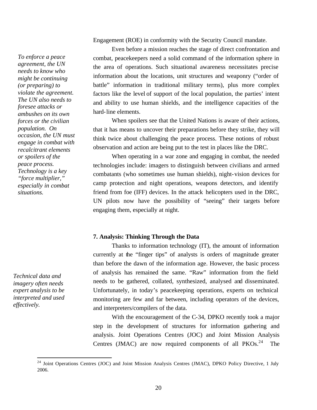Engagement (ROE) in conformity with the Security Council mandate.

Even before a mission reaches the stage of direct confrontation and combat, peacekeepers need a solid command of the information sphere in the area of operations. Such situational awareness necessitates precise information about the locations, unit structures and weaponry ("order of battle" information in traditional military terms), plus more complex factors like the level of support of the local population, the parties' intent and ability to use human shields, and the intelligence capacities of the hard-line elements.

When spoilers see that the United Nations is aware of their actions, that it has means to uncover their preparations before they strike, they will think twice about challenging the peace process. These notions of robust observation and action are being put to the test in places like the DRC.

When operating in a war zone and engaging in combat, the needed technologies include: imagers to distinguish between civilians and armed combatants (who sometimes use human shields), night-vision devices for camp protection and night operations, weapons detectors, and identify friend from foe (IFF) devices. In the attack helicopters used in the DRC, UN pilots now have the possibility of "seeing" their targets before engaging them, especially at night.

## **7. Analysis: Thinking Through the Data**

Thanks to information technology (IT), the amount of information currently at the "finger tips" of analysts is orders of magnitude greater than before the dawn of the information age. However, the basic process of analysis has remained the same. "Raw" information from the field needs to be gathered, collated, synthesized, analysed and disseminated. Unfortunately, in today's peacekeeping operations, experts on technical monitoring are few and far between, including operators of the devices, and interpreters/compilers of the data.

With the encouragement of the C-34, DPKO recently took a major step in the development of structures for information gathering and analysis. Joint Operations Centres (JOC) and Joint Mission Analysis Centres (JMAC) are now required components of all  $PKOs.<sup>24</sup>$  The

*To enforce a peace agreement, the UN needs to know who might be continuing (or preparing) to violate the agreement. The UN also needs to foresee attacks or ambushes on its own forces or the civilian population. On occasion, the UN must engage in combat with recalcitrant elements or spoilers of the peace process. Technology is a key "force multiplier," especially in combat situations.*

*Technical data and imagery often needs expert analysis to be interpreted and used effectively.*

<sup>&</sup>lt;sup>24</sup> Joint Operations Centres (JOC) and Joint Mission Analysis Centres (JMAC), DPKO Policy Directive, 1 July 2006.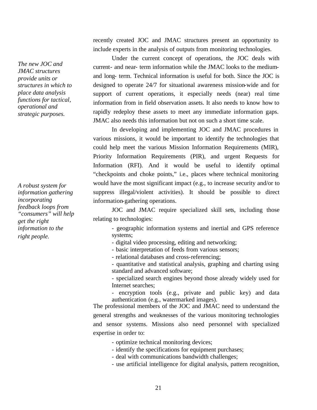*The new JOC and JMAC structures provide units or structures in which to place data analysis functions for tactical, operational and strategic purposes.* 

*A robust system for information gathering incorporating feedback loops from "consumers" will help get the right information to the right people.* 

recently created JOC and JMAC structures present an opportunity to include experts in the analysis of outputs from monitoring technologies.

Under the current concept of operations, the JOC deals with current- and near- term information while the JMAC looks to the mediumand long- term. Technical information is useful for both. Since the JOC is designed to operate 24/7 for situational awareness mission-wide and for support of current operations, it especially needs (near) real time information from in field observation assets. It also needs to know how to rapidly redeploy these assets to meet any immediate information gaps. JMAC also needs this information but not on such a short time scale.

In developing and implementing JOC and JMAC procedures in various missions, it would be important to identify the technologies that could help meet the various Mission Information Requirements (MIR), Priority Information Requirements (PIR), and urgent Requests for Information (RFI). And it would be useful to identify optimal "checkpoints and choke points," i.e., places where technical monitoring would have the most significant impact (e.g., to increase security and/or to suppress illegal/violent activities). It should be possible to direct information-gathering operations.

JOC and JMAC require specialized skill sets, including those relating to technologies:

- geographic information systems and inertial and GPS reference systems;
- digital video processing, editing and networking;
- basic interpretation of feeds from various sensors;
- relational databases and cross-referencing;
- quantitative and statistical analysis, graphing and charting using standard and advanced software;

- specialized search engines beyond those already widely used for Internet searches;

- encryption tools (e.g., private and public key) and data authentication (e.g., watermarked images).

The professional members of the JOC and JMAC need to understand the general strengths and weaknesses of the various monitoring technologies and sensor systems. Missions also need personnel with specialized expertise in order to:

- optimize technical monitoring devices;
- identify the specifications for equipment purchases;
- deal with communications bandwidth challenges;
- use artificial intelligence for digital analysis, pattern recognition,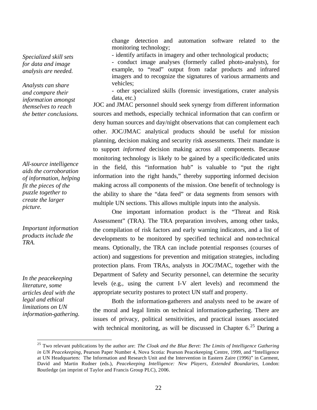*Specialized skill sets for data and image analysis are needed.* 

*Analysts can share and compare their information amongst themselves to reach the better conclusions.* 

*All-source intelligence aids the corroboration of information, helping fit the pieces of the puzzle together to create the larger picture.* 

*Important information products include the TRA.*

*In the peacekeeping literature, some articles deal with the legal and ethical limitations on UN information-gathering.* 

 $\overline{a}$ 

change detection and automation software related to the monitoring technology;

- identify artifacts in imagery and other technological products;

- conduct image analyses (formerly called photo-analysts), for example, to "read" output from radar products and infrared imagers and to recognize the signatures of various armaments and vehicles;

- other specialized skills (forensic investigations, crater analysis data, etc.)

JOC and JMAC personnel should seek synergy from different information sources and methods, especially technical information that can confirm or deny human sources and day/night observations that can complement each other. JOC/JMAC analytical products should be useful for mission planning, decision making and security risk assessments. Their mandate is to support *informed* decision making across all components. Because monitoring technology is likely to be gained by a specific/dedicated units in the field, this "information hub" is valuable to "put the right information into the right hands," thereby supporting informed decision making across all components of the mission. One benefit of technology is the ability to share the "data feed" or data segments from sensors with multiple UN sections. This allows multiple inputs into the analysis.

One important information product is the "Threat and Risk Assessment" (TRA). The TRA preparation involves, among other tasks, the compilation of risk factors and early warning indicators, and a list of developments to be monitored by specified technical and non-technical means. Optionally, the TRA can include potential responses (courses of action) and suggestions for prevention and mitigation strategies, including protection plans. From TRAs, analysts in JOC/JMAC, together with the Department of Safety and Security personnel, can determine the security levels (e.g., using the current I-V alert levels) and recommend the appropriate security postures to protect UN staff and property.

Both the information-gatherers and analysts need to be aware of the moral and legal limits on technical information-gathering. There are issues of privacy, political sensitivities, and practical issues associated with technical monitoring, as will be discussed in Chapter  $6<sup>25</sup>$  During a

<sup>25</sup> Two relevant publications by the author are: *The Cloak and the Blue Beret: The Limits of Intelligence Gathering in UN Peacekeeping*, Pearson Paper Number 4, Nova Scotia: Pearson Peacekeeping Centre, 1999, and "Intelligence at UN Headquarters: The Information and Research Unit and the Intervention in Eastern Zaire (1996)" in Carment, David and Martin Rudner (eds.), *Peacekeeping Intelligence: New Players, Extended Boundaries*, London: Routledge (an imprint of Taylor and Francis Group PLC), 2006.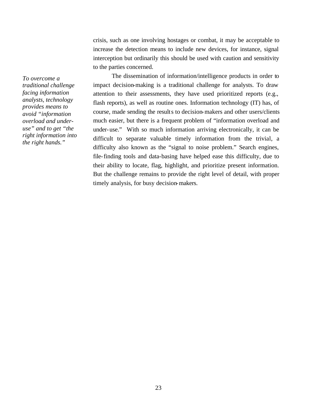crisis, such as one involving hostages or combat, it may be acceptable to increase the detection means to include new devices, for instance, signal interception but ordinarily this should be used with caution and sensitivity to the parties concerned.

*To overcome a traditional challenge facing information analysts, technology provides means to avoid "information overload and underuse" and to get "the right information into the right hands."*

The dissemination of information/intelligence products in order to impact decision-making is a traditional challenge for analysts. To draw attention to their assessments, they have used prioritized reports (e.g., flash reports), as well as routine ones. Information technology (IT) has, of course, made sending the results to decision-makers and other users/clients much easier, but there is a frequent problem of "information overload and under-use." With so much information arriving electronically, it can be difficult to separate valuable timely information from the trivial, a difficulty also known as the "signal to noise problem." Search engines, file-finding tools and data-basing have helped ease this difficulty, due to their ability to locate, flag, highlight, and prioritize present information. But the challenge remains to provide the right level of detail, with proper timely analysis, for busy decision-makers.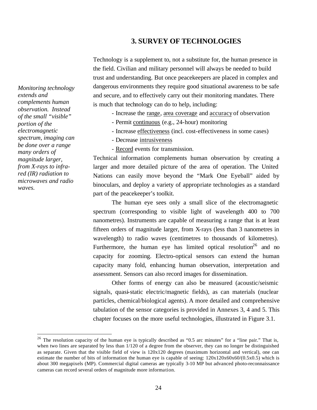## **3. SURVEY OF TECHNOLOGIES**

Technology is a supplement to, not a substitute for, the human presence in the field. Civilian and military personnel will always be needed to build trust and understanding. But once peacekeepers are placed in complex and dangerous environments they require good situational awareness to be safe and secure, and to effectively carry out their monitoring mandates. There is much that technology can do to help, including:

- Increase the range, area coverage and accuracy of observation
- Permit continuous (e.g., 24-hour) monitoring
- Increase effectiveness (incl. cost-effectiveness in some cases)
- Decrease intrusiveness
- Record events for transmission.

Technical information complements human observation by creating a larger and more detailed picture of the area of operation. The United Nations can easily move beyond the "Mark One Eyeball" aided by binoculars, and deploy a variety of appropriate technologies as a standard part of the peacekeeper's toolkit.

The human eye sees only a small slice of the electromagnetic spectrum (corresponding to visible light of wavelength 400 to 700 nanometres). Instruments are capable of measuring a range that is at least fifteen orders of magnitude larger, from X-rays (less than 3 nanometres in wavelength) to radio waves (centimetres to thousands of kilometres). Furthermore, the human eye has limited optical resolution<sup>26</sup> and no capacity for zooming. Electro-optical sensors can extend the human capacity many fold, enhancing human observation, interpretation and assessment. Sensors can also record images for dissemination.

Other forms of energy can also be measured (acoustic/seismic signals, quasi-static electric/magnetic fields), as can materials (nuclear particles, chemical/biological agents). A more detailed and comprehensive tabulation of the sensor categories is provided in Annexes 3, 4 and 5. This chapter focuses on the more useful technologies, illustrated in Figure 3.1.

*Monitoring technology extends and complements human observation. Instead of the small "visible" portion of the electromagnetic spectrum, imaging can be done over a range many orders of magnitude larger, from X-rays to infrared (IR) radiation to microwaves and radio waves.* 

 $26$  The resolution capacity of the human eye is typically described as "0.5 arc minutes" for a "line pair." That is, when two lines are separated by less than 1/120 of a degree from the observer, they can no longer be distinguished as separate. Given that the visible field of view is 120x120 degrees (maximum horizontal and vertical), one can estimate the number of bits of information the human eye is capable of seeing: 120x120x60x60/(0.5x0.5) which is about 300 megapixels (MP). Commercial digital cameras are typically 3-10 MP but advanced photo-reconnaissance cameras can record several orders of magnitude more information.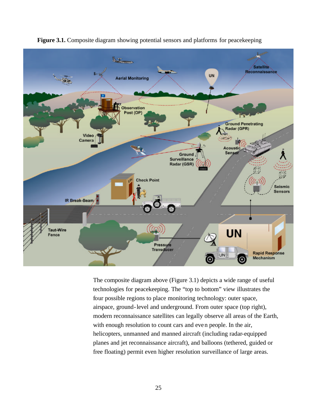

**Figure 3.1.** Composite diagram showing potential sensors and platforms for peacekeeping

The composite diagram above (Figure 3.1) depicts a wide range of useful technologies for peacekeeping. The "top to bottom" view illustrates the four possible regions to place monitoring technology: outer space, airspace, ground-level and underground. From outer space (top right), modern reconnaissance satellites can legally observe all areas of the Earth, with enough resolution to count cars and even people. In the air, helicopters, unmanned and manned aircraft (including radar-equipped planes and jet reconnaissance aircraft), and balloons (tethered, guided or free floating) permit even higher resolution surveillance of large areas.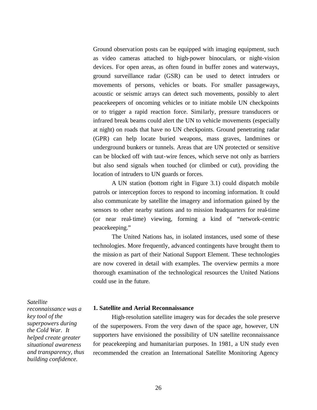Ground observation posts can be equipped with imaging equipment, such as video cameras attached to high-power binoculars, or night-vision devices. For open areas, as often found in buffer zones and waterways, ground surveillance radar (GSR) can be used to detect intruders or movements of persons, vehicles or boats. For smaller passageways, acoustic or seismic arrays can detect such movements, possibly to alert peacekeepers of oncoming vehicles or to initiate mobile UN checkpoints or to trigger a rapid reaction force. Similarly, pressure transducers or infrared break beams could alert the UN to vehicle movements (especially at night) on roads that have no UN checkpoints. Ground penetrating radar (GPR) can help locate buried weapons, mass graves, landmines or underground bunkers or tunnels. Areas that are UN protected or sensitive can be blocked off with taut-wire fences, which serve not only as barriers but also send signals when touched (or climbed or cut), providing the location of intruders to UN guards or forces.

A UN station (bottom right in Figure 3.1) could dispatch mobile patrols or interception forces to respond to incoming information. It could also communicate by satellite the imagery and information gained by the sensors to other nearby stations and to mission headquarters for real-time (or near real-time) viewing, forming a kind of "network-centric peacekeeping."

The United Nations has, in isolated instances, used some of these technologies. More frequently, advanced contingents have brought them to the mission as part of their National Support Element. These technologies are now covered in detail with examples. The overview permits a more thorough examination of the technological resources the United Nations could use in the future.

#### *Satellite*

*reconnaissance was a key tool of the superpowers during the Cold War. It helped create greater situational awareness and transparency, thus building confidence.* 

#### **1. Satellite and Aerial Reconnaissance**

High-resolution satellite imagery was for decades the sole preserve of the superpowers. From the very dawn of the space age, however, UN supporters have envisioned the possibility of UN satellite reconnaissance for peacekeeping and humanitarian purposes. In 1981, a UN study even recommended the creation an International Satellite Monitoring Agency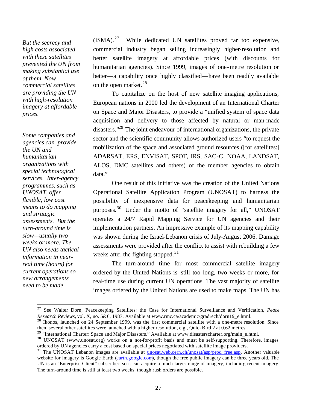*But the secrecy and high costs associated with these satellites prevented the UN from making substantial use of them. Now commercial satellites are providing the UN with high-resolution imagery at affordable prices.*

*Some companies and agencies can provide the UN and humanitarian organizations with special technological services. Inter-agency programmes, such as UNOSAT, offer flexible, low cost means to do mapping and strategic assessments. But the turn-around time is slow—usually two weeks or more. The UN also needs tactical information in nearreal time (hours) for current operations so new arrangements need to be made.* 

 $\overline{a}$ 

 $(ISMA)$ .<sup>27</sup> While dedicated UN satellites proved far too expensive, commercial industry began selling increasingly higher-resolution and better satellite imagery at affordable prices (with discounts for humanitarian agencies). Since 1999, images of one-metre resolution or better—a capability once highly classified—have been readily available on the open market.<sup>28</sup>

To capitalize on the host of new satellite imaging applications, European nations in 2000 led the development of an International Charter on Space and Major Disasters, to provide a "unified system of space data acquisition and delivery to those affected by natural or man-made disasters."<sup>29</sup> The joint endeavour of international organizations, the private sector and the scientific community allows authorized users "to request the mobilization of the space and associated ground resources ([for satellites:] ADARSAT, ERS, ENVISAT, SPOT, IRS, SAC-C, NOAA, LANDSAT, ALOS, DMC satellites and others) of the member agencies to obtain data."

One result of this initiative was the creation of the United Nations Operational Satellite Application Program (UNOSAT) to harness the possibility of inexpensive data for peacekeeping and humanitarian purposes.<sup>30</sup> Under the motto of "satellite imagery for all," UNOSAT operates a 24/7 Rapid Mapping Service for UN agencies and their implementation partners. An impressive example of its mapping capability was shown during the Israel-Lebanon crisis of July-August 2006. Damage assessments were provided after the conflict to assist with rebuilding a few weeks after the fighting stopped.<sup>31</sup>

The turn-around time for most commercial satellite imagery ordered by the United Nations is still too long, two weeks or more, for real-time use during current UN operations. The vast majority of satellite images ordered by the United Nations are used to make maps. The UN has

<sup>27</sup> See Walter Dorn, Peacekeeping Satellites: the Case for International Surveillance and Verification, *Peace Research Reviews*, vol. X, no. 5&6, 1987. Available at www.rmc.ca/academic/gradrech/dorn19\_e.html.

<sup>&</sup>lt;sup>28</sup> Ikonos, launched on 24 September 1999, was the first commercial satellite with a one-metre resolution. Since then, several other satellites were launched with a higher resolution, e.g., QuickBird 2 at 0.62 metres.

<sup>&</sup>lt;sup>29</sup> "International Charter: Space and Major Disasters." Available at www.disasterscharter.org/main\_e.html.

<sup>&</sup>lt;sup>30</sup> UNOSAT (www.unosat.org) works on a not-for-profit basis and must be self-supporting. Therefore, images ordered by UN agencies carry a cost based on special prices negotiated with satellite image providers.

<sup>&</sup>lt;sup>31</sup> The UNOSAT Lebanon images are available at <u>unosat.web.cern.ch/unosat/asp/prod\_free.asp</u>. Another valuable website for imagery is Google Earth (earth.google.com), though the free public imagery can be three years old. The UN is an "Enterprise Client" subscriber, so it can acquire a much larger range of imagery, including recent imagery. The turn-around time is still at least two weeks, though rush orders are possible.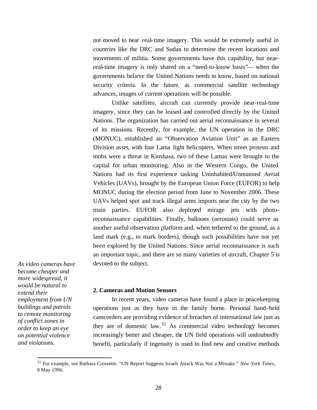not moved to near real-time imagery. This would be extremely useful in countries like the DRC and Sudan to determine the recent locations and movements of militia. Some governments have this capability, but nearreal-time imagery is only shared on a "need-to-know basis"— when the governments believe the United Nations needs to know, based on national security criteria. In the future, as commercial satellite technology advances, images of current operations will be possible.

Unlike satellites, aircraft can currently provide near-real-time imagery, since they can be leased and controlled directly by the United Nations. The organization has carried out aerial reconnaissance in several of its missions. Recently, for example, the UN operation in the DRC (MONUC), established an "Observation Aviation Unit" as an Eastern Division asset, with four Lama light helicopters. When street protests and mobs were a threat in Kinshasa, two of these Lamas were brought to the capital for urban monitoring. Also in the Western Congo, the United Nations had its first experience tasking Uninhabited/Unmanned Aerial Vehicles (UAVs), brought by the European Union Force (EUFOR) to help MONUC during the election period from June to November 2006. These UAVs helped spot and track illegal arms imports near the city by the two main parties. EUFOR also deployed mirage jets with photoreconnaissance capabilities. Finally, balloons (aerostats) could serve as another useful observation platform and, when tethered to the ground, as a land mark (e.g., to mark borders), though such possibilities have not yet been explored by the United Nations. Since aerial reconnaissance is such an important topic, and there are so many varieties of aircraft, Chapter 5 is devoted to the subject.

*become cheaper and more widespread, it would be natural to extend their employment from UN buildings and patrols to remote monitoring of conflict zones in order to keep an eye on potential violence and violations.* 

*As video cameras have* 

 $\overline{a}$ 

## **2. Cameras and Motion Sensors**

In recent years, video cameras have found a place in peacekeeping operations just as they have in the family home. Personal hand-held camcorders are providing evidence of breaches of international law just as they are of domestic law.  $32$  As commercial video technology becomes increasingly better and cheaper, the UN field operations will undoubtedly benefit, particularly if ingenuity is used to find new and creative methods

<sup>32</sup> For example, see Barbara Crossette, "UN Report Suggests Israeli Attack Was Not a Mistake," *New York Times*, 8 May 1996.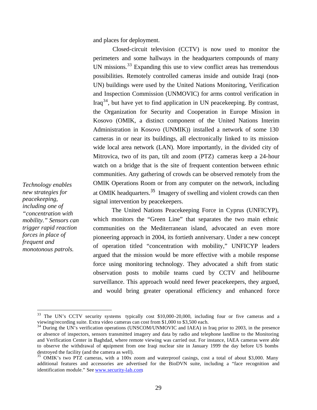and places for deployment.

Closed-circuit television (CCTV) is now used to monitor the perimeters and some hallways in the headquarters compounds of many UN missions. $33$  Expanding this use to view conflict areas has tremendous possibilities. Remotely controlled cameras inside and outside Iraqi (non-UN) buildings were used by the United Nations Monitoring, Verification and Inspection Commission (UNMOVIC) for arms control verification in Iraq<sup>34</sup>, but have yet to find application in UN peace keeping. By contrast, the Organization for Security and Cooperation in Europe Mission in Kosovo (OMIK, a distinct component of the United Nations Interim Administration in Kosovo (UNMIK)) installed a network of some 130 cameras in or near its buildings, all electronically linked to its missionwide local area network (LAN). More importantly, in the divided city of Mitrovica, two of its pan, tilt and zoom (PTZ) cameras keep a 24-hour watch on a bridge that is the site of frequent contention between ethnic communities. Any gathering of crowds can be observed remotely from the OMIK Operations Room or from any computer on the network, including at OMIK headquarters.<sup>35</sup> Imagery of swelling and violent crowds can then signal intervention by peacekeepers.

The United Nations Peacekeeping Force in Cyprus (UNFICYP), which monitors the "Green Line" that separates the two main ethnic communities on the Mediterranean island, advocated an even more pioneering approach in 2004, its fortieth anniversary. Under a new concept of operation titled "concentration with mobility," UNFICYP leaders argued that the mission would be more effective with a mobile response force using monitoring technology. They advocated a shift from static observation posts to mobile teams cued by CCTV and helibourne surveillance. This approach would need fewer peacekeepers, they argued, and would bring greater operational efficiency and enhanced force

*Technology enables new strategies for peacekeeping, including one of "concentration with mobility." Sensors can trigger rapid reaction forces in place of frequent and monotonous patrols.* 

<sup>&</sup>lt;sup>33</sup> The UN's CCTV security systems typically cost \$10,000-20,000, including four or five cameras and a viewing/recording suite. Extra video cameras can cost from \$1,000 to \$3,500 each.

<sup>&</sup>lt;sup>34</sup> During the UN's verification operations (UNSCOM/UNMOVIC and IAEA) in Iraq prior to 2003, in the presence or absence of inspectors, sensors transmitted imagery and data by radio and telephone landline to the Monitoring and Verification Center in Baghdad, where remote viewing was carried out. For instance, IAEA cameras were able to observe the withdrawal of equipment from one Iraqi nuclear site in January 1999 the day before US bombs destroyed the facility (and the camera as well).

<sup>&</sup>lt;sup>35</sup> OMIK's two PTZ cameras, with a 100x zoom and waterproof casings, cost a total of about \$3,000. Many additional features and accessories are advertised for the BioDVN suite, including a "face recognition and identification module." See www.security-lab.com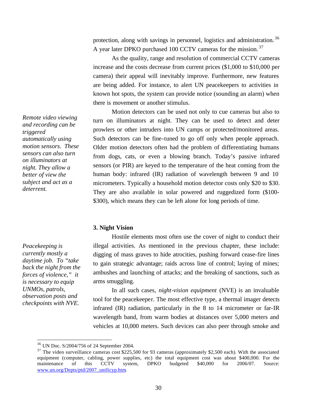protection, along with savings in personnel, logistics and administration. <sup>36</sup> A year later DPKO purchased 100 CCTV cameras for the mission.<sup>37</sup>

 As the quality, range and resolution of commercial CCTV cameras increase and the costs decrease from current prices (\$1,000 to \$10,000 per camera) their appeal will inevitably improve. Furthermore, new features are being added. For instance, to alert UN peacekeepers to activities in known hot spots, the system can provide notice (sounding an alarm) when there is movement or another stimulus.

Motion detectors can be used not only to cue cameras but also to turn on illuminators at night. They can be used to detect and deter prowlers or other intruders into UN camps or protected/monitored areas. Such detectors can be fine-tuned to go off only when people approach. Older motion detectors often had the problem of differentiating humans from dogs, cats, or even a blowing branch. Today's passive infrared sensors (or PIR) are keyed to the temperature of the heat coming from the human body: infrared (IR) radiation of wavelength between 9 and 10 micrometers. Typically a household motion detector costs only \$20 to \$30. They are also available in solar powered and ruggedized form (\$100- \$300), which means they can be left alone for long periods of time.

## **3. Night Vision**

Hostile elements most often use the cover of night to conduct their illegal activities. As mentioned in the previous chapter, these include: digging of mass graves to hide atrocities, pushing forward cease-fire lines to gain strategic advantage; raids across line of control; laying of mines; ambushes and launching of attacks; and the breaking of sanctions, such as arms smuggling.

In all such cases, *night-vision equipment* (NVE) is an invaluable tool for the peacekeeper. The most effective type, a thermal imager detects infrared (IR) radiation, particularly in the 8 to 14 micrometer or far-IR wavelength band, from warm bodies at distances over 5,000 meters and vehicles at 10,000 meters. Such devices can also peer through smoke and

*Remote video viewing and recording can be triggered automatically using motion sensors. These sensors can also turn on illuminators at night. They allow a better of view the subject and act as a deterrent.* 

*Peacekeeping is currently mostly a daytime job. To "take back the night from the forces of violence," it is necessary to equip UNMOs, patrols, observation posts and checkpoints with NVE.* 

<sup>36</sup> UN Doc. S/2004/756 of 24 September 2004.

<sup>&</sup>lt;sup>37</sup> The video surveillance cameras cost \$225,500 for 93 cameras (approximately \$2,500 each). With the associated equipment (computer, cabling, power supplies, etc) the total equipment cost was about \$400,000. For the maintenance of this CCTV system, DPKO budgeted \$40,000 for 2006/07. Source: www.un.org/Depts/ptd/2007\_unificyp.htm.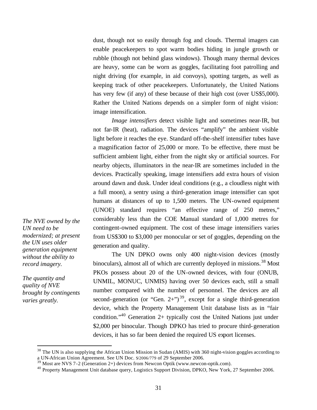dust, though not so easily through fog and clouds. Thermal imagers can enable peacekeepers to spot warm bodies hiding in jungle growth or rubble (though not behind glass windows). Though many thermal devices are heavy, some can be worn as goggles, facilitating foot patrolling and night driving (for example, in aid convoys), spotting targets, as well as keeping track of other peacekeepers. Unfortunately, the United Nations has very few (if any) of these because of their high cost (over US\$5,000). Rather the United Nations depends on a simpler form of night vision: image intensification.

*Image intensifiers* detect visible light and sometimes near-IR, but not far-IR (heat), radiation. The devices "amplify" the ambient visible light before it reaches the eye. Standard off-the-shelf intensifier tubes have a magnification factor of 25,000 or more. To be effective, there must be sufficient ambient light, either from the night sky or artificial sources. For nearby objects, illuminators in the near-IR are sometimes included in the devices. Practically speaking, image intensifiers add extra hours of vision around dawn and dusk. Under ideal conditions (e.g., a cloudless night with a full moon), a sentry using a third-generation image intensifier can spot humans at distances of up to 1,500 meters. The UN-owned equipment (UNOE) standard requires "an effective range of 250 metres," considerably less than the COE Manual standard of 1,000 metres for contingent-owned equipment. The cost of these image intensifiers varies from US\$300 to \$3,000 per monocular or set of goggles, depending on the generation and quality.

The UN DPKO owns only 400 night-vision devices (mostly binoculars), almost all of which are currently deployed in missions.<sup>38</sup> Most PKOs possess about 20 of the UN-owned devices, with four (ONUB, UNMIL, MONUC, UNMIS) having over 50 devices each, still a small number compared with the number of personnel. The devices are all second-generation (or "Gen. 2+")<sup>39</sup>, except for a single third-generation device, which the Property Management Unit database lists as in "fair condition."<sup>40</sup> Generation 2+ typically cost the United Nations just under \$2,000 per binocular. Though DPKO has tried to procure third-generation devices, it has so far been denied the required US export licenses.

<sup>38</sup> The UN is also supplying the African Union Mission in Sudan (AMIS) with 360 night-vision goggles according to a UN-African Union Agreement. See UN Doc. S/2006/779 of 29 September 2006.

*The NVE owned by the UN need to be modernized; at present the UN uses older generation equipment without the ability to record imagery.* 

*The quantity and quality of NVE brought by contingents varies greatly.* 

 $39$  Most are NVS 7-2 (Generation 2+) devices from Newcon Optik (www.newcon-optik.com).

<sup>&</sup>lt;sup>40</sup> Property Management Unit database query, Logistics Support Division, DPKO, New York, 27 September 2006.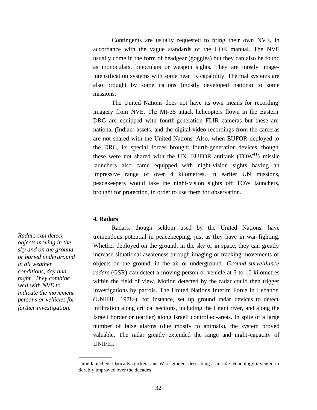Contingents are usually requested to bring their own NVE, in accordance with the vague standards of the COE manual. The NVE usually come in the form of headgear (goggles) but they can also be found as monoculars, binoculars or weapon sights. They are mostly imageintensification systems with some near IR capability. Thermal systems are also brought by some nations (mostly developed nations) to some missions.

The United Nations does not have its own means for recording imagery from NVE. The MI-35 attack helicopters flown in the Eastern DRC are equipped with fourth-generation FLIR cameras but these are national (Indian) assets, and the digital video recordings from the cameras are not shared with the United Nations. Also, when EUFOR deployed to the DRC, its special forces brought fourth-generation devices, though these were not shared with the UN. EUFOR antitank  $(TOW<sup>41</sup>)$  missile launchers also came equipped with night-vision sights having an impressive range of over 4 kilometres. In earlier UN missions, peacekeepers would take the night-vision sights off TOW launchers, brought for protection, in order to use them for observation.

## **4. Radars**

Radars, though seldom used by the United Nations, have tremendous potential in peacekeeping, just as they have in war-fighting. Whether deployed on the ground, in the sky or in space, they can greatly increase situational awareness through imaging or tracking movements of objects on the ground, in the air or underground. *Ground surveillance radars* (GSR) can detect a moving person or vehicle at 3 to 10 kilometres within the field of view. Motion detected by the radar could then trigger investigations by patrols. The United Nations Interim Force in Lebanon (UNIFIL, 1978-), for instance, set up ground radar devices to detect infiltration along critical sections, including the Litani river, and along the Israeli border or (earlier) along Israeli controlled-areas. In spite of a large number of false alarms (due mostly to animals), the system proved valuable. The radar greatly extended the range and night-capacity of UNIFIL.

*Radars can detect objects moving in the sky and on the ground or buried underground in all weather conditions, day and night. They combine well with NVE to indicate the movement persons or vehicles for further investigation.* 

Tube-launched, Optically-tracked, and Wire-guided, describing a missile technology invented in derably improved over the decades.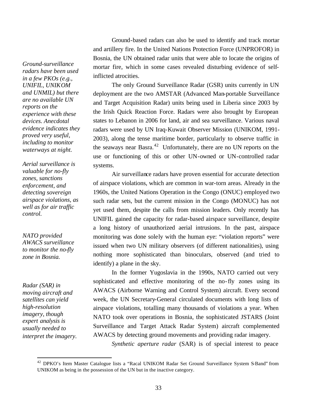*Ground-surveillance radars have been used in a few PKOs (e.g., UNIFIL, UNIKOM and UNMIL) but there are no available UN reports on the experience with these devices. Anecdotal evidence indicates they proved very useful, including to monitor waterways at night.*

*Aerial surveillance is valuable for no-fly zones, sanctions enforcement, and detecting sovereign airspace violations, as well as for air traffic control.* 

*NATO provided AWACS surveillance to monitor the no-fly zone in Bosnia.* 

*Radar (SAR) in moving aircraft and satellites can yield high-resolution imagery, though expert analysis is usually needed to interpret the imagery.* 

 $\overline{a}$ 

Ground-based radars can also be used to identify and track mortar and artillery fire. In the United Nations Protection Force (UNPROFOR) in Bosnia, the UN obtained radar units that were able to locate the origins of mortar fire, which in some cases revealed disturbing evidence of selfinflicted atrocities.

The only Ground Surveillance Radar (GSR) units currently in UN deployment are the two AMSTAR (Advanced Man-portable Surveillance and Target Acquisition Radar) units being used in Liberia since 2003 by the Irish Quick Reaction Force. Radars were also brought by European states to Lebanon in 2006 for land, air and sea surveillance. Various naval radars were used by UN Iraq-Kuwait Observer Mission (UNIKOM, 1991- 2003), along the tense maritime border, particularly to observe traffic in the seaways near Basra.<sup>42</sup> Unfortunately, there are no UN reports on the use or functioning of this or other UN-owned or UN-controlled radar systems.

Air surveillance radars have proven essential for accurate detection of airspace violations, which are common in war-torn areas. Already in the 1960s, the United Nations Operation in the Congo (ONUC) employed two such radar sets, but the current mission in the Congo (MONUC) has not yet used them, despite the calls from mission leaders. Only recently has UNIFIL gained the capacity for radar-based airspace surveillance, despite a long history of unauthorized aerial intrusions. In the past, airspace monitoring was done solely with the human eye: "violation reports" were issued when two UN military observers (of different nationalities), using nothing more sophisticated than binoculars, observed (and tried to identify) a plane in the sky.

In the former Yugoslavia in the 1990s, NATO carried out very sophisticated and effective monitoring of the no-fly zones using its AWACS (Airborne Warning and Control System) aircraft. Every second week, the UN Secretary-General circulated documents with long lists of airspace violations, totalling many thousands of violations a year. When NATO took over operations in Bosnia, the sophisticated JSTARS (Joint Surveillance and Target Attack Radar System) aircraft complemented AWACS by detecting ground movements and providing radar imagery.

*Synthetic aperture radar* (SAR) is of special interest to peace

<sup>&</sup>lt;sup>42</sup> DPKO's Item Master Catalogue lists a "Racal UNIKOM Radar Set Ground Surveillance System S-Band" from UNIKOM as being in the possession of the UN but in the inactive category.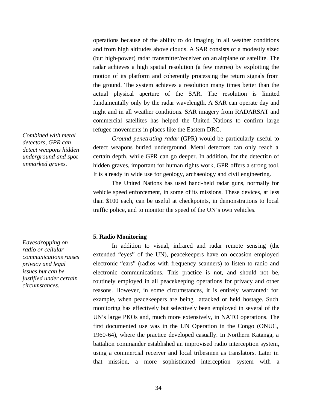operations because of the ability to do imaging in all weather conditions and from high altitudes above clouds. A SAR consists of a modestly sized (but high-power) radar transmitter/receiver on an airplane or satellite. The radar achieves a high spatial resolution (a few metres) by exploiting the motion of its platform and coherently processing the return signals from the ground. The system achieves a resolution many times better than the actual physical aperture of the SAR. The resolution is limited fundamentally only by the radar wavelength. A SAR can operate day and night and in all weather conditions. SAR imagery from RADARSAT and commercial satellites has helped the United Nations to confirm large refugee movements in places like the Eastern DRC.

*Ground penetrating radar* (GPR) would be particularly useful to detect weapons buried underground. Metal detectors can only reach a certain depth, while GPR can go deeper. In addition, for the detection of hidden graves, important for human rights work, GPR offers a strong tool. It is already in wide use for geology, archaeology and civil engineering.

The United Nations has used hand-held radar guns, normally for vehicle speed enforcement, in some of its missions. These devices, at less than \$100 each, can be useful at checkpoints, in demonstrations to local traffic police, and to monitor the speed of the UN's own vehicles.

#### **5. Radio Monitoring**

In addition to visual, infrared and radar remote sensing (the extended "eyes" of the UN), peacekeepers have on occasion employed electronic "ears" (radios with frequency scanners) to listen to radio and electronic communications. This practice is not, and should not be, routinely employed in all peacekeeping operations for privacy and other reasons. However, in some circumstances, it is entirely warranted: for example, when peacekeepers are being attacked or held hostage. Such monitoring has effectively but selectively been employed in several of the UN's large PKOs and, much more extensively, in NATO operations. The first documented use was in the UN Operation in the Congo (ONUC, 1960-64), where the practice developed casually. In Northern Katanga, a battalion commander established an improvised radio interception system, using a commercial receiver and local tribesmen as translators. Later in that mission, a more sophisticated interception system with a

*Combined with metal detectors, GPR can detect weapons hidden underground and spot unmarked graves.* 

*Eavesdropping on radio or cellular communications raises privacy and legal issues but can be justified under certain circumstances.*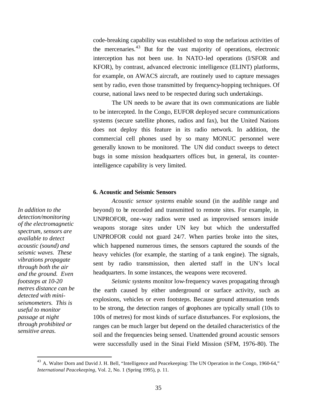code-breaking capability was established to stop the nefarious activities of the mercenaries.<sup>43</sup> But for the vast majority of operations, electronic interception has not been use. In NATO-led operations (I/SFOR and KFOR), by contrast, advanced electronic intelligence (ELINT) platforms, for example, on AWACS aircraft, are routinely used to capture messages sent by radio, even those transmitted by frequency-hopping techniques. Of course, national laws need to be respected during such undertakings.

The UN needs to be aware that its own communications are liable to be intercepted. In the Congo, EUFOR deployed secure communications systems (secure satellite phones, radios and fax), but the United Nations does not deploy this feature in its radio network. In addition, the commercial cell phones used by so many MONUC personnel were generally known to be monitored. The UN did conduct sweeps to detect bugs in some mission headquarters offices but, in general, its counterintelligence capability is very limited.

#### **6. Acoustic and Seismic Sensors**

*Acoustic sensor systems* enable sound (in the audible range and beyond) to be recorded and transmitted to remote sites. For example, in UNPROFOR, one-way radios were used as improvised sensors inside weapons storage sites under UN key but which the understaffed UNPROFOR could not guard 24/7. When parties broke into the sites, which happened numerous times, the sensors captured the sounds of the heavy vehicles (for example, the starting of a tank engine). The signals, sent by radio transmission, then alerted staff in the UN's local headquarters. In some instances, the weapons were recovered.

*Seismic systems* monitor low-frequency waves propagating through the earth caused by either underground or surface activity, such as explosions, vehicles or even footsteps. Because ground attenuation tends to be strong, the detection ranges of geophones are typically small (10s to 100s of metres) for most kinds of surface disturbances. For explosions, the ranges can be much larger but depend on the detailed characteristics of the soil and the frequencies being sensed. Unattended ground acoustic sensors were successfully used in the Sinai Field Mission (SFM, 1976-80). The

*In addition to the detection/monitoring of the electromagnetic spectrum, sensors are available to detect acoustic (sound) and seismic waves. These vibrations propagate through both the air and the ground. Even footsteps at 10-20 metres distance can be detected with miniseismometers. This is useful to monitor passage at night through prohibited or sensitive areas.* 

<sup>&</sup>lt;sup>43</sup> A. Walter Dorn and David J. H. Bell, "Intelligence and Peacekeeping: The UN Operation in the Congo, 1960-64," *International Peacekeeping*, Vol. 2, No. 1 (Spring 1995), p. 11.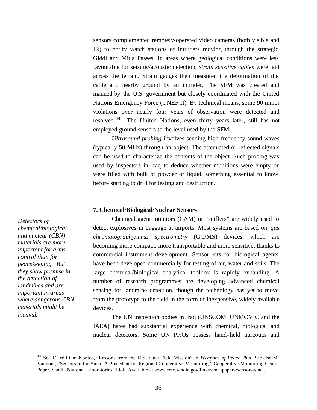sensors complemented remotely-operated video cameras (both visible and IR) to notify watch stations of intruders moving through the strategic Giddi and Mitla Passes. In areas where geological conditions were less favourable for seismic/acoustic detection, *strain sensitive cables* were laid across the terrain. Strain gauges then measured the deformation of the cable and nearby ground by an intruder. The SFM was created and manned by the U.S. government but closely coordinated with the United Nations Emergency Force (UNEF II). By technical means, some 90 minor violations over nearly four years of observation were detected and resolved.<sup>44</sup> The United Nations, even thirty years later, still has not employed ground sensors to the level used by the SFM.

*Ultrasound probing* involves sending high-frequency sound waves (typically 50 MHz) through an object. The attenuated or reflected signals can be used to characterize the contents of the object. Such probing was used by inspectors in Iraq to deduce whether munitions were empty or were filled with bulk or powder or liquid, something essential to know before starting to drill for testing and destruction.

#### **7. Chemical/Biological/Nuclear Sensors**

Chemical agent monitors (CAM) or "sniffers" are widely used to detect explosives in baggage at airports. Most systems are based on *gas chromatography/mass spectrometry* (GC/MS) devices, which are becoming more compact, more transportable and more sensitive, thanks to commercial instrument development. Sensor kits for biological agents have been developed commercially for testing of air, water and soils. The large chemical/biological analytical toolbox is rapidly expanding. A number of research programmes are developing advanced chemical sensing for landmine detection, though the technology has yet to move from the prototype to the field in the form of inexpensive, widely available devices.

The UN inspection bodies in Iraq (UNSCOM, UNMOVIC and the IAEA) have had substantial experience with chemical, biological and nuclear detectors. Some UN PKOs possess hand-held narcotics and

*Detectors of chemical/biological and nuclear (CBN) materials are more important for arms control than for peacekeeping. But they show promise in the detection of landmines and are important in areas where dangerous CBN materials might be located.* 

<sup>44</sup> See C. William Kontos, "Lessons from the U.S. Sinai Field Mission" in *Weapons of Peace*, *ibid.* See also M. Vannoni, "Sensors in the Sinai: A Precedent for Regional Cooperative Monitoring," Cooperative Monitoring Centre Paper, Sandia National Laboratories, 1986. Available at www.cmc.sandia.gov/links/cmc -papers/sensors-sinai.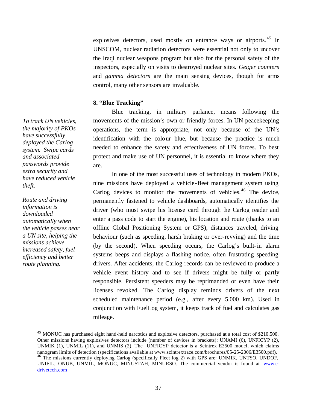explosives detectors, used mostly on entrance ways or airports.<sup>45</sup> In UNSCOM, nuclear radiation detectors were essential not only to uncover the Iraqi nuclear weapons program but also for the personal safety of the inspectors, especially on visits to destroyed nuclear sites. *Geiger counters* and *gamma detectors* are the main sensing devices, though for arms control, many other sensors are invaluable.

## **8. "Blue Tracking"**

Blue tracking, in military parlance, means following the movements of the mission's own or friendly forces. In UN peacekeeping operations, the term is appropriate, not only because of the UN's identification with the colour blue, but because the practice is much needed to enhance the safety and effectiveness of UN forces. To best protect and make use of UN personnel, it is essential to know where they are.

In one of the most successful uses of technology in modern PKOs, nine missions have deployed a vehicle-fleet management system using Carlog devices to monitor the movements of vehicles.<sup>46</sup> The device, permanently fastened to vehicle dashboards, automatically identifies the driver (who must swipe his license card through the Carlog reader and enter a pass code to start the engine), his location and route (thanks to an offline Global Positioning System or GPS), distances traveled, driving behaviour (such as speeding, harsh braking or over-revving) and the time (by the second). When speeding occurs, the Carlog's built-in alarm systems beeps and displays a flashing notice, often frustrating speeding drivers. After accidents, the Carlog records can be reviewed to produce a vehicle event history and to see if drivers might be fully or partly responsible. Persistent speeders may be reprimanded or even have their licenses revoked. The Carlog display reminds drivers of the next scheduled maintenance period (e.g., after every 5,000 km). Used in conjunction with FuelLog system, it keeps track of fuel and calculates gas mileage.

*To track UN vehicles, the majority of PKOs have successfully deployed the Carlog system. Swipe cards and associated passwords provide extra security and have reduced vehicle theft.* 

*Route and driving information is downloaded automatically when the vehicle passes near a UN site, helping the missions achieve increased safety, fuel efficiency and better route planning.* 

<sup>&</sup>lt;sup>45</sup> MONUC has purchased eight hand-held narcotics and explosive detectors, purchased at a total cost of \$210,500. Other missions having explosives detectors include (number of devices in brackets): UNAMI (6), UNFICYP (2), UNMIK (1), UNMIL (11), and UNMIS (2). The UNFICYP detector is a Scintrex E3500 model, which claims nanogram limits of detection (specifications available at www.scintrextrace.com/brochures/05-25-2006/E3500.pdf). <sup>46</sup> The missions currently deploying Carlog (specifically Fleet log 2) with GPS are: UNMIK, UNTSO, UNDOF, UNIFIL, ONUB, UNMIL, MONUC, MINUSTAH, MINURSO. The commercial vendor is found at www.edrivetech.com.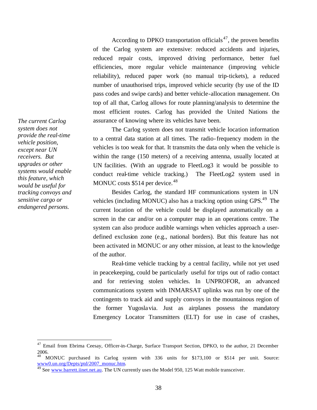According to DPKO transportation officials<sup>47</sup>, the proven benefits of the Carlog system are extensive: reduced accidents and injuries, reduced repair costs, improved driving performance, better fuel efficiencies, more regular vehicle maintenance (improving vehicle reliability), reduced paper work (no manual trip-tickets), a reduced number of unauthorised trips, improved vehicle security (by use of the ID pass codes and swipe cards) and better vehicle-allocation management. On top of all that, Carlog allows for route planning/analysis to determine the most efficient routes. Carlog has provided the United Nations the assurance of knowing where its vehicles have been.

The Carlog system does not transmit vehicle location information to a central data station at all times. The radio-frequency modem in the vehicles is too weak for that. It transmits the data only when the vehicle is within the range (150 meters) of a receiving antenna, usually located at UN facilities. (With an upgrade to FleetLog3 it would be possible to conduct real-time vehicle tracking.) The FleetLog2 system used in MONUC costs  $$514$  per device.<sup>48</sup>

Besides Carlog, the standard HF communications system in UN vehicles (including MONUC) also has a tracking option using GPS.<sup>49</sup> The current location of the vehicle could be displayed automatically on a screen in the car and/or on a computer map in an operations centre. The system can also produce audible warnings when vehicles approach a userdefined exclusion zone (e.g., national borders). But this feature has not been activated in MONUC or any other mission, at least to the knowledge of the author.

Real-time vehicle tracking by a central facility, while not yet used in peacekeeping, could be particularly useful for trips out of radio contact and for retrieving stolen vehicles. In UNPROFOR, an advanced communications system with INMARSAT uplinks was run by one of the contingents to track aid and supply convoys in the mountainous region of the former Yugoslavia. Just as airplanes possess the mandatory Emergency Locator Transmitters (ELT) for use in case of crashes,

*The current Carlog system does not provide the real-time vehicle position, except near UN receivers. But upgrades or other systems would enable this feature, which would be useful for tracking convoys and sensitive cargo or endangered persons.* 

<sup>&</sup>lt;sup>47</sup> Email from Ebrima Ceesay, Officer-in-Charge, Surface Transport Section, DPKO, to the author, 21 December 2006.

<sup>48</sup> MONUC purchased its Carlog system with 336 units for \$173,100 or \$514 per unit. Source: www0.un.org/Depts/ptd/2007\_monuc.htm.

<sup>&</sup>lt;sup>49</sup> See www.barrett.iinet.net.au. The UN currently uses the Model 950, 125 Watt mobile transceiver.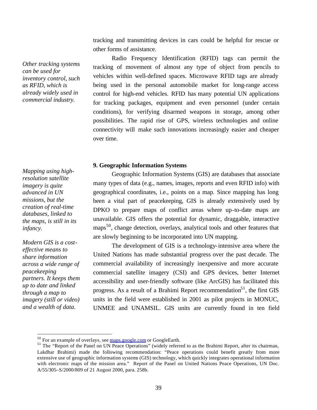tracking and transmitting devices in cars could be helpful for rescue or other forms of assistance.

Radio Frequency Identification (RFID) tags can permit the tracking of movement of almost any type of object from pencils to vehicles within well-defined spaces. Microwave RFID tags are already being used in the personal automobile market for long-range access control for high-end vehicles. RFID has many potential UN applications for tracking packages, equipment and even personnel (under certain conditions), for verifying disarmed weapons in storage, among other possibilities. The rapid rise of GPS, wireless technologies and online connectivity will make such innovations increasingly easier and cheaper over time.

#### **9. Geographic Information Systems**

Geographic Information Systems (GIS) are databases that associate many types of data (e.g., names, images, reports and even RFID info) with geographical coordinates, i.e., points on a map. Since mapping has long been a vital part of peacekeeping, GIS is already extensively used by DPKO to prepare maps of conflict areas where up-to-date maps are unavailable. GIS offers the potential for dynamic, draggable, interactive maps<sup>50</sup>, change detection, overlays, analytical tools and other features that are slowly beginning to be incorporated into UN mapping.

The development of GIS is a technology-intensive area where the United Nations has made substantial progress over the past decade. The commercial availability of increasingly inexpensive and more accurate commercial satellite imagery (CSI) and GPS devices, better Internet accessibility and user-friendly software (like ArcGIS) has facilitated this progress. As a result of a Brahimi Report recommendation<sup>51</sup>, the first GIS units in the field were established in 2001 as pilot projects in MONUC, UNMEE and UNAMSIL. GIS units are currently found in ten field

*Other tracking systems can be used for inventory control, such as RFID, which is already widely used in commercial industry.* 

*Mapping using highresolution satellite imagery is quite advanced in UN missions, but the creation of real-time databases, linked to the maps, is still in its infancy.* 

*Modern GIS is a costeffective means to share information across a wide range of peacekeeping partners. It keeps them up to date and linked through a map to imagery (still or video) and a wealth of data.*

<sup>&</sup>lt;sup>50</sup> For an example of overlays, see maps.google.com or GoogleEarth.

<sup>&</sup>lt;sup>51</sup> The "Report of the Panel on UN Peace Operations" (widely referred to as the Brahimi Report, after its chairman, Lakdhar Brahimi) made the following recommendation: "Peace operations could benefit greatly from more extensive use of geographic information systems (GIS) technology, which quickly integrates operational information with electronic maps of the mission area." Report of the Panel on United Nations Peace Operations, UN Doc. A/55/305–S/2000/809 of 21 August 2000, para. 258b.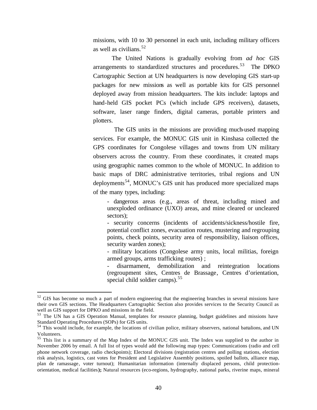missions, with 10 to 30 personnel in each unit, including military officers as well as civilians.  $52$ 

The United Nations is gradually evolving from *ad hoc* GIS arrangements to standardized structures and procedures.<sup>53</sup> The DPKO Cartographic Section at UN headquarters is now developing GIS start-up packages for new missions as well as portable kits for GIS personnel deployed away from mission headquarters. The kits include: laptops and hand-held GIS pocket PCs (which include GPS receivers), datasets, software, laser range finders, digital cameras, portable printers and plotters.

 The GIS units in the missions are providing much-used mapping services. For example, the MONUC GIS unit in Kinshasa collected the GPS coordinates for Congolese villages and towns from UN military observers across the country. From these coordinates, it created maps using geographic names common to the whole of MONUC. In addition to basic maps of DRC administrative territories, tribal regions and UN deployments<sup>54</sup>, MONUC's GIS unit has produced more specialized maps of the many types, including:

- dangerous areas (e.g., areas of threat, including mined and unexploded ordinance (UXO) areas, and mine cleared or uncleared sectors);

- security concerns (incidents of accidents/sickness/hostile fire, potential conflict zones, evacuation routes, mustering and regrouping points, check points, security area of responsibility, liaison offices, security warden zones);

- military locations (Congolese army units, local militias, foreign armed groups, arms trafficking routes) ;

- disarmament, demobilization and reintegration locations (regroupment sites, Centres de Brassage, Centres d'orientation, special child soldier camps).<sup>55</sup>

 $52$  GIS has become so much a part of modern engineering that the engineering branches in several missions have their own GIS sections. The Headquarters Cartographic Section also provides services to the Security Council as well as GIS support for DPKO and missions in the field.

<sup>&</sup>lt;sup>53</sup> The UN has a GIS Operation Manual, templates for resource planning, budget guidelines and missions have Standard Operating Procedures (SOPs) for GIS units.

<sup>&</sup>lt;sup>54</sup> This would include, for example, the locations of civilian police, military observers, national battalions, and UN Volunteers.

<sup>&</sup>lt;sup>55</sup> This list is a summary of the Map Index of the MONUC GIS unit. The Index was supplied to the author in November 2006 by email. A full list of types would add the following map types: Communications (radio and cell phone network coverage, radio checkpoints); Electoral divisions (registration centres and polling stations, election risk analysis, logistics, cast votes for President and Legislative Assembly positions, spoiled ballots, alliance map, plan de ramassage, voter turnout); Humanitarian information (internally displaced persons, child protectionorientation, medical facilities**);** Natural resources (eco-regions, hydrography, national parks, riverine maps, mineral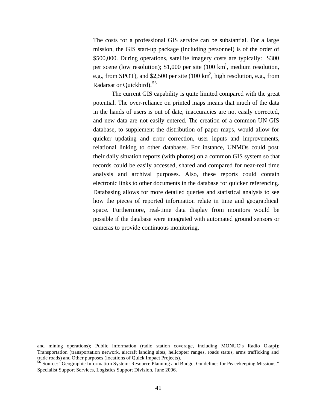The costs for a professional GIS service can be substantial. For a large mission, the GIS start-up package (including personnel) is of the order of \$500,000. During operations, satellite imagery costs are typically: \$300 per scene (low resolution); \$1,000 per site  $(100 \text{ km}^2, \text{ medium resolution},$ e.g., from SPOT), and \$2,500 per site  $(100 \text{ km}^2, \text{high resolution}, \text{e.g., from})$ Radarsat or Quickbird).<sup>56</sup>

The current GIS capability is quite limited compared with the great potential. The over-reliance on printed maps means that much of the data in the hands of users is out of date, inaccuracies are not easily corrected, and new data are not easily entered. The creation of a common UN GIS database, to supplement the distribution of paper maps, would allow for quicker updating and error correction, user inputs and improvements, relational linking to other databases. For instance, UNMOs could post their daily situation reports (with photos) on a common GIS system so that records could be easily accessed, shared and compared for near-real time analysis and archival purposes. Also, these reports could contain electronic links to other documents in the database for quicker referencing. Databasing allows for more detailed queries and statistical analysis to see how the pieces of reported information relate in time and geographical space. Furthermore, real-time data display from monitors would be possible if the database were integrated with automated ground sensors or cameras to provide continuous monitoring.

and mining operations); Public information (radio station coverage, including MONUC's Radio Okapi); Transportation (transportation network, aircraft landing sites, helicopter ranges, roads status, arms trafficking and trade roads) and Other purposes (locations of Quick Impact Projects).

<sup>56</sup> Source: "Geographic Information System: Resource Planning and Budget Guidelines for Peacekeeping Missions," Specialist Support Services, Logistics Support Division, June 2006.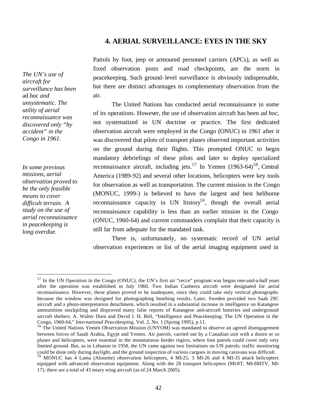## **4. AERIAL SURVEILLANCE: EYES IN THE SKY**

*The UN's use of aircraft for surveillance has been*  ad hoc *and unsystematic. The utility of aerial reconnaissance was discovered only "by accident" in the Congo in 1961.* 

*In some previous missions, aerial observation proved to be the only feasible means to cover difficult terrain. A study on the use of aerial reconnaissance in peacekeeping is long overdue.* 

 $\overline{a}$ 

Patrols by foot, jeep or armoured personnel carriers (APCs), as well as fixed observation posts and road checkpoints, are the norm in peacekeeping. Such ground-level surveillance is obviously indispensable, but there are distinct advantages to complementary observation from the air.

The United Nations has conducted aerial reconnaissance in some of its operations. However, the use of observation aircraft has been *ad hoc*, not systematized in UN doctrine or practice. The first dedicated observation aircraft were employed in the Congo (ONUC) in 1961 after it was discovered that pilots of transport planes observed important activities on the ground during their flights. This prompted ONUC to begin mandatory debriefings of these pilots and later to deploy specialized reconnaissance aircraft, including jets.<sup>57</sup> In Yemen  $(1963-64)^{58}$ , Central America (1989-92) and several other locations, helicopters were key tools for observation as well as transportation. The current mission in the Congo (MONUC, 1999-) is believed to have the largest and best heliborne reconnaissance capacity in UN history<sup>59</sup>, though the overall aerial reconnaissance capability is less than an earlier mission in the Congo (ONUC, 1960-64) and current commanders complain that their capacity is still far from adequate for the mandated task.

There is, unfortunately, no systematic record of UN aerial observation experiences or list of the aerial imaging equipment used in

 $57$  In the UN Operation in the Congo (ONUC), the UN's first air "recce" program was begun one-and-a-half years after the operation was established in July 1960. Two Indian Canberra aircraft were designated for aerial reconnaissance. However, these planes proved to be inadequate, since they could take only vertical photographs because the window was designed for photographing bombing results. Later, Sweden provided two Saab 29C aircraft and a photo-interpretation detachment, which resulted in a substantial increase in intelligence on Katangese ammunition stockpiling and disproved many false reports of Katangese anti-aircraft batteries and underground aircraft shelters. A. Walter Dorn and David J. H. Bell, "Intelligence and Peacekeeping: The UN Operation in the Congo, 1960-64," *International Peacekeeping*, Vol. 2, No. 1 (Spring 1995), p.11.

<sup>58</sup> The United Nations Yemen Observation Mission (UNYOM) was mandated to observe an agreed disengagement between forces of Saudi Arabia, Egypt and Yemen. Air patrols, carried out by a Canadian unit with a dozen or so planes and helicopters, were essential in the mountainous border region, where foot patrols could cover only very limited ground. But, as in Lebanon in 1958, the UN came against two limitations on UN patrols: traffic monitoring could be done only during daylight, and the ground inspection of various cargoes in moving caravans was difficult.

<sup>59</sup> MONUC has 4 Lama (Alouette) observation helicopters, 4 MI-25, 3 MI-26 and 4 MI-35 attack helicopters equipped with advanced observation equipment. Along with the 28 transport helicopters (MI-8T, MI-8MTV, MI-17), there are a total of 43 rotary wing aircraft (as of 24 March 2005).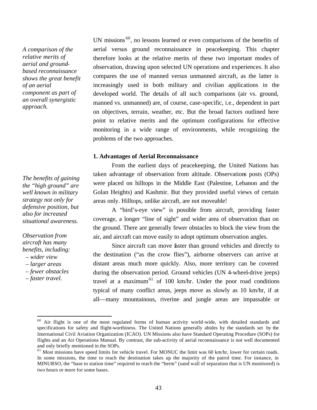*A comparison of the relative merits of aerial and groundbased reconnaissance shows the great benefit of an aerial component as part of an overall synergistic approach.* 

*The benefits of gaining the "high ground" are well known in military strategy not only for defensive position, but also for increased situational awareness.* 

## *Observation from aircraft has many benefits, including:*

- *wider view*
- *larger areas*
- *fewer obstacles*
- *faster travel.*

 $\overline{a}$ 

UN missions  $60$ , no lessons learned or even comparisons of the benefits of aerial versus ground reconnaissance in peacekeeping. This chapter therefore looks at the relative merits of these two important modes of observation, drawing upon selected UN operations and experiences. It also compares the use of manned versus unmanned aircraft, as the latter is increasingly used in both military and civilian applications in the developed world. The details of all such comparisons (air vs. ground, manned vs. unmanned) are, of course, case-specific, i.e., dependent in part on objectives, terrain, weather, etc. But the broad factors outlined here point to relative merits and the optimum configurations for effective monitoring in a wide range of environments, while recognizing the problems of the two approaches.

## **1. Advantages of Aerial Reconnaissance**

From the earliest days of peacekeeping, the United Nations has taken advantage of observation from altitude. Observations posts (OPs) were placed on hilltops in the Middle East (Palestine, Lebanon and the Golan Heights) and Kashmir. But they provided useful views of certain areas only. Hilltops, unlike aircraft, are not moveable!

A "bird's-eye view" is possible from aircraft, providing faster coverage, a longer "line of sight" and wider area of observation than on the ground. There are generally fewer obstacles to block the view from the air, and aircraft can move easily to adopt optimum observation angles.

Since aircraft can move faster than ground vehicles and directly to the destination ("as the crow flies"), airborne observers can arrive at distant areas much more quickly. Also, more territory can be covered during the observation period. Ground vehicles (UN 4-wheel-drive jeeps) travel at a maximum<sup>61</sup> of 100 km/hr. Under the poor road conditions typical of many conflict areas, jeeps move as slowly as 10 km/hr, if at all—many mountainous, riverine and jungle areas are impassable or

<sup>&</sup>lt;sup>60</sup> Air flight is one of the most regulated forms of human activity world-wide, with detailed standards and specifications for safety and flight-worthiness. The United Nations generally abides by the standards set by the International Civil Aviation Organization (ICAO). UN Missions also have Standard Operating Procedure (SOPs) for flights and an Air Operations Manual. By contrast, the sub-activity of aerial reconnaissance is not well documented and only briefly mentioned in the SOPs.

 $<sup>61</sup>$  Most missions have speed limits for vehicle travel. For MONUC the limit was 60 km/hr, lower for certain roads.</sup> In some missions, the time to reach the destination takes up the majority of the patrol time. For instance, in MINURSO, the "base to station time" required to reach the "berm" (sand wall of separation that is UN monitored) is two hours or more for some bases.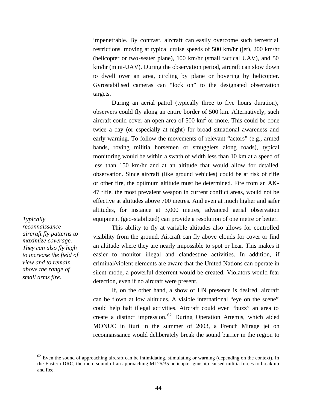impenetrable. By contrast, aircraft can easily overcome such terrestrial restrictions, moving at typical cruise speeds of 500 km/hr (jet), 200 km/hr (helicopter or two-seater plane), 100 km/hr (small tactical UAV), and 50 km/hr (mini-UAV). During the observation period, aircraft can slow down to dwell over an area, circling by plane or hovering by helicopter. Gyrostabilised cameras can "lock on" to the designated observation targets.

During an aerial patrol (typically three to five hours duration), observers could fly along an entire border of 500 km. Alternatively, such aircraft could cover an open area of  $500 \text{ km}^2$  or more. This could be done twice a day (or especially at night) for broad situational awareness and early warning. To follow the movements of relevant "actors" (e.g., armed bands, roving militia horsemen or smugglers along roads), typical monitoring would be within a swath of width less than 10 km at a speed of less than 150 km/hr and at an altitude that would allow for detailed observation. Since aircraft (like ground vehicles) could be at risk of rifle or other fire, the optimum altitude must be determined. Fire from an AK-47 rifle, the most prevalent weapon in current conflict areas, would not be effective at altitudes above 700 metres. And even at much higher and safer altitudes, for instance at 3,000 metres, advanced aerial observation equipment (geo-stabilized) can provide a resolution of one metre or better.

*Typically reconnaissance aircraft fly patterns to maximize coverage. They can also fly high to increase the field of view and to remain above the range of small arms fire.*

 $\overline{a}$ 

This ability to fly at variable altitudes also allows for controlled visibility from the ground. Aircraft can fly above clouds for cover or find an altitude where they are nearly impossible to spot or hear. This makes it easier to monitor illegal and clandestine activities. In addition, if criminal/violent elements are aware that the United Nations can operate in silent mode, a powerful deterrent would be created. Violators would fear detection, even if no aircraft were present.

If, on the other hand, a show of UN presence is desired, aircraft can be flown at low altitudes. A visible international "eye on the scene" could help halt illegal activities. Aircraft could even "buzz" an area to create a distinct impression. <sup>62</sup> During Operation Artemis, which aided MONUC in Ituri in the summer of 2003, a French Mirage jet on reconnaissance would deliberately break the sound barrier in the region to

 $62$  Even the sound of approaching aircraft can be intimidating, stimulating or warning (depending on the context). In the Eastern DRC, the mere sound of an approaching MI-25/35 helicopter gunship caused militia forces to break up and flee.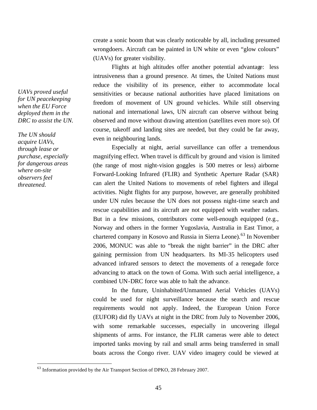create a sonic boom that was clearly noticeable by all, including presumed wrongdoers. Aircraft can be painted in UN white or even "glow colours" (UAVs) for greater visibility.

Flights at high altitudes offer another potential advantage: less intrusiveness than a ground presence. At times, the United Nations must reduce the visibility of its presence, either to accommodate local sensitivities or because national authorities have placed limitations on freedom of movement of UN ground vehicles. While still observing national and international laws, UN aircraft can observe without being observed and move without drawing attention (satellites even more so). Of course, takeoff and landing sites are needed, but they could be far away, even in neighbouring lands.

Especially at night, aerial surveillance can offer a tremendous magnifying effect. When travel is difficult by ground and vision is limited (the range of most night-vision goggles is 500 metres or less) airborne Forward-Looking Infrared (FLIR) and Synthetic Aperture Radar (SAR) can alert the United Nations to movements of rebel fighters and illegal activities. Night flights for any purpose, however, are generally prohibited under UN rules because the UN does not possess night-time search and rescue capabilities and its aircraft are not equipped with weather radars. But in a few missions, contributors come well-enough equipped (e.g., Norway and others in the former Yugoslavia, Australia in East Timor, a chartered company in Kosovo and Russia in Sierra Leone).<sup>63</sup> In November 2006, MONUC was able to "break the night barrier" in the DRC after gaining permission from UN headquarters. Its MI-35 helicopters used advanced infrared sensors to detect the movements of a renegade force advancing to attack on the town of Goma. With such aerial intelligence, a combined UN-DRC force was able to halt the advance.

In the future, Uninhabited/Unmanned Aerial Vehicles (UAVs) could be used for night surveillance because the search and rescue requirements would not apply. Indeed, the European Union Force (EUFOR) did fly UAVs at night in the DRC from July to November 2006, with some remarkable successes, especially in uncovering illegal shipments of arms. For instance, the FLIR cameras were able to detect imported tanks moving by rail and small arms being transferred in small boats across the Congo river. UAV video imagery could be viewed at

*UAVs proved useful for UN peacekeeping when the EU Force deployed them in the DRC to assist the UN.* 

*The UN should acquire UAVs, through lease or purchase, especially for dangerous areas where on-site observers feel threatened.* 

<sup>&</sup>lt;sup>63</sup> Information provided by the Air Transport Section of DPKO, 28 February 2007.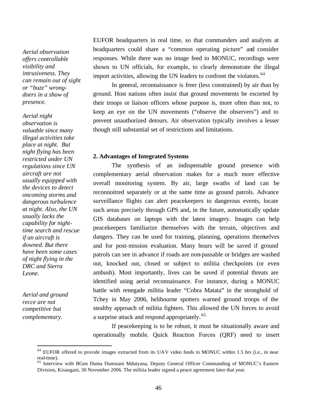*Aerial observation offers controllable visibility and intrusiveness. They can remain out of sight or "buzz" wrongdoers in a show of presence.* 

*Aerial night observation is valuable since many illegal activities take place at night. But night flying has been restricted under UN regulations since UN aircraft are not usually equipped with the devices to detect oncoming storms and dangerous turbulence at night. Also, the UN usually lacks the capability for nighttime search and rescue if an aircraft is downed. But there have been some cases of night flying in the DRC and Sierra Leone.* 

*Aerial and ground recce are not competitive but complementary.* 

 $\overline{a}$ 

EUFOR headquarters in real time, so that commanders and analysts at headquarters could share a "common operating picture" and consider responses. While there was no image feed to MONUC, recordings were shown to UN officials, for example, to clearly demonstrate the illegal import activities, allowing the UN leaders to confront the violators.<sup>64</sup>

In general, reconnaissance is freer (less constrained) by air than by ground. Host nations often insist that ground movements be escorted by their troops or liaison officers whose purpose is, more often than not, to keep an eye on the UN movements ("observe the observers") and to prevent unauthorized detours. Air observation typically involves a lesser though still substantial set of restrictions and limitations.

#### **2. Advantages of Integrated Systems**

The synthesis of an indispensable ground presence with complementary aerial observation makes for a much more effective overall monitoring system. By air, large swaths of land can be reconnoitred separately or at the same time as ground patrols. Advance surveillance flights can alert peacekeepers to dangerous events, locate such areas precisely through GPS and, in the future, automatically update GIS databases on laptops with the latest imagery. Images can help peacekeepers familiarize themselves with the terrain, objectives and dangers. They can be used for training, planning, operations themselves and for post-mission evaluation. Many hours will be saved if ground patrols can see in advance if roads are non-passable or bridges are washed out, knocked out, closed or subject to militia checkpoints (or even ambush). Most importantly, lives can be saved if potential threats are identified using aerial reconnaissance. For instance, during a MONUC battle with renegade militia leader "Cobra Matata" in the stronghold of Tchey in May 2006, helibourne spotters warned ground troops of the stealthy approach of militia fighters. This allowed the UN forces to avoid a surprise attack and respond appropriately. <sup>65</sup>

If peacekeeping is to be robust, it must be situationally aware and operationally mobile. Quick Reaction Forces (QRF) need to insert

<sup>&</sup>lt;sup>64</sup> EUFOR offered to provide images extracted from its UAV video feeds to MONUC within 1.5 hrs (i.e., in near real-time).

<sup>&</sup>lt;sup>65</sup> Interview with BGen Duma Dumisani Mdutyana, Deputy General Officer Commanding of MONUC's Eastern Division, Kisangani, 30 November 2006. The militia leader signed a peace agreement later that year.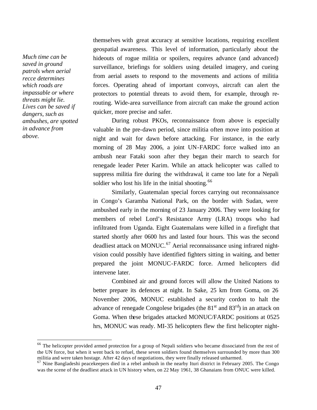*Much time can be saved in ground patrols when aerial recce determines which roads are impassable or where threats might lie. Lives can be saved if dangers, such as ambushes, are spotted in advance from above.* 

 $\overline{a}$ 

themselves with great accuracy at sensitive locations, requiring excellent geospatial awareness. This level of information, particularly about the hideouts of rogue militia or spoilers, requires advance (and advanced) surveillance, briefings for soldiers using detailed imagery, and cueing from aerial assets to respond to the movements and actions of militia forces. Operating ahead of important convoys, aircraft can alert the protectors to potential threats to avoid them, for example, through rerouting. Wide-area surveillance from aircraft can make the ground action quicker, more precise and safer.

During robust PKOs, reconnaissance from above is especially valuable in the pre-dawn period, since militia often move into position at night and wait for dawn before attacking. For instance, in the early morning of 28 May 2006, a joint UN-FARDC force walked into an ambush near Fataki soon after they began their march to search for renegade leader Peter Karim. While an attack helicopter was called to suppress militia fire during the withdrawal, it came too late for a Nepali soldier who lost his life in the initial shooting.<sup>66</sup>

Similarly, Guatemalan special forces carrying out reconnaissance in Congo's Garamba National Park, on the border with Sudan, were ambushed early in the morning of 23 January 2006. They were looking for members of rebel Lord's Resistance Army (LRA) troops who had infiltrated from Uganda. Eight Guatemalans were killed in a firefight that started shortly after 0600 hrs and lasted four hours. This was the second deadliest attack on MONUC.<sup>67</sup> Aerial reconnaissance using infrared nightvision could possibly have identified fighters sitting in waiting, and better prepared the joint MONUC-FARDC force. Armed helicopters did intervene later.

Combined air and ground forces will allow the United Nations to better prepare its defences at night. In Sake, 25 km from Goma, on 26 November 2006, MONUC established a security cordon to halt the advance of renegade Congolese brigades (the  $81<sup>st</sup>$  and  $83<sup>rd</sup>$ ) in an attack on Goma. When these brigades attacked MONUC/FARDC positions at 0525 hrs, MONUC was ready. MI-35 helicopters flew the first helicopter night-

<sup>&</sup>lt;sup>66</sup> The helicopter provided armed protection for a group of Nepali soldiers who became dissociated from the rest of the UN force, but when it went back to refuel, these seven soldiers found themselves surrounded by more than 300 militia and were taken hostage. After 42 days of negotiations, they were finally released unharmed.

<sup>&</sup>lt;sup>67</sup> Nine Bangladeshi peacekeepers died in a rebel ambush in the nearby Ituri district in February 2005. The Congo was the scene of the deadliest attack in UN history when, on 22 May 1961, 38 Ghanaians from ONUC were killed.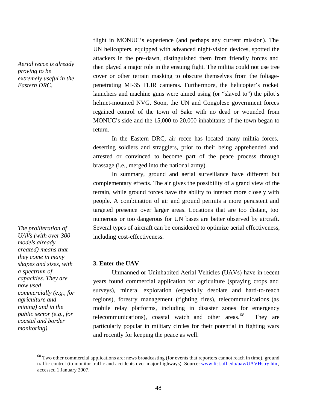*Aerial recce is already proving to be extremely useful in the Eastern DRC.* 

UN helicopters, equipped with advanced night-vision devices, spotted the attackers in the pre-dawn, distinguished them from friendly forces and then played a major role in the ensuing fight. The militia could not use tree cover or other terrain masking to obscure themselves from the foliagepenetrating MI-35 FLIR cameras. Furthermore, the helicopter's rocket launchers and machine guns were aimed using (or "slaved to") the pilot's helmet-mounted NVG. Soon, the UN and Congolese government forces regained control of the town of Sake with no dead or wounded from MONUC's side and the 15,000 to 20,000 inhabitants of the town began to return.

flight in MONUC's experience (and perhaps any current mission). The

In the Eastern DRC, air recce has located many militia forces, deserting soldiers and stragglers, prior to their being apprehended and arrested or convinced to become part of the peace process through brassage (i.e., merged into the national army).

In summary, ground and aerial surveillance have different but complementary effects. The air gives the possibility of a grand view of the terrain, while ground forces have the ability to interact more closely with people. A combination of air and ground permits a more persistent and targeted presence over larger areas. Locations that are too distant, too numerous or too dangerous for UN bases are better observed by aircraft. Several types of aircraft can be considered to optimize aerial effectiveness, including cost-effectiveness.

#### **3. Enter the UAV**

Unmanned or Uninhabited Aerial Vehicles (UAVs) have in recent years found commercial application for agriculture (spraying crops and surveys), mineral exploration (especially desolate and hard-to-reach regions), forestry management (fighting fires), telecommunications (as mobile relay platforms, including in disaster zones for emergency telecommunications), coastal watch and other areas. $68$  They are particularly popular in military circles for their potential in fighting wars and recently for keeping the peace as well.

*The proliferation of UAVs (with over 300 models already created) means that they come in many shapes and sizes, with a spectrum of capacities. They are now used commercially (e.g., for agriculture and mining) and in the public sector (e.g., for coastal and border monitoring).* 

 $^{68}$  Two other commercial applications are: news broadcasting (for events that reporters cannot reach in time), ground traffic control (to monitor traffic and accidents over major highways). Source: www.list.ufl.edu/uav/UAVHstry.htm, accessed 1 January 2007.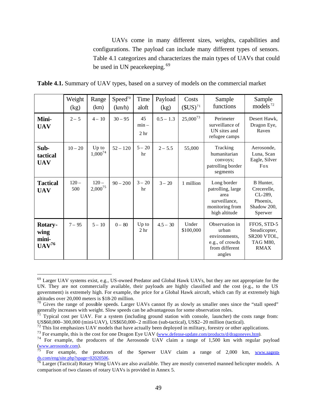UAVs come in many different sizes, weights, capabilities and configurations. The payload can include many different types of sensors. Table 4.1 categorizes and characterizes the main types of UAVs that could be used in UN peacekeeping.<sup>69</sup>

|                                               | Weight<br>(kg) | Range<br>(km)           | Speed <sup>70</sup><br>(km/h) | Time<br>aloft                    | Payload<br>(kg) | Costs<br>$(SUS)^{71}$ | Sample<br>functions                                                                           | Sample<br>models $72$                                                     |
|-----------------------------------------------|----------------|-------------------------|-------------------------------|----------------------------------|-----------------|-----------------------|-----------------------------------------------------------------------------------------------|---------------------------------------------------------------------------|
| Mini-<br><b>UAV</b>                           | $2 - 5$        | $4 - 10$                | $30 - 95$                     | 45<br>$min -$<br>2 <sub>hr</sub> | $0.5 - 1.3$     | $25,000^{73}$         | Perimeter<br>surveillance of<br>UN sites and<br>refugee camps                                 | Desert Hawk,<br>Dragon Eye,<br>Raven                                      |
| Sub-<br>tactical<br><b>UAV</b>                | $10 - 20$      | $Up$ to<br>$1,000^{74}$ | $52 - 120$                    | $5 - 20$<br>hr                   | $2 - 5.5$       | 55,000                | Tracking<br>humanitarian<br>convoys;<br>patrolling border<br>segments                         | Aerosonde,<br>Luna, Scan<br>Eagle, Silver<br>Fox                          |
| <b>Tactical</b><br><b>UAV</b>                 | $120 -$<br>500 | $120 -$<br>$2,000^{75}$ | $90 - 200$                    | $3 - 20$<br>hr                   | $3 - 20$        | 1 million             | Long border<br>patrolling, large<br>area<br>surveillance,<br>monitoring from<br>high altitude | B Hunter,<br>Crecerelle.<br>CL-289,<br>Phoenix,<br>Shadow 200,<br>Sperwer |
| <b>Rotary-</b><br>wing<br>mini-<br>$UAV^{76}$ | $7 - 95$       | $5 - 10$                | $0 - 80$                      | Up to<br>2 <sub>hr</sub>         | $4.5 - 30$      | Under<br>\$100,000    | Observation in<br>urban<br>environments.<br>e.g., of crowds<br>from different<br>angles       | FFOS, STD-5<br>Steadicopter,<br>SR200 VTOL,<br>TAG M80,<br><b>RMAX</b>    |

**Table 4.1.** Summary of UAV types, based on a survey of models on the commercial market

<sup>&</sup>lt;sup>69</sup> Larger UAV systems exist, e.g., US-owned Predator and Global Hawk UAVs, but they are not appropriate for the UN. They are not commercially available, their payloads are highly classified and the cost (e.g., to the US government) is extremely high. For example, the price for a Global Hawk aircraft, which can fly at extremely high altitudes over 20,000 meters is \$18-20 million.

 $70$  Gives the range of possible speeds. Larger UAVs cannot fly as slowly as smaller ones since the "stall speed" generally increases with weight. Slow speeds can be advantageous for some observation roles.

 $^{71}$  Typical cost per UAV. For a system (including ground station with console, launcher) the costs range from: US\$60,000–300,000 (mini-UAV), US\$650,000–2 million (sub-tactical), US\$2–20 million (tactical).

 $72$  This list emphasizes UAV models that have actually been deployed in military, forestry or other applications.

<sup>&</sup>lt;sup>73</sup> For example, this is the cost for one Dragon Eye UAV (www.defense-update.com/products/d/dragoneyes.htm).

<sup>&</sup>lt;sup>74</sup> For example, the producers of the Aerosonde UAV claim a range of 1,500 km with regular payload  $\frac{www.aerosonde.com}{75}$ .

For example, the producers of the Sperwer UAV claim a range of 2,000 km, www.sagemds.com/eng/site.php?spage=02020506.

<sup>&</sup>lt;sup>76</sup> Larger (Tactical) Rotary Wing UAVs are also available. They are mostly converted manned helicopter models. A comparison of two classes of rotary UAVs is provided in Annex 5.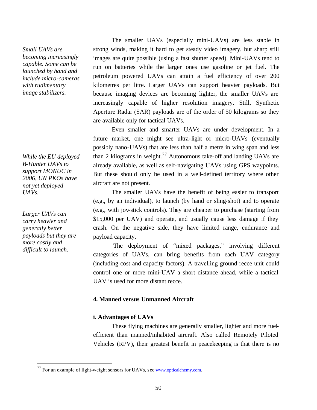*Small UAVs are becoming increasingly capable. Some can be launched by hand and include micro-cameras with rudimentary image stabilizers.* 

*While the EU deployed B-Hunter UAVs to support MONUC in 2006, UN PKOs have not yet deployed UAVs.*

*Larger UAVs can carry heavier and generally better payloads but they are more costly and difficult to launch.* 

 $\overline{a}$ 

The smaller UAVs (especially mini-UAVs) are less stable in strong winds, making it hard to get steady video imagery, but sharp still images are quite possible (using a fast shutter speed). Mini-UAVs tend to run on batteries while the larger ones use gasoline or jet fuel. The petroleum powered UAVs can attain a fuel efficiency of over 200 kilometres per litre. Larger UAVs can support heavier payloads. But because imaging devices are becoming lighter, the smaller UAVs are increasingly capable of higher resolution imagery. Still, Synthetic Aperture Radar (SAR) payloads are of the order of 50 kilograms so they are available only for tactical UAVs.

Even smaller and smarter UAVs are under development. In a future market, one might see ultra-light or micro-UAVs (eventually possibly nano-UAVs) that are less than half a metre in wing span and less than 2 kilograms in weight.<sup>77</sup> Autonomous take-off and landing UAVs are already available, as well as self-navigating UAVs using GPS waypoints. But these should only be used in a well-defined territory where other aircraft are not present.

The smaller UAVs have the benefit of being easier to transport (e.g., by an individual), to launch (by hand or sling-shot) and to operate (e.g., with joy-stick controls). They are cheaper to purchase (starting from \$15,000 per UAV) and operate, and usually cause less damage if they crash. On the negative side, they have limited range, endurance and payload capacity.

 The deployment of "mixed packages," involving different categories of UAVs, can bring benefits from each UAV category (including cost and capacity factors). A travelling ground recce unit could control one or more mini-UAV a short distance ahead, while a tactical UAV is used for more distant recce.

## **4. Manned versus Unmanned Aircraft**

#### **i. Advantages of UAVs**

These flying machines are generally smaller, lighter and more fuelefficient than manned/inhabited aircraft. Also called Remotely Piloted Vehicles (RPV), their greatest benefit in peacekeeping is that there is no

 $^{77}$  For an example of light-weight sensors for UAVs, see www.opticalchemy.com.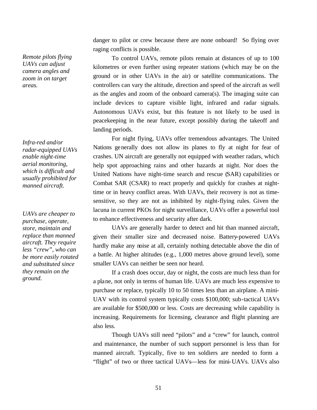*Remote pilots flying UAVs can adjust camera angles and zoom in on target areas.* 

*Infra-red and/or radar-equipped UAVs enable night-time aerial monitoring, which is difficult and usually prohibited for manned aircraft.* 

*UAVs are cheaper to purchase, operate, store, maintain and replace than manned aircraft. They require less "crew", who can be more easily rotated and substituted since they remain on the ground.* 

danger to pilot or crew because there are none onboard! So flying over raging conflicts is possible.

To control UAVs, remote pilots remain at distances of up to 100 kilometres or even further using repeater stations (which may be on the ground or in other UAVs in the air) or satellite communications. The controllers can vary the altitude, direction and speed of the aircraft as well as the angles and zoom of the onboard camera(s). The imaging suite can include devices to capture visible light, infrared and radar signals. Autonomous UAVs exist, but this feature is not likely to be used in peacekeeping in the near future, except possibly during the takeoff and landing periods.

For night flying, UAVs offer tremendous advantages. The United Nations generally does not allow its planes to fly at night for fear of crashes. UN aircraft are generally not equipped with weather radars, which help spot approaching rains and other hazards at night. Nor does the United Nations have night-time search and rescue (SAR) capabilities or Combat SAR (CSAR) to react properly and quickly for crashes at nighttime or in heavy conflict areas. With UAVs, their recovery is not as timesensitive, so they are not as inhibited by night-flying rules. Given the lacuna in current PKOs for night surveillance, UAVs offer a powerful tool to enhance effectiveness and security after dark.

UAVs are generally harder to detect and hit than manned aircraft, given their smaller size and decreased noise. Battery-powered UAVs hardly make any noise at all, certainly nothing detectable above the din of a battle. At higher altitudes (e.g., 1,000 metres above ground level), some smaller UAVs can neither be seen nor heard.

If a crash does occur, day or night, the costs are much less than for a plane, not only in terms of human life. UAVs are much less expensive to purchase or replace, typically 10 to 50 times less than an airplane. A mini-UAV with its control system typically costs \$100,000; sub-tactical UAVs are available for \$500,000 or less. Costs are decreasing while capability is increasing. Requirements for licensing, clearance and flight planning are also less.

Though UAVs still need "pilots" and a "crew" for launch, control and maintenance, the number of such support personnel is less than for manned aircraft. Typically, five to ten soldiers are needed to form a "flight" of two or three tactical UAVs—less for mini-UAVs. UAVs also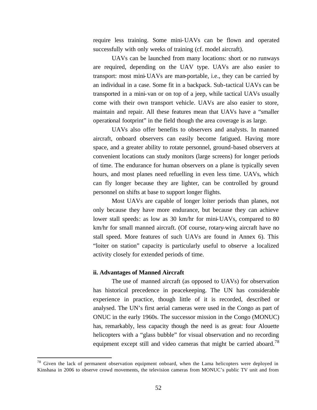require less training. Some mini-UAVs can be flown and operated successfully with only weeks of training (cf. model aircraft).

UAVs can be launched from many locations: short or no runways are required, depending on the UAV type. UAVs are also easier to transport: most mini-UAVs are man-portable, i.e., they can be carried by an individual in a case. Some fit in a backpack. Sub-tactical UAVs can be transported in a mini-van or on top of a jeep, while tactical UAVs usually come with their own transport vehicle. UAVs are also easier to store, maintain and repair. All these features mean that UAVs have a "smaller operational footprint" in the field though the area coverage is as large.

UAVs also offer benefits to observers and analysts. In manned aircraft, onboard observers can easily become fatigued. Having more space, and a greater ability to rotate personnel, ground-based observers at convenient locations can study monitors (large screens) for longer periods of time. The endurance for human observers on a plane is typically seven hours, and most planes need refuelling in even less time. UAVs, which can fly longer because they are lighter, can be controlled by ground personnel on shifts at base to support longer flights.

Most UAVs are capable of longer loiter periods than planes, not only because they have more endurance, but because they can achieve lower stall speeds: as low as 30 km/hr for mini-UAVs, compared to 80 km/hr for small manned aircraft. (Of course, rotary-wing aircraft have no stall speed. More features of such UAVs are found in Annex 6). This "loiter on station" capacity is particularly useful to observe a localized activity closely for extended periods of time.

#### **ii. Advantages of Manned Aircraft**

 $\overline{a}$ 

The use of manned aircraft (as opposed to UAVs) for observation has historical precedence in peacekeeping. The UN has considerable experience in practice, though little of it is recorded, described or analysed. The UN's first aerial cameras were used in the Congo as part of ONUC in the early 1960s. The successor mission in the Congo (MONUC) has, remarkably, less capacity though the need is as great: four Alouette helicopters with a "glass bubble" for visual observation and no recording equipment except still and video cameras that might be carried aboard.<sup>78</sup>

<sup>&</sup>lt;sup>78</sup> Given the lack of permanent observation equipment onboard, when the Lama helicopters were deployed in Kinshasa in 2006 to observe crowd movements, the television cameras from MONUC's public TV unit and from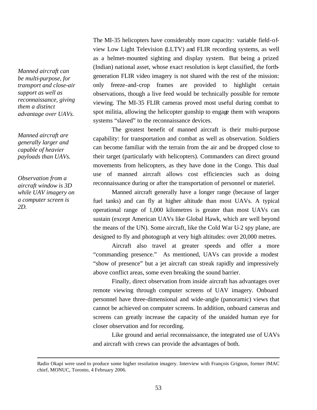*Manned aircraft can be multi-purpose, for transport and close-air support as well as reconnaissance, giving them a distinct advantage over UAVs.* 

*Manned aircraft are generally larger and capable of heavier payloads than UAVs.* 

*Observation from a aircraft window is 3D while UAV imagery on a computer screen is 2D.* 

 $\overline{a}$ 

The MI-35 helicopters have considerably more capacity: variable field-ofview Low Light Television (LLTV) and FLIR recording systems, as well as a helmet-mounted sighting and display system. But being a prized (Indian) national asset, whose exact resolution is kept classified, the forthgeneration FLIR video imagery is not shared with the rest of the mission: only freeze-and-crop frames are provided to highlight certain observations, though a live feed would be technically possible for remote viewing. The MI-35 FLIR cameras proved most useful during combat to spot militia, allowing the helicopter gunship to engage them with weapons systems "slaved" to the reconnaissance devices.

The greatest benefit of manned aircraft is their multi-purpose capability: for transportation and combat as well as observation. Soldiers can become familiar with the terrain from the air and be dropped close to their target (particularly with helicopters). Commanders can direct ground movements from helicopters, as they have done in the Congo. This dual use of manned aircraft allows cost efficiencies such as doing reconnaissance during or after the transportation of personnel or materiel.

Manned aircraft generally have a longer range (because of larger fuel tanks) and can fly at higher altitude than most UAVs. A typical operational range of 1,000 kilometres is greater than most UAVs can sustain (except American UAVs like Global Hawk, which are well beyond the means of the UN). Some aircraft, like the Cold War U-2 spy plane, are designed to fly and photograph at very high altitudes: over 20,000 metres.

Aircraft also travel at greater speeds and offer a more "commanding presence." As mentioned, UAVs can provide a modest "show of presence" but a jet aircraft can streak rapidly and impressively above conflict areas, some even breaking the sound barrier.

Finally, direct observation from inside aircraft has advantages over remote viewing through computer screens of UAV imagery. Onboard personnel have three-dimensional and wide-angle (panoramic) views that cannot be achieved on computer screens. In addition, onboard cameras and screens can greatly increase the capacity of the unaided human eye for closer observation and for recording.

Like ground and aerial reconnaissance, the integrated use of UAVs and aircraft with crews can provide the advantages of both.

Radio Okapi were used to produce some higher resolution imagery. Interview with François Grignon, former JMAC chief, MONUC, Toronto, 4 February 2006.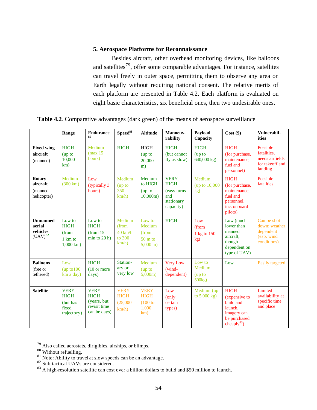# **5. Aerospace Platforms for Reconnaissance**

Besides aircraft, other overhead monitoring devices, like balloons and satellites<sup>79</sup>, offer some comparable advantages. For instance, satellites can travel freely in outer space, permitting them to observe any area on Earth legally without requiring national consent. The relative merits of each platform are presented in Table 4.2. Each platform is evaluated on eight basic characteristics, six beneficial ones, then two undesirable ones.

**Table 4.2**. Comparative advantages (dark green) of the means of aerospace surveillance

|                                                       | Range                                                             | <b>Endurance</b><br>80                                                     | Speed <sup>81</sup>                                        | <b>Altitude</b>                                                       | Manoeuv-<br>rability                                                         | Payload<br>Capacity                               | $Cost($ \$)                                                                                           | Vulnerabil-<br>ities                                                     |
|-------------------------------------------------------|-------------------------------------------------------------------|----------------------------------------------------------------------------|------------------------------------------------------------|-----------------------------------------------------------------------|------------------------------------------------------------------------------|---------------------------------------------------|-------------------------------------------------------------------------------------------------------|--------------------------------------------------------------------------|
| <b>Fixed wing</b><br>aircraft<br>(manned)             | <b>HIGH</b><br>(up to<br>10,000<br>km)                            | Medium<br>(max 15<br>hours)                                                | <b>HIGH</b>                                                | <b>HIGH</b><br>(up to<br>20,000<br>m)                                 | <b>HIGH</b><br>(but cannot<br>fly as slow)                                   | <b>HIGH</b><br>(up to<br>$640,000 \text{ kg}$     | <b>HIGH</b><br>(for purchase,<br>maintenance,<br>fuel and<br>personnel)                               | Possible<br>fatalities.<br>needs airfields<br>for takeoff and<br>landing |
| <b>Rotary</b><br>aircraft<br>(manned<br>helicopter)   | Medium<br>$(300 \text{ km})$                                      | Low<br>(typically 3)<br>hours)                                             | Medium<br>(up to<br>350<br>$km/h$ )                        | Medium<br>to HIGH<br>$($ up to<br>10,000m                             | <b>VERY</b><br><b>HIGH</b><br>(easy turns)<br>and<br>stationary<br>capacity) | Medium<br>(up to 10,000<br>kg)                    | <b>HIGH</b><br>(for purchase,<br>maintenance.<br>fuel and<br>personnel,<br>inc. onboard<br>pilots)    | Possible<br>fatalities                                                   |
| <b>Unmanned</b><br>aerial<br>vehicles<br>$(UAV)^{82}$ | Low to<br><b>HIGH</b><br>(from<br>1 km to<br>$1,000 \text{ km}$ ) | Low to<br><b>HIGH</b><br>(from <sub>15</sub><br>$min$ to 20 h)             | Medium<br>(from<br>$40 \text{ km/h}$<br>to 300<br>$km/h$ ) | Low to<br>Medium<br>(from<br>$50 \text{ m}$ to<br>$5,000 \text{ m}$ ) | <b>HIGH</b>                                                                  | Low<br>(from<br>1 kg to 150<br>kg)                | Low (much<br>lower than<br>manned<br>aircraft.<br>though<br>dependent on<br>type of UAV)              | Can be shot<br>down; weather<br>dependent<br>(esp. wind<br>conditions)   |
| <b>Balloons</b><br>(free or<br>tethered)              | Low<br>(up to 100<br>km a day)                                    | <b>HIGH</b><br>$(10 \text{ or more})$<br>days)                             | Station-<br>ary or<br>very low                             | Medium<br>$($ up to<br>$5.000m$ )                                     | <b>Very Low</b><br>(wind-<br>dependent)                                      | Low to<br>Medium<br>(up to<br>500 <sub>kg</sub> ) | Low                                                                                                   | <b>Easily targeted</b>                                                   |
| <b>Satellite</b>                                      | <b>VERY</b><br><b>HIGH</b><br>(but has<br>fixed<br>trajectory)    | <b>VERY</b><br><b>HIGH</b><br>(years, but)<br>revisit time<br>can be days) | <b>VERY</b><br><b>HIGH</b><br>(25,000)<br>$km/h$ )         | <b>VERY</b><br><b>HIGH</b><br>(100 to<br>1,000<br>km)                 | Low<br>(only<br>certain<br>types)                                            | Medium (up<br>to $5.000 \text{ kg}$ )             | <b>HIGH</b><br>(expensive to<br>build and<br>launch.<br>imagery can<br>be purchased<br>cheaply $83$ ) | Limited<br>availability at<br>specific time<br>and place                 |

 $79$  Also called aerostats, dirigibles, airships, or blimps.

<sup>&</sup>lt;sup>80</sup> Without refuelling.

 $81$  Note: Ability to travel at slow speeds can be an advantage.

<sup>&</sup>lt;sup>82</sup> Sub-tactical UAVs are considered.

<sup>&</sup>lt;sup>83</sup> A high-resolution satellite can cost over a billion dollars to build and \$50 million to launch.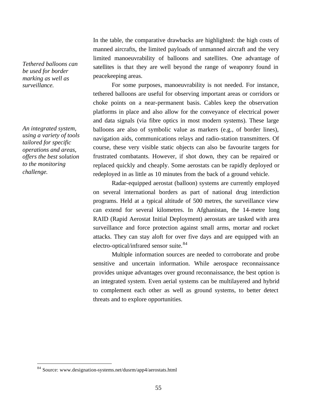*Tethered balloons can be used for border marking as well as surveillance.* 

*An integrated system, using a variety of tools tailored for specific operations and areas, offers the best solution to the monitoring challenge.* 

 $\overline{a}$ 

In the table, the comparative drawbacks are highlighted: the high costs of manned aircrafts, the limited payloads of unmanned aircraft and the very limited manoeuvrability of balloons and satellites. One advantage of satellites is that they are well beyond the range of weaponry found in peacekeeping areas.

For some purposes, manoeuvrability is not needed. For instance, tethered balloons are useful for observing important areas or corridors or choke points on a near-permanent basis. Cables keep the observation platforms in place and also allow for the conveyance of electrical power and data signals (via fibre optics in most modern systems). These large balloons are also of symbolic value as markers (e.g., of border lines), navigation aids, communications relays and radio-station transmitters. Of course, these very visible static objects can also be favourite targets for frustrated combatants. However, if shot down, they can be repaired or replaced quickly and cheaply. Some aerostats can be rapidly deployed or redeployed in as little as 10 minutes from the back of a ground vehicle.

Radar-equipped aerostat (balloon) systems are currently employed on several international borders as part of national drug interdiction programs. Held at a typical altitude of 500 metres, the surveillance view can extend for several kilometres. In Afghanistan, the 14-metre long RAID (Rapid Aerostat Initial Deployment) aerostats are tasked with area surveillance and force protection against small arms, mortar and rocket attacks. They can stay aloft for over five days and are equipped with an electro-optical/infrared sensor suite.<sup>84</sup>

Multiple information sources are needed to corroborate and probe sensitive and uncertain information. While aerospace reconnaissance provides unique advantages over ground reconnaissance, the best option is an integrated system. Even aerial systems can be multilayered and hybrid to complement each other as well as ground systems, to better detect threats and to explore opportunities.

<sup>84</sup> Source: www.designation-systems.net/dusrm/app4/aerostats.html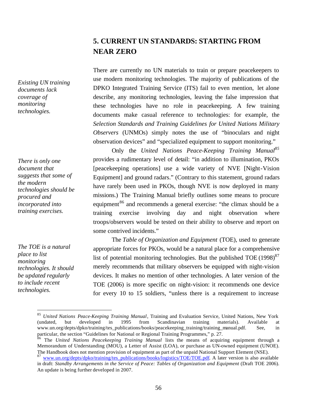# **5. CURRENT UN STANDARDS: STARTING FROM NEAR ZERO**

There are currently no UN materials to train or prepare peacekeepers to use modern monitoring technologies. The majority of publications of the DPKO Integrated Training Service (ITS) fail to even mention, let alone describe, any monitoring technologies, leaving the false impression that these technologies have no role in peacekeeping. A few training documents make casual reference to technologies: for example, the *Selection Standards and Training Guidelines for United Nations Military Observers* (UNMOs) simply notes the use of "binoculars and night observation devices" and "specialized equipment to support monitoring."

Only the *United Nations Peace-Keeping Training Manual<sup>85</sup>* provides a rudimentary level of detail: "in addition to illumination, PKOs [peacekeeping operations] use a wide variety of NVE [Night-Vision Equipment] and ground radars." (Contrary to this statement, ground radars have rarely been used in PKOs, though NVE is now deployed in many missions.) The Training Manual briefly outlines some means to procure equipment<sup>86</sup> and recommends a general exercise: "the climax should be a training exercise involving day and night observation where troops/observers would be tested on their ability to observe and report on some contrived incidents."

The *Table of Organization and Equipment* (TOE), used to generate appropriate forces for PKOs, would be a natural place for a comprehensive list of potential monitoring technologies. But the published  $TOE (1998)^{87}$ merely recommends that military observers be equipped with night-vision devices. It makes no mention of other technologies. A later version of the TOE (2006) is more specific on night-vision: it recommends one device for every 10 to 15 soldiers, "unless there is a requirement to increase

*Existing UN training documents lack coverage of monitoring technologies.*

*There is only one document that suggests that some of the modern technologies should be procured and incorporated into training exercises.*

*The TOE is a natural place to list monitoring technologies. It should be updated regularly to include recent technologies.*

<sup>&</sup>lt;sup>85</sup> *United Nations Peace-Keeping Training Manual*, Training and Evaluation Service, United Nations, New York (undated, but developed in 1995 from Scandinavian training materials). Available at from Scandinavian training materials). Available at www.un.org/depts/dpko/training/tes\_publications/books/peacekeeping\_training/training\_manual.pdf. See, in particular, the section "Guidelines for National or Regional Training Programmes," p. 27.

<sup>86</sup> The *United Nations Peacekeeping Training Manual* lists the means of acquiring equipment through a Memorandum of Understanding (MOU), a Letter of Assist (LOA), or purchase as UN-owned equipment (UNOE). The Handbook does not mention provision of equipment as part of the unpaid National Support Element (NSE).

<sup>&</sup>lt;sup>87</sup> www.un.org/depts/dpko/training/tes\_publications/books/logistics/TOE/TOE.pdf. A later version is also available in draft: *Standby Arrangements in the Service of Peace: Tables of Organization and Equipment* (Draft TOE 2006). An update is being further developed in 2007.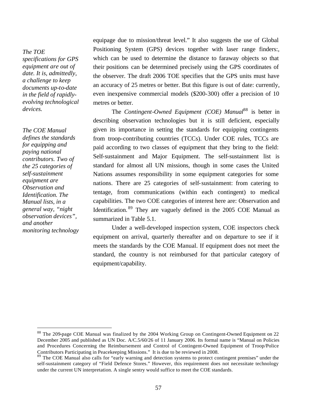## *The TOE*

*specifications for GPS equipment are out of date. It is, admittedly, a challenge to keep documents up-to-date in the field of rapidlyevolving technological devices.*

*The COE Manual defines the standards for equipping and paying national contributors. Two of the 25 categories of self-sustainment equipment are Observation and Identification. The Manual lists, in a general way, "night observation devices", and another monitoring technology* 

 $\overline{a}$ 

equipage due to mission/threat level." It also suggests the use of Global Positioning System (GPS) devices together with laser range finders:, which can be used to determine the distance to faraway objects so that their positions can be determined precisely using the GPS coordinates of the observer. The draft 2006 TOE specifies that the GPS units must have an accuracy of 25 metres or better. But this figure is out of date: currently, even inexpensive commercial models (\$200-300) offer a precision of 10 metres or better.

The *Contingent-Owned Equipment (COE) Manual*<sup>88</sup> is better in describing observation technologies but it is still deficient, especially given its importance in setting the standards for equipping contingents from troop-contributing countries (TCCs). Under COE rules, TCCs are paid according to two classes of equipment that they bring to the field: Self-sustainment and Major Equipment. The self-sustainment list is standard for almost all UN missions, though in some cases the United Nations assumes responsibility in some equipment categories for some nations. There are 25 categories of self-sustainment: from catering to tentage, from communications (within each contingent) to medical capabilities. The two COE categories of interest here are: Observation and Identification. <sup>89</sup> They are vaguely defined in the 2005 COE Manual as summarized in Table 5.1.

Under a well-developed inspection system, COE inspectors check equipment on arrival, quarterly thereafter and on departure to see if it meets the standards by the COE Manual. If equipment does not meet the standard, the country is not reimbursed for that particular category of equipment/capability.

<sup>88</sup> The 209-page COE Manual was finalized by the 2004 Working Group on Contingent-Owned Equipment on 22 December 2005 and published as UN Doc. A/C.5/60/26 of 11 January 2006. Its formal name is "Manual on Policies and Procedures Concerning the Reimbursement and Control of Contingent-Owned Equipment of Troop/Police Contributors Participating in Peacekeeping Missions." It is due to be reviewed in 2008.

<sup>&</sup>lt;sup>89</sup> The COE Manual also calls for "early warning and detection systems to protect contingent premises" under the self-sustainment category of "Field Defence Stores." However, this requirement does not necessitate technology under the current UN interpretation. A single sentry would suffice to meet the COE standards.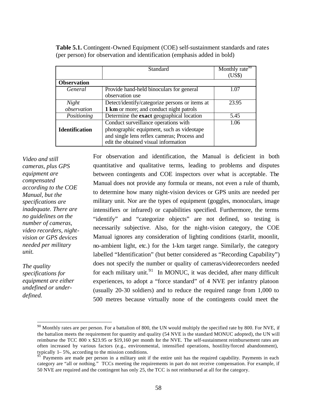|                       | Standard                                       | Monthly rate <sup>90</sup> |
|-----------------------|------------------------------------------------|----------------------------|
|                       |                                                | (US\$)                     |
| <b>Observation</b>    |                                                |                            |
| General               | Provide hand-held binoculars for general       | 1.07                       |
|                       | observation use                                |                            |
| Night                 | Detect/identify/categorize persons or items at | 23.95                      |
| observation           | 1 km or more; and conduct night patrols        |                            |
| Positioning           | Determine the exact geographical location      | 5.45                       |
|                       | Conduct surveillance operations with           | 1.06                       |
| <b>Identification</b> | photographic equipment, such as videotape      |                            |
|                       | and single lens reflex cameras; Process and    |                            |
|                       | edit the obtained visual information           |                            |

**Table 5.1.** Contingent-Owned Equipment (COE) self-sustainment standards and rates (per person) for observation and identification (emphasis added in bold)

*Video and still cameras, plus GPS equipment are compensated according to the COE Manual, but the specifications are inadequate. There are no guidelines on the number of cameras, video recorders, nightvision or GPS devices needed per military unit.* 

*The quality specifications for equipment are either undefined or underdefined.* 

 $\overline{a}$ 

For observation and identification, the Manual is deficient in both quantitative and qualitative terms, leading to problems and disputes between contingents and COE inspectors over what is acceptable. The Manual does not provide any formula or means, not even a rule of thumb, to determine how many night-vision devices or GPS units are needed per military unit. Nor are the types of equipment (goggles, monoculars, image intensifiers or infrared) or capabilities specified. Furthermore, the terms "identify" and "categorize objects" are not defined, so testing is necessarily subjective. Also, for the night-vision category, the COE Manual ignores any consideration of lighting conditions (starlit, moonlit, no-ambient light, etc.) for the 1-km target range. Similarly, the category labelled "Identification" (but better considered as "Recording Capability") does not specify the number or quality of cameras/videorecorders needed for each military unit.<sup>91</sup> In MONUC, it was decided, after many difficult experiences, to adopt a "force standard" of 4 NVE per infantry platoon (usually 20-30 soldiers) and to reduce the required range from 1,000 to 500 metres because virtually none of the contingents could meet the

 $90$  Monthly rates are per person. For a battalion of 800, the UN would multiply the specified rate by 800. For NVE, if the battalion meets the requirement for quantity and quality (54 NVE is the standard MONUC adopted), the UN will reimburse the TCC 800 x \$23.95 or \$19,160 per month for the NVE. The self-sustainment reimbursement rates are often increased by various factors (e.g., environmental, intensified operations, hostility/forced abandonment), typically 1– 5%, according to the mission conditions.

<sup>91&</sup>lt;sup>-</sup> Payments are made per person in a military unit if the entire unit has the required capability. Payments in each category are "all or nothing." TCCs meeting the requirements in part do not receive compensation. For example, if 50 NVE are required and the contingent has only 25, the TCC is not reimbursed at all for the category.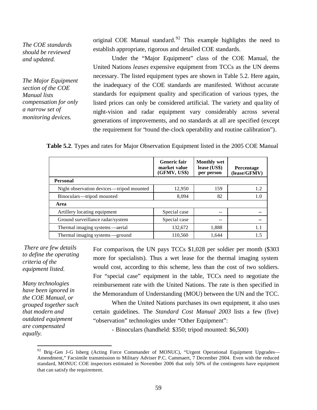*The COE standards should be reviewed and updated.* 

*The Major Equipment section of the COE Manual lists compensation for only a narrow set of monitoring devices.*

original COE Manual standard.<sup>92</sup> This example highlights the need to establish appropriate, rigorous and detailed COE standards.

Under the "Major Equipment" class of the COE Manual, the United Nations *leases* expensive equipment from TCCs as the UN deems necessary. The listed equipment types are shown in Table 5.2. Here again, the inadequacy of the COE standards are manifested. Without accurate standards for equipment quality and specification of various types, the listed prices can only be considered artificial. The variety and qua lity of night-vision and radar equipment vary considerably across several generations of improvements, and no standards at all are specified (except the requirement for "round the-clock operability and routine calibration").

| <b>Table 5.2.</b> Types and rates for Major Observation Equipment listed in the 2005 COE Manual |  |  |
|-------------------------------------------------------------------------------------------------|--|--|
|                                                                                                 |  |  |

|                                            | <b>Generic fair</b><br>market value<br>(GFMV, US\$) | <b>Monthly wet</b><br>lease (US\$)<br>per person | Percentage<br>(lease/GFMV) |
|--------------------------------------------|-----------------------------------------------------|--------------------------------------------------|----------------------------|
| <b>Personal</b>                            |                                                     |                                                  |                            |
| Night observation devices — tripod mounted | 12,950                                              | 159                                              | 1.2                        |
| Binoculars-tripod mounted                  | 8,094                                               | 82                                               | 1.0                        |
| Area                                       |                                                     |                                                  |                            |
| Artillery locating equipment               | Special case                                        | --                                               | --                         |
| Ground surveillance radar/system           | Special case                                        | --                                               | --                         |
| Thermal imaging systems —aerial            | 132,672                                             | 1,888                                            | 1.1                        |
| Thermal imaging systems - ground           | 110,560                                             | 1.644                                            | 1.5                        |

 *There are few details to define the operating criteria of the equipment listed.* 

*Many technologies have been ignored in the COE Manual, or grouped together such that modern and outdated equipment are compensated equally.*

 $\overline{a}$ 

For comparison, the UN pays TCCs \$1,028 per soldier per month (\$303 more for specialists). Thus a wet lease for the thermal imaging system would cost, according to this scheme, less than the cost of two soldiers. For "special case" equipment in the table, TCCs need to negotiate the reimbursement rate with the United Nations. The rate is then specified in the Memorandum of Understanding (MOU) between the UN and the TCC.

When the United Nations purchases its own equipment, it also uses certain guidelines. The *Standard Cost Manual 2003* lists a few (five) "observation" technologies under "Other Equipment":

- Binoculars (handheld: \$350; tripod mounted: \$6,500)

<sup>&</sup>lt;sup>92</sup> Brig-Gen J-G Isberg (Acting Force Commander of MONUC), "Urgent Operational Equipment Upgrades— Amendment," Facsimile transmission to Military Adviser P.C. Cammaert, 7 December 2004. Even with the reduced standard, MONUC COE inspectors estimated in November 2006 that only 50% of the contingents have equipment that can satisfy the requirement.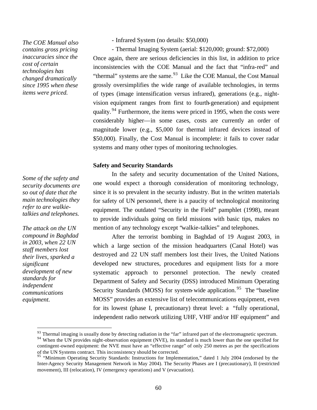*The COE Manual also contains gross pricing inaccuracies since the cost of certain technologies has changed dramatically since 1995 when these items were priced.*

*Some of the safety and security documents are so out of date that the main technologies they refer to are walkietalkies and telephones.* 

*The attack on the UN compound in Baghdad in 2003, when 22 UN staff members lost their lives, sparked a significant development of new standards for independent communications equipment.* 

 $\overline{a}$ 

- Infrared System (no details: \$50,000)

- Thermal Imaging System (aerial: \$120,000; ground: \$72,000)

Once again, there are serious deficiencies in this list, in addition to price inconsistencies with the COE Manual and the fact that "infra-red" and "thermal" systems are the same. $93$  Like the COE Manual, the Cost Manual grossly oversimplifies the wide range of available technologies, in terms of types (image intensification versus infrared), generations (e.g., nightvision equipment ranges from first to fourth-generation) and equipment quality.  $94$  Furthermore, the items were priced in 1995, when the costs were considerably higher—in some cases, costs are currently an order of magnitude lower (e.g., \$5,000 for thermal infrared devices instead of \$50,000). Finally, the Cost Manual is incomplete: it fails to cover radar systems and many other types of monitoring technologies.

#### **Safety and Security Standards**

In the safety and security documentation of the United Nations, one would expect a thorough consideration of monitoring technology, since it is so prevalent in the security industry. But in the written materials for safety of UN personnel, there is a paucity of technological monitoring equipment. The outdated "Security in the Field" pamphlet (1998), meant to provide individuals going on field missions with basic tips, makes no mention of any technology except "walkie-talkies" and telephones.

After the terrorist bombing in Baghdad of 19 August 2003, in which a large section of the mission headquarters (Canal Hotel) was destroyed and 22 UN staff members lost their lives, the United Nations developed new structures, procedures and equipment lists for a more systematic approach to personnel protection. The newly created Department of Safety and Security (DSS) introduced Minimum Operating Security Standards (MOSS) for system-wide application.<sup>95</sup> The "baseline" MOSS" provides an extensive list of telecommunications equipment, even for its lowest (phase I, precautionary) threat level: a "fully operational, independent radio network utilizing UHF, VHF and/or HF equipment" and

<sup>&</sup>lt;sup>93</sup> Thermal imaging is usually done by detecting radiation in the "far" infrared part of the electromagnetic spectrum.

<sup>&</sup>lt;sup>94</sup> When the UN provides night-observation equipment (NVE), its standard is much lower than the one specified for contingent-owned equipment: the NVE must have an "effective range" of only 250 metres as per the specifications of the UN Systems contract. This inconsistency should be corrected.

<sup>&</sup>lt;sup>95</sup> "Minimum Operating Security Standards: Instructions for Implementation," dated 1 July 2004 (endorsed by the Inter-Agency Security Management Network in May 2004). The Security Phases are I (precautionary), II (restricted movement), III (relocation), IV (emergency operations) and V (evacuation).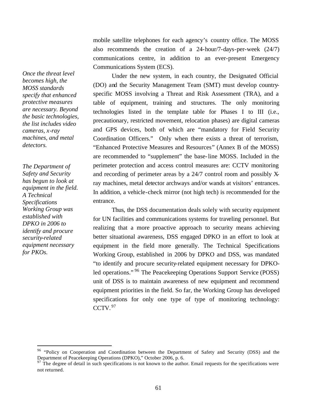mobile satellite telephones for each agency's country office. The MOSS also recommends the creation of a 24-hour/7-days-per-week (24/7) communications centre, in addition to an ever-present Emergency Communications System (ECS).

Under the new system, in each country, the Designated Official (DO) and the Security Management Team (SMT) must develop countryspecific MOSS involving a Threat and Risk Assessment (TRA), and a table of equipment, training and structures. The only monitoring technologies listed in the template table for Phases I to III (i.e., precautionary, restricted movement, relocation phases) are digital cameras and GPS devices, both of which are "mandatory for Field Security Coordination Officers." Only when there exists a threat of terrorism, "Enhanced Protective Measures and Resources" (Annex B of the MOSS) are recommended to "supplement" the base-line MOSS. Included in the perimeter protection and access control measures are: CCTV monitoring and recording of perimeter areas by a 24/7 control room and possibly Xray machines, metal detector archways and/or wands at visitors' entrances. In addition, a vehicle-check mirror (not high tech) is recommended for the entrance.

Thus, the DSS documentation deals solely with security equipment for UN facilities and communications systems for traveling personnel. But realizing that a more proactive approach to security means achieving better situational awareness, DSS engaged DPKO in an effort to look at equipment in the field more generally. The Technical Specifications Working Group, established in 2006 by DPKO and DSS, was mandated "to identify and procure security-related equipment necessary for DPKOled operations." <sup>96</sup> The Peacekeeping Operations Support Service (POSS) unit of DSS is to maintain awareness of new equipment and recommend equipment priorities in the field. So far, the Working Group has developed specifications for only one type of type of monitoring technology:  $CCTV.<sup>97</sup>$ 

*Once the threat level becomes high, the MOSS standards specify that enhanced protective measures are necessary. Beyond the basic technologies, the list includes video cameras, x-ray machines, and metal detectors.*

*The Department of Safety and Security has begun to look at equipment in the field. A Technical Specifications Working Group was established with DPKO in 2006 to identify and procure security-related equipment necessary for PKOs.*

<sup>&</sup>lt;sup>96</sup> "Policy on Cooperation and Coordination between the Department of Safety and Security (DSS) and the Department of Peacekeeping Operations (DPKO)," October 2006, p. 6.

 $97$  The degree of detail in such specifications is not known to the author. Email requests for the specifications were not returned.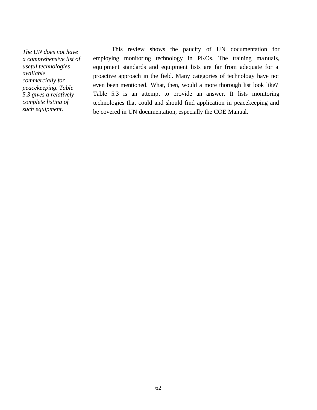*The UN does not have a comprehensive list of useful technologies available commercially for peacekeeping. Table 5.3 gives a relatively complete listing of such equipment.*

This review shows the paucity of UN documentation for employing monitoring technology in PKOs. The training manuals, equipment standards and equipment lists are far from adequate for a proactive approach in the field. Many categories of technology have not even been mentioned. What, then, would a more thorough list look like? Table 5.3 is an attempt to provide an answer. It lists monitoring technologies that could and should find application in peacekeeping and be covered in UN documentation, especially the COE Manual.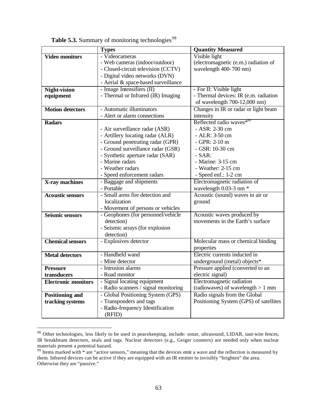|                            | <b>Types</b>                         | <b>Quantity Measured</b>               |
|----------------------------|--------------------------------------|----------------------------------------|
| <b>Video monitors</b>      | - Videocameras                       | Visible light                          |
|                            | - Web cameras (indoor/outdoor)       | (electromagnetic (e.m.) radiation of   |
|                            | - Closed-circuit television (CCTV)   | wavelength 400-700 nm)                 |
|                            | - Digital video networks (DVN)       |                                        |
|                            | - Aerial & space-based surveillance  |                                        |
| <b>Night-vision</b>        | - Image Intensifiers (II)            | - For II: Visible light                |
| equipment                  | - Thermal or Infrared (IR) Imaging   | - Thermal devices: IR (e.m. radiation  |
|                            |                                      | of wavelength 700-12,000 nm)           |
| <b>Motion detectors</b>    | - Automatic illuminators             | Changes in IR or radar or light beam   |
|                            | - Alert or alarm connections         | intensity                              |
| <b>Radars</b>              |                                      | Reflected radio waves <sup>*99</sup>   |
|                            | - Air surveillance radar (ASR)       | - ASR: 2-30 cm                         |
|                            | - Artillery locating radar (ALR)     | - ALR: 3-50 cm                         |
|                            | - Ground penetrating radar (GPR)     | $-$ GPR: 2-10 m                        |
|                            | - Ground surveillance radar (GSR)    | - GSR: 10-30 cm                        |
|                            | - Synthetic aperture radar (SAR)     | $-SAR:$                                |
|                            | - Marine radars                      | - Marine: 3-15 cm                      |
|                            | - Weather radars                     | - Weather: 2-15 cm                     |
|                            | - Speed enforcement radars           | - Speed enf.: 1-2 cm                   |
| X-ray machines             | - Baggage and shipments              | Electromagnetic radiation of           |
|                            | - Portable                           | wavelength 0.03-3 nm *                 |
| <b>Acoustic sensors</b>    | - Small arms fire detection and      | Acoustic (sound) waves in air or       |
|                            | localization                         | ground                                 |
|                            | - Movement of persons or vehicles    |                                        |
| <b>Seismic sensors</b>     | - Geophones (for personnel/vehicle   | Acoustic waves produced by             |
|                            | detection)                           | movements in the Earth's surface       |
|                            | - Seismic arrays (for explosion      |                                        |
|                            | detection)                           |                                        |
| <b>Chemical sensors</b>    | - Explosives detector                | Molecular mass or chemical binding     |
|                            |                                      | properties                             |
| <b>Metal detectors</b>     | - Handheld wand                      | Electric currents inducted in          |
|                            | - Mine detector                      | underground (metal) objects*           |
| <b>Pressure</b>            | - Intrusion alarms                   | Pressure applied (converted to an      |
| transducers                | - Road monitor                       | electric signal)                       |
| <b>Electronic monitors</b> | - Signal locating equipment          | Electromagnetic radiation              |
|                            | - Radio scanners / signal monitoring | (radiowaves) of wavelength $> 1$ mm    |
| <b>Positioning and</b>     | - Global Positioning System (GPS)    | Radio signals from the Global          |
| tracking systems           | - Transponders and tags              | Positioning System (GPS) of satellites |
|                            | - Radio-frequency Identification     |                                        |
|                            | (RFID)                               |                                        |

**Table 5.3.** Summary of monitoring technologies<sup>98</sup>

 $98$  Other technologies, less likely to be used in peacekeeping, include: sonar, ultrasound, LIDAR, taut-wire fences, IR breakbeam detectors, seals and tags. Nuclear detectors (e.g., Geiger counters) are needed only when nuclear materials present a potential hazard.

 $99$  Items marked with  $*$  are "active sensors," meaning that the devices emit a wave and the reflection is measured by them. Infrared devices can be active if they are equipped with an IR emitter to invisibly "brighten" the area. Otherwise they are "passive."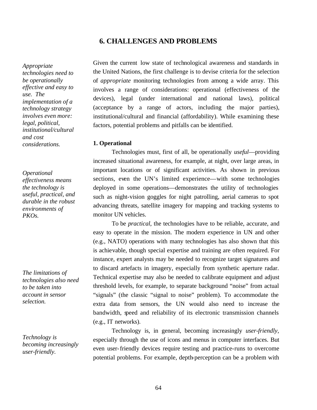# **6. CHALLENGES AND PROBLEMS**

*Appropriate technologies need to be operationally effective and easy to use. The implementation of a technology strategy involves even more: legal, political, institutional/cultural and cost considerations.* 

*Operational effectiveness means the technology is useful, practical, and durable in the robust environments of PKOs.* 

*The limitations of technologies also need to be taken into account in sensor selection.* 

*Technology is becoming increasingly user-friendly.* 

Given the current low state of technological awareness and standards in the United Nations, the first challenge is to devise criteria for the selection of *appropriate* monitoring technologies from among a wide array. This involves a range of considerations: operational (effectiveness of the devices), legal (under international and national laws), political (acceptance by a range of actors, including the major parties), institutional/cultural and financial (affordability). While examining these factors, potential problems and pitfalls can be identified.

#### **1. Operational**

Technologies must, first of all, be operationally *useful*—providing increased situational awareness, for example, at night, over large areas, in important locations or of significant activities. As shown in previous sections, even the UN's limited experience—with some technologies deployed in some operations—demonstrates the utility of technologies such as night-vision goggles for night patrolling, aerial cameras to spot advancing threats, satellite imagery for mapping and tracking systems to monitor UN vehicles.

To be *practical*, the technologies have to be reliable, accurate, and easy to operate in the mission. The modern experience in UN and other (e.g., NATO) operations with many technologies has also shown that this is achievable, though special expertise and training are often required. For instance, expert analysts may be needed to recognize target signatures and to discard artefacts in imagery, especially from synthetic aperture radar. Technical expertise may also be needed to calibrate equipment and adjust threshold levels, for example, to separate background "noise" from actual "signals" (the classic "signal to noise" problem). To accommodate the extra data from sensors, the UN would also need to increase the bandwidth, speed and reliability of its electronic transmission channels (e.g., IT networks).

Technology is, in general, becoming increasingly *user-friendly*, especially through the use of icons and menus in computer interfaces. But even user-friendly devices require testing and practice-runs to overcome potential problems. For example, depth-perception can be a problem with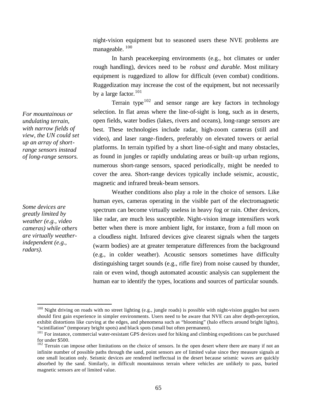night-vision equipment but to seasoned users these NVE problems are manageable.<sup>100</sup>

In harsh peacekeeping environments (e.g., hot climates or under rough handling), devices need to be *robust and durable*. Most military equipment is ruggedized to allow for difficult (even combat) conditions. Ruggedization may increase the cost of the equipment, but not necessarily by a large factor. $101$ 

Terrain type $102$  and sensor range are key factors in technology selection. In flat areas where the line-of-sight is long, such as in deserts, open fields, water bodies (lakes, rivers and oceans), long-range sensors are best. These technologies include radar, high-zoom cameras (still and video), and laser range-finders, preferably on elevated towers or aerial platforms. In terrain typified by a short line-of-sight and many obstacles, as found in jungles or rapidly undulating areas or built-up urban regions, numerous short-range sensors, spaced periodically, might be needed to cover the area. Short-range devices typically include seismic, acoustic, magnetic and infrared break-beam sensors.

Weather conditions also play a role in the choice of sensors. Like human eyes, cameras operating in the visible part of the electromagnetic spectrum can become virtually useless in heavy fog or rain. Other devices, like radar, are much less susceptible. Night-vision image intensifiers work better when there is more ambient light, for instance, from a full moon on a cloudless night. Infrared devices give clearest signals when the targets (warm bodies) are at greater temperature differences from the background (e.g., in colder weather). Acoustic sensors sometimes have difficulty distinguishing target sounds (e.g., rifle fire) from noise caused by thunder, rain or even wind, though automated acoustic analysis can supplement the human ear to identify the types, locations and sources of particular sounds.

*For mountainous or undulating terrain, with narrow fields of view, the UN could set up an array of shortrange sensors instead of long-range sensors.* 

*Some devices are greatly limited by weather (e.g., video cameras) while others are virtually weatherindependent (e.g., radars).* 

 $100$  Night driving on roads with no street lighting (e.g., jungle roads) is possible with night-vision goggles but users should first gain experience in simpler environments. Users need to be aware that NVE can alter depth-perception, exhibit distortions like curving at the edges, and phenomena such as "blooming" (halo effects around bright lights), "scintillation" (temporary bright spots) and black spots (small but often permanent).

<sup>&</sup>lt;sup>101</sup> For instance, commercial water-resistant GPS devices used for hiking and climbing expeditions can be purchased for under \$500.

 $102$  Terrain can impose other limitations on the choice of sensors. In the open desert where there are many if not an infinite number of possible paths through the sand, point sensors are of limited value since they measure signals at one small location only. Seismic devices are rendered ineffectual in the desert because seismic waves are quickly absorbed by the sand. Similarly, in difficult mountainous terrain where vehicles are unlikely to pass, buried magnetic sensors are of limited value.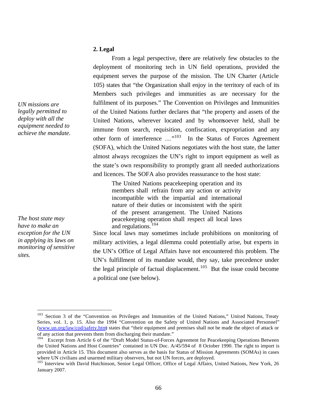# **2. Legal**

From a legal perspective, there are relatively few obstacles to the deployment of monitoring tech in UN field operations, provided the equipment serves the purpose of the mission. The UN Charter (Article 105) states that "the Organization shall enjoy in the territory of each of its Members such privileges and immunities as are necessary for the fulfilment of its purposes." The Convention on Privileges and Immunities of the United Nations further declares that "the property and assets of the United Nations, wherever located and by whomsoever held, shall be immune from search, requisition, confiscation, expropriation and any other form of interference ..."<sup>103</sup> In the Status of Forces Agreement (SOFA), which the United Nations negotiates with the host state, the latter almost always recognizes the UN's right to import equipment as well as the state's own responsibility to promptly grant all needed authorizations and licences. The SOFA also provides reassurance to the host state:

> The United Nations peacekeeping operation and its members shall refrain from any action or activity incompatible with the impartial and international nature of their duties or inconsistent with the spirit of the present arrangement. The United Nations peacekeeping operation shall respect all local laws and regulations.<sup>104</sup>

Since local laws may sometimes include prohibitions on monitoring of military activities, a legal dilemma could potentially arise, but experts in the UN's Office of Legal Affairs have not encountered this problem. The UN's fulfillment of its mandate would, they say, take precedence under the legal principle of factual displacement.<sup>105</sup> But the issue could become a political one (see below).

*UN missions are legally permitted to deploy with all the equipment needed to achieve the mandate.* 

*The host state may have to make an exception for the UN in applying its laws on monitoring of sensitive sites.* 

<sup>&</sup>lt;sup>103</sup> Section 3 of the "Convention on Privileges and Immunities of the United Nations," United Nations, Treaty Series, vol. 1, p. 15. Also the 1994 "Convention on the Safety of United Nations and Associated Personnel" (www.un.org/law/cod/safety.htm) states that "their equipment and premises shall not be made the object of attack or of any action that prevents them from discharging their mandate."

<sup>&</sup>lt;sup>104</sup> Excerpt from Article 6 of the "Draft Model Status-of-Forces Agreement for Peacekeeping Operations Between the United Nations and Host Countries" contained in UN Doc. A/45/594 of 8 October 1990. The right to import is provided in Article 15. This document also serves as the basis for Status of Mission Agreements (SOMAs) in cases where UN civilians and unarmed military observers, but not UN forces, are deployed.

<sup>&</sup>lt;sup>105</sup> Interview with David Hutchinson, Senior Legal Officer, Office of Legal Affairs, United Nations, New York, 26 January 2007.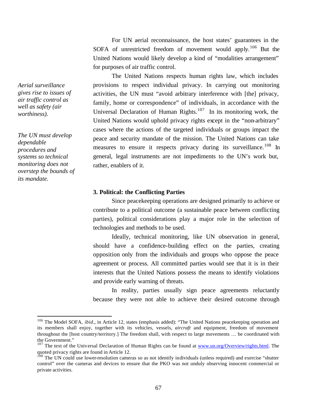For UN aerial reconnaissance, the host states' guarantees in the SOFA of unrestricted freedom of movement would apply.<sup>106</sup> But the United Nations would likely develop a kind of "modalities arrangement" for purposes of air traffic control.

The United Nations respects human rights law, which includes provisions to respect individual privacy. In carrying out monitoring activities, the UN must "avoid arbitrary interference with [the] privacy, family, home or correspondence" of individuals, in accordance with the Universal Declaration of Human Rights.<sup>107</sup> In its monitoring work, the United Nations would uphold privacy rights except in the "non-arbitrary" cases where the actions of the targeted individuals or groups impact the peace and security mandate of the mission. The United Nations can take measures to ensure it respects privacy during its surveillance.<sup>108</sup> In general, legal instruments are not impediments to the UN's work but, rather, enablers of it.

## **3. Political: the Conflicting Parties**

Since peacekeeping operations are designed primarily to achieve or contribute to a political outcome (a sustainable peace between conflicting parties), political considerations play a major role in the selection of technologies and methods to be used.

Ideally, technical monitoring, like UN observation in general, should have a confidence-building effect on the parties, creating opposition only from the individuals and groups who oppose the peace agreement or process. All committed parties would see that it is in their interests that the United Nations possess the means to identify violations and provide early warning of threats.

In reality, parties usually sign peace agreements reluctantly because they were not able to achieve their desired outcome through

*Aerial surveillance gives rise to issues of air traffic control as well as safety (air worthiness).*

*The UN must develop dependable procedures and systems so technical monitoring does not overstep the bounds of its mandate.* 

<sup>&</sup>lt;sup>106</sup> The Model SOFA, *ibid.*, in Article 12, states (emphasis added): "The United Nations peacekeeping operation and its members shall enjoy, together with its vehicles, vessels, *aircraft* and equipment, freedom of movement throughout the [host country/territory.] The freedom shall, with respect to large movements … be coordinated with the Government."

<sup>&</sup>lt;sup>107</sup> The text of the Universal Declaration of Human Rights can be found at www.un.org/Overview/rights.html. The quoted privacy rights are found in Article 12.

<sup>&</sup>lt;sup>108</sup> The UN could use lower-resolution cameras so as not identify individuals (unless required) and exercise "shutter control" over the cameras and devices to ensure that the PKO was not unduly observing innocent commercial or private activities.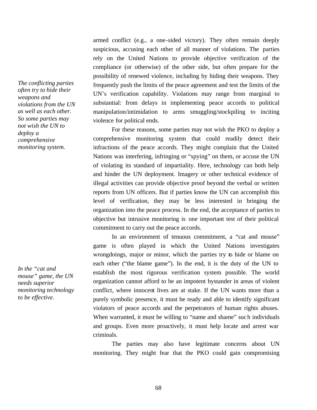armed conflict (e.g., a one-sided victory). They often remain deeply suspicious, accusing each other of all manner of violations. The parties rely on the United Nations to provide objective verification of the compliance (or otherwise) of the other side, but often prepare for the possibility of renewed violence, including by hiding their weapons. They frequently push the limits of the peace agreement and test the limits of the UN's verification capability. Violations may range from marginal to substantial: from delays in implementing peace accords to political manipulation/intimidation to arms smuggling/stockpiling to inciting violence for political ends.

For these reasons, some parties may not wish the PKO to deploy a comprehensive monitoring system that could readily detect their infractions of the peace accords. They might complain that the United Nations was interfering, infringing or "spying" on them, or accuse the UN of violating its standard of impartiality. Here, technology can both help and hinder the UN deployment. Imagery or other technical evidence of illegal activities can provide objective proof beyond the verbal or written reports from UN officers. But if parties know the UN can accomplish this level of verification, they may be less interested in bringing the organization into the peace process. In the end, the acceptance of parties to objective but intrusive monitoring is one important test of their political commitment to carry out the peace accords.

In an environment of tenuous commitment, a "cat and mouse" game is often played in which the United Nations investigates wrongdoings, major or minor, which the parties try to hide or blame on each other ("the blame game"). In the end, it is the duty of the UN to establish the most rigorous verification system possible. The world organization cannot afford to be an impotent bystander in areas of violent conflict, where innocent lives are at stake. If the UN wants more than a purely symbolic presence, it must be ready and able to identify significant violators of peace accords and the perpetrators of human rights abuses. When warranted, it must be willing to "name and shame" such individuals and groups. Even more proactively, it must help locate and arrest war criminals.

The parties may also have legitimate concerns about UN monitoring. They might fear that the PKO could gain compromising

*The conflicting parties often try to hide their weapons and violations from the UN as well as each other. So some parties may not wish the UN to deploy a comprehensive monitoring system.*

*In the "cat and mouse" game, the UN needs superior monitoring technology to be effective.*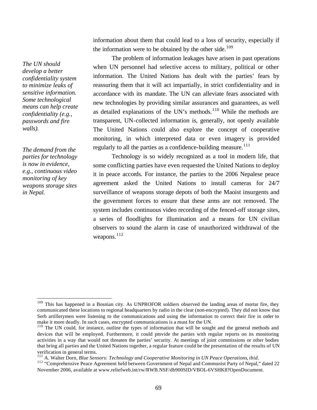information about them that could lead to a loss of security, especially if the information were to be obtained by the other side.<sup>109</sup>

The problem of information leakages have arisen in past operations when UN personnel had selective access to military, political or other information. The United Nations has dealt with the parties' fears by reassuring them that it will act impartially, in strict confidentiality and in accordance with its mandate. The UN can alleviate fears associated with new technologies by providing similar assurances and guarantees, as well as detailed explanations of the UN's methods.<sup>110</sup> While the methods are transparent, UN-collected information is, generally, not openly available The United Nations could also explore the concept of cooperative monitoring, in which interpreted data or even imagery is provided regularly to all the parties as a confidence-building measure.<sup>111</sup>

Technology is so widely recognized as a tool in modern life, that some conflicting parties have even requested the United Nations to deploy it in peace accords. For instance, the parties to the 2006 Nepalese peace agreement asked the United Nations to install cameras for 24/7 surveillance of weapons storage depots of both the Maoist insurgents and the government forces to ensure that these arms are not removed. The system includes continuous video recording of the fenced-off storage sites, a series of floodlights for illumination and a means for UN civilian observers to sound the alarm in case of unauthorized withdrawal of the weapons.<sup>112</sup>

*The demand from the parties for technology is now in evidence, e.g., continuous video monitoring of key weapons storage sites in Nepal.* 

*The UN should develop a better confidentiality system to minimize leaks of sensitive information. Some technological means can help create confidentiality (e.g., passwords and fire walls).* 

<sup>&</sup>lt;sup>109</sup> This has happened in a Bosnian city. As UNPROFOR soldiers observed the landing areas of mortar fire, they communicated these locations to regional headquarters by radio in the clear (non-encrypted). They did not know that Serb artillerymen were listening to the communications and using the information to correct their fire in order to make it more deadly. In such cases, encrypted communications is a must for the UN.

<sup>&</sup>lt;sup>110</sup> The UN could, for instance, outline the types of information that will be sought and the general methods and devices that will be employed. Furthermore, it could provide the parties with regular reports on its monitoring activities in a way that would not threaten the parties' security. At meetings of joint commissions or other bodies that bring all parties and the United Nations together, a regular feature could be the presentation of the results of UN verification in general terms.

<sup>111</sup> A. Walter Dorn, *Blue Sensors: Technology and Cooperative Monitoring in UN Peace Operations*, *ibid*.

<sup>&</sup>lt;sup>112</sup> "Comprehensive Peace Agreement held between Government of Nepal and Communist Party of Nepal," dated 22 November 2006, available at www.reliefweb.int/rw/RWB.NSF/db900SID/VBOL-6VSHK8?OpenDocument.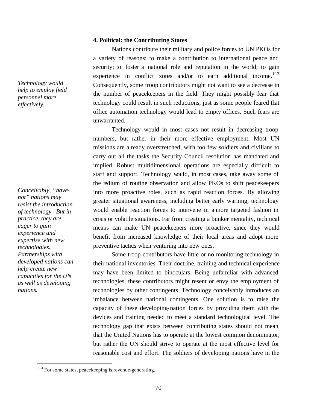### **4. Political: the Cont ributing States**

Nations contribute their military and police forces to UN PKOs for a variety of reasons: to make a contribution to international peace and security; to foster a national role and reputation in the world; to gain experience in conflict zones and/or to earn additional income. $^{113}$ Consequently, some troop contributors might not want to see a decrease in the number of peacekeepers in the field. They might possibly fear that technology could result in such reductions, just as some people feared that office automation technology would lead to empty offices. Such fears are unwarranted.

Technology would in most cases not result in decreasing troop numbers, but rather in their more effective employment. Most UN missions are already overstretched, with too few soldiers and civilians to carry out all the tasks the Security Council resolution has mandated and implied. Robust multidimensional operations are especially difficult to staff and support. Technology would, in most cases, take away some of the tedium of routine observation and allow PKOs to shift peacekeepers into more proactive roles, such as rapid reaction forces. By allowing greater situational awareness, including better early warning, technology would enable reaction forces to intervene in a more targeted fashion in crisis or volatile situations. Far from creating a bunker mentality, technical means can make UN peacekeepers more proactive, since they would benefit from increased knowledge of their local areas and adopt more preventive tactics when venturing into new ones.

Some troop contributors have little or no monitoring technology in their national inventories. Their doctrine, training and technical experience may have been limited to binoculars. Being unfamiliar with advanced technologies, these contributors might resent or envy the employment of technologies by other contingents. Technology conceivably introduces an imbalance between national contingents. One solution is to raise the capacity of these developing-nation forces by providing them with the devices and training needed to meet a standard technological level. The technology gap that exists between contributing states should not mean that the United Nations has to operate at the lowest common denominator, but rather the UN should strive to operate at the most effective level for reasonable cost and effort. The soldiers of developing nations have in the

*Technology would help to employ field personnel more effectively.* 

*Conceivably, "havenot" nations may resist the introduction of technology. But in practice, they are eager to gain experience and expertise with new technologies. Partnerships with developed nations can help create new capacities for the UN as well as developing nations.* 

<sup>&</sup>lt;sup>113</sup> For some states, peacekeeping is revenue-generating.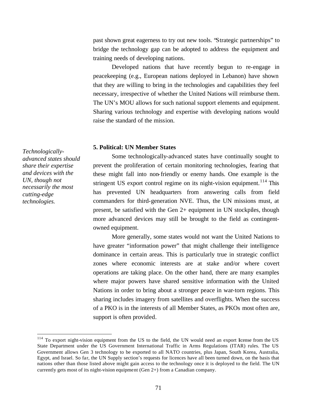past shown great eagerness to try out new tools. "Strategic partnerships" to bridge the technology gap can be adopted to address the equipment and training needs of developing nations.

Developed nations that have recently begun to re-engage in peacekeeping (e.g., European nations deployed in Lebanon) have shown that they are willing to bring in the technologies and capabilities they feel necessary, irrespective of whether the United Nations will reimburse them. The UN's MOU allows for such national support elements and equipment. Sharing various technology and expertise with developing nations would raise the standard of the mission.

### **5. Political: UN Member States**

Some technologically-advanced states have continually sought to prevent the proliferation of certain monitoring technologies, fearing that these might fall into non-friendly or enemy hands. One example is the stringent US export control regime on its night-vision equipment.<sup>114</sup> This has prevented UN headquarters from answering calls from field commanders for third-generation NVE. Thus, the UN missions must, at present, be satisfied with the Gen 2+ equipment in UN stockpiles, though more advanced devices may still be brought to the field as contingentowned equipment.

More generally, some states would not want the United Nations to have greater "information power" that might challenge their intelligence dominance in certain areas. This is particularly true in strategic conflict zones where economic interests are at stake and/or where covert operations are taking place. On the other hand, there are many examples where major powers have shared sensitive information with the United Nations in order to bring about a stronger peace in war-torn regions. This sharing includes imagery from satellites and overflights. When the success of a PKO is in the interests of all Member States, as PKOs most often are, support is often provided.

*Technologicallyadvanced states should share their expertise and devices with the UN, though not necessarily the most cutting-edge technologies.* 

<sup>&</sup>lt;sup>114</sup> To export night-vision equipment from the US to the field, the UN would need an export license from the US State Department under the US Government International Traffic in Arms Regulations (ITAR) rules. The US Government allows Gen 3 technology to be exported to all NATO countries, plus Japan, South Korea, Australia, Egypt, and Israel. So far, the UN Supply section's requests for licences have all been turned down, on the basis that nations other than those listed above might gain access to the technology once it is deployed to the field. The UN currently gets most of its night-vision equipment (Gen 2+) from a Canadian company.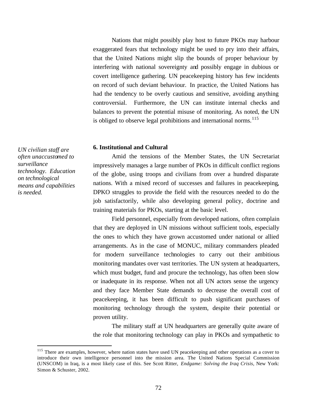Nations that might possibly play host to future PKOs may harbour exaggerated fears that technology might be used to pry into their affairs, that the United Nations might slip the bounds of proper behaviour by interfering with national sovereignty and possibly engage in dubious or covert intelligence gathering. UN peacekeeping history has few incidents on record of such deviant behaviour. In practice, the United Nations has had the tendency to be overly cautious and sensitive, avoiding anything controversial. Furthermore, the UN can institute internal checks and balances to prevent the potential misuse of monitoring. As noted, the UN is obliged to observe legal prohibitions and international norms.<sup>115</sup>

#### **6. Institutional and Cultural**

Amid the tensions of the Member States, the UN Secretariat impressively manages a large number of PKOs in difficult conflict regions of the globe, using troops and civilians from over a hundred disparate nations. With a mixed record of successes and failures in peacekeeping, DPKO struggles to provide the field with the resources needed to do the job satisfactorily, while also developing general policy, doctrine and training materials for PKOs, starting at the basic level.

Field personnel, especially from developed nations, often complain that they are deployed in UN missions without sufficient tools, especially the ones to which they have grown accustomed under national or allied arrangements. As in the case of MONUC, military commanders pleaded for modern surveillance technologies to carry out their ambitious monitoring mandates over vast territories. The UN system at headquarters, which must budget, fund and procure the technology, has often been slow or inadequate in its response. When not all UN actors sense the urgency and they face Member State demands to decrease the overall cost of peacekeeping, it has been difficult to push significant purchases of monitoring technology through the system, despite their potential or proven utility.

The military staff at UN headquarters are generally quite aware of the role that monitoring technology can play in PKOs and sympathetic to

*UN civilian staff are often unaccustomed to surveillance technology. Education on technological means and capabilities is needed.* 

<sup>&</sup>lt;sup>115</sup> There are examples, however, where nation states have used UN peacekeeping and other operations as a cover to introduce their own intelligence personnel into the mission area. The United Nations Special Commission (UNSCOM) in Iraq, is a most likely case of this. See Scott Ritter, *Endgame: Solving the Iraq Crisis*, New York: Simon & Schuster, 2002.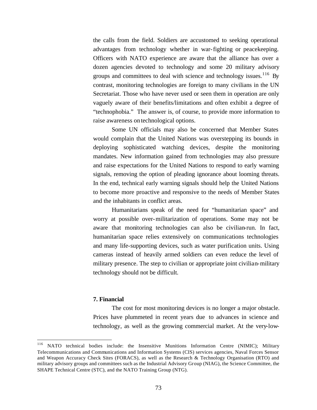the calls from the field. Soldiers are accustomed to seeking operational advantages from technology whether in war-fighting or peacekeeping. Officers with NATO experience are aware that the alliance has over a dozen agencies devoted to technology and some 20 military advisory groups and committees to deal with science and technology issues.  $116$  By contrast, monitoring technologies are foreign to many civilians in the UN Secretariat. Those who have never used or seen them in operation are only vaguely aware of their benefits/limitations and often exhibit a degree of "technophobia." The answer is, of course, to provide more information to raise awareness on technological options.

Some UN officials may also be concerned that Member States would complain that the United Nations was overstepping its bounds in deploying sophisticated watching devices, despite the monitoring mandates. New information gained from technologies may also pressure and raise expectations for the United Nations to respond to early warning signals, removing the option of pleading ignorance about looming threats. In the end, technical early warning signals should help the United Nations to become more proactive and responsive to the needs of Member States and the inhabitants in conflict areas.

Humanitarians speak of the need for "humanitarian space" and worry at possible over-militarization of operations. Some may not be aware that monitoring technologies can also be civilian-run. In fact, humanitarian space relies extensively on communications technologies and many life-supporting devices, such as water purification units. Using cameras instead of heavily armed soldiers can even reduce the level of military presence. The step to civilian or appropriate joint civilian-military technology should not be difficult.

## **7. Financial**

 $\overline{a}$ 

The cost for most monitoring devices is no longer a major obstacle. Prices have plummeted in recent years due to advances in science and technology, as well as the growing commercial market. At the very-low-

<sup>&</sup>lt;sup>116</sup> NATO technical bodies include: the Insensitive Munitions Information Centre (NIMIC); Military Telecommunications and Communications and Information Systems (CIS) services agencies, Naval Forces Sensor and Weapon Accuracy Check Sites (FORACS), as well as the Research & Technology Organisation (RTO) and military advisory groups and committees such as the Industrial Advisory Group (NIAG), the Science Committee, the SHAPE Technical Centre (STC), and the NATO Training Group (NTG).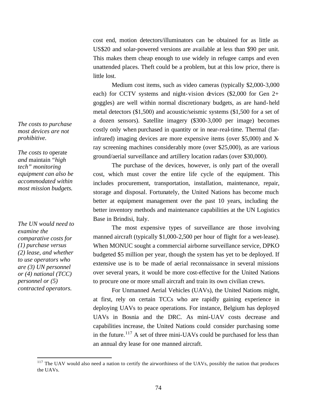cost end, motion detectors/illuminators can be obtained for as little as US\$20 and solar-powered versions are available at less than \$90 per unit. This makes them cheap enough to use widely in refugee camps and even unattended places. Theft could be a problem, but at this low price, there is little lost.

Medium cost items, such as video cameras (typically \$2,000-3,000 each) for CCTV systems and night-vision devices (\$2,000 for Gen 2+ goggles) are well within normal discretionary budgets, as are hand-held metal detectors (\$1,500) and acoustic/seismic systems (\$1,500 for a set of a dozen sensors). Satellite imagery (\$300-3,000 per image) becomes costly only when purchased in quantity or in near-real-time. Thermal (farinfrared) imaging devices are more expensive items (over \$5,000) and Xray screening machines considerably more (over \$25,000), as are various ground/aerial surveillance and artillery location radars (over \$30,000).

The purchase of the devices, however, is only part of the overall cost, which must cover the entire life cycle of the equipment. This includes procurement, transportation, installation, maintenance, repair, storage and disposal. Fortunately, the United Nations has become much better at equipment management over the past 10 years, including the better inventory methods and maintenance capabilities at the UN Logistics Base in Brindisi, Italy.

The most expensive types of surveillance are those involving manned aircraft (typically \$1,000-2,500 per hour of flight for a wet-lease). When MONUC sought a commercial airborne surveillance service, DPKO budgeted \$5 million per year, though the system has yet to be deployed. If extensive use is to be made of aerial reconnaissance in several missions over several years, it would be more cost-effective for the United Nations to procure one or more small aircraft and train its own civilian crews.

For Unmanned Aerial Vehicles (UAVs), the United Nations might, at first, rely on certain TCCs who are rapidly gaining experience in deploying UAVs to peace operations. For instance, Belgium has deployed UAVs in Bosnia and the DRC. As mini-UAV costs decrease and capabilities increase, the United Nations could consider purchasing some in the future.<sup>117</sup> A set of three mini-UAVs could be purchased for less than an annual dry lease for one manned aircraft.

*The costs to purchase most devices are not prohibitive.* 

*The costs to* operate *and* maintain *"high tech" monitoring equipment can also be accommodated within most mission budgets.* 

*The UN would need to examine the comparative costs for (1) purchase versus (2) lease, and whether to use operators who are (3) UN personnel or (4) national (TCC) personnel or (5) contracted operators.*

 $117$  The UAV would also need a nation to certify the airworthiness of the UAVs, possibly the nation that produces the UAVs.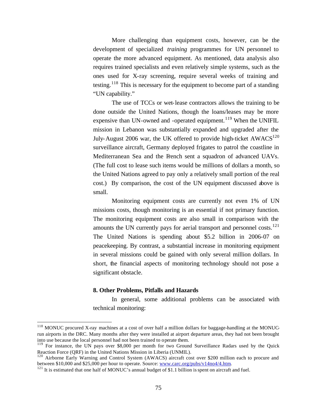More challenging than equipment costs, however, can be the development of specialized *training* programmes for UN personnel to operate the more advanced equipment. As mentioned, data analysis also requires trained specialists and even relatively simple systems, such as the ones used for X-ray screening, require several weeks of training and testing.<sup>118</sup> This is necessary for the equipment to become part of a standing "UN capability."

The use of TCCs or wet-lease contractors allows the training to be done outside the United Nations, though the loans/leases may be more expensive than  $UN$ -owned and -operated equipment.<sup>119</sup> When the UNIFIL mission in Lebanon was substantially expanded and upgraded after the July-August 2006 war, the UK offered to provide high-ticket  $AWACS^{120}$ surveillance aircraft, Germany deployed frigates to patrol the coastline in Mediterranean Sea and the French sent a squadron of advanced UAVs. (The full cost to lease such items would be millions of dollars a month, so the United Nations agreed to pay only a relatively small portion of the real cost.) By comparison, the cost of the UN equipment discussed above is small.

Monitoring equipment costs are currently not even 1% of UN missions costs, though monitoring is an essential if not primary function. The monitoring equipment costs are also small in comparison with the amounts the UN currently pays for aerial transport and personnel costs.<sup>121</sup> The United Nations is spending about \$5.2 billion in 2006-07 on peacekeeping. By contrast, a substantial increase in monitoring equipment in several missions could be gained with only several million dollars. In short, the financial aspects of monitoring technology should not pose a significant obstacle.

### **8. Other Problems, Pitfalls and Hazards**

 $\overline{a}$ 

In general, some additional problems can be associated with technical monitoring:

<sup>&</sup>lt;sup>118</sup> MONUC procured X-ray machines at a cost of over half a million dollars for baggage-handling at the MONUCrun airports in the DRC. Many months after they were installed at airport departure areas, they had not been brought into use because the local personnel had not been trained to operate them.

<sup>&</sup>lt;sup>119</sup> For instance, the UN pays over \$8,000 per month for two Ground Surveillance Radars used by the Quick Reaction Force (QRF) in the United Nations Mission in Liberia (UNMIL).

<sup>&</sup>lt;sup>120</sup> Airborne Early Warning and Control System (AWACS) aircraft cost over \$200 million each to procure and between \$10,000 and \$25,000 per hour to operate. Source: www.carc.org/pubs/v14no4/4.htm.

 $121$  It is estimated that one half of MONUC's annual budget of \$1.1 billion is spent on aircraft and fuel.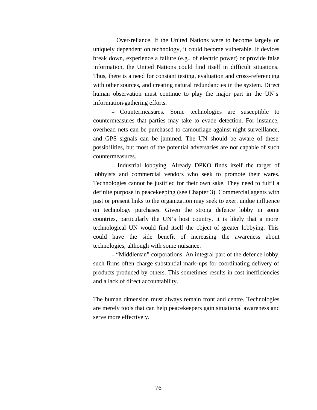– Over-reliance. If the United Nations were to become largely or uniquely dependent on technology, it could become vulnerable. If devices break down, experience a failure (e.g., of electric power) or provide false information, the United Nations could find itself in difficult situations. Thus, there is a need for constant testing, evaluation and cross-referencing with other sources, and creating natural redundancies in the system. Direct human observation must continue to play the major part in the UN's information-gathering efforts.

– Countermeasures. Some technologies are susceptible to countermeasures that parties may take to evade detection. For instance, overhead nets can be purchased to camouflage against night surveillance, and GPS signals can be jammed. The UN should be aware of these possibilities, but most of the potential adversaries are not capable of such countermeasures.

– Industrial lobbying. Already DPKO finds itself the target of lobbyists and commercial vendors who seek to promote their wares. Technologies cannot be justified for their own sake. They need to fulfil a definite purpose in peacekeeping (see Chapter 3). Commercial agents with past or present links to the organization may seek to exert undue influence on technology purchases. Given the strong defence lobby in some countries, particularly the UN's host country, it is likely that a more technological UN would find itself the object of greater lobbying. This could have the side benefit of increasing the awareness about technologies, although with some nuisance.

– "Middleman" corporations. An integral part of the defence lobby, such firms often charge substantial mark-ups for coordinating delivery of products produced by others. This sometimes results in cost inefficiencies and a lack of direct accountability.

The human dimension must always remain front and centre. Technologies are merely tools that can help peacekeepers gain situational awareness and serve more effectively.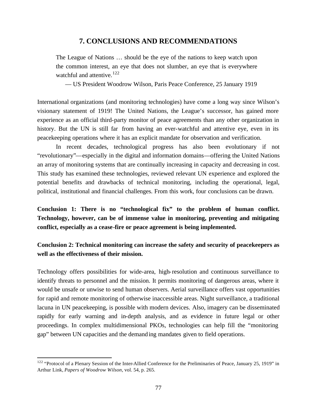# **7. CONCLUSIONS AND RECOMMENDATIONS**

The League of Nations … should be the eye of the nations to keep watch upon the common interest, an eye that does not slumber, an eye that is everywhere watchful and attentive.<sup>122</sup>

— US President Woodrow Wilson, Paris Peace Conference, 25 January 1919

International organizations (and monitoring technologies) have come a long way since Wilson's visionary statement of 1919! The United Nations, the League's successor, has gained more experience as an official third-party monitor of peace agreements than any other organization in history. But the UN is still far from having an ever-watchful and attentive eye, even in its peacekeeping operations where it has an explicit mandate for observation and verification.

In recent decades, technological progress has also been evolutionary if not "revolutionary"—especially in the digital and information domains—offering the United Nations an array of monitoring systems that are continually increasing in capacity and decreasing in cost. This study has examined these technologies, reviewed relevant UN experience and explored the potential benefits and drawbacks of technical monitoring, including the operational, legal, political, institutional and financial challenges. From this work, four conclusions can be drawn.

**Conclusion 1: There is no "technological fix" to the problem of human conflict. Technology, however, can be of immense value in monitoring, preventing and mitigating conflict, especially as a cease-fire or peace agreement is being implemented.** 

**Conclusion 2: Technical monitoring can increase the safety and security of peacekeepers as well as the effectiveness of their mission.**

Technology offers possibilities for wide-area, high-resolution and continuous surveillance to identify threats to personnel and the mission. It permits monitoring of dangerous areas, where it would be unsafe or unwise to send human observers. Aerial surveillance offers vast opportunities for rapid and remote monitoring of otherwise inaccessible areas. Night surveillance, a traditional lacuna in UN peacekeeping, is possible with modern devices. Also, imagery can be disseminated rapidly for early warning and in-depth analysis, and as evidence in future legal or other proceedings. In complex multidimensional PKOs, technologies can help fill the "monitoring gap" between UN capacities and the demanding mandates given to field operations.

 $122$  "Protocol of a Plenary Session of the Inter-Allied Conference for the Preliminaries of Peace, January 25, 1919" in Arthur Link, *Papers of Woodrow Wilson*, vol. 54, p. 265.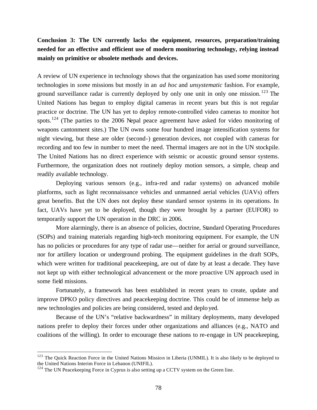# **Conclusion 3: The UN currently lacks the equipment, resources, preparation/training needed for an effective and efficient use of modern monitoring technology, relying instead mainly on primitive or obsolete methods and devices.**

A review of UN experience in technology shows that the organization has used *some* monitoring technologies in *some* missions but mostly in an *ad hoc* and *unsystematic* fashion. For example, ground surveillance radar is currently deployed by only one unit in only one mission.<sup>123</sup> The United Nations has begun to employ digital cameras in recent years but this is not regular practice or doctrine. The UN has yet to deploy remote-controlled video cameras to monitor hot spots.<sup>124</sup> (The parties to the 2006 Nepal peace agreement have asked for video monitoring of weapons cantonment sites.) The UN owns some four hundred image intensification systems for night viewing, but these are older (second-) generation devices, not coupled with cameras for recording and too few in number to meet the need. Thermal imagers are not in the UN stockpile. The United Nations has no direct experience with seismic or acoustic ground sensor systems. Furthermore, the organization does not routinely deploy motion sensors, a simple, cheap and readily available technology.

Deploying various sensors (e.g., infra-red and radar systems) on advanced mobile platforms, such as light reconnaissance vehicles and unmanned aerial vehicles (UAVs) offers great benefits. But the UN does not deploy these standard sensor systems in its operations. In fact, UAVs have yet to be deployed, though they were brought by a partner (EUFOR) to temporarily support the UN operation in the DRC in 2006.

More alarmingly, there is an absence of policies, doctrine, Standard Operating Procedures (SOPs) and training materials regarding high-tech monitoring equipment. For example, the UN has no policies or procedures for any type of radar use—neither for aerial or ground surveillance, nor for artillery location or underground probing. The equipment guidelines in the draft SOPs, which were written for traditional peacekeeping, are out of date by at least a decade. They have not kept up with either technological advancement or the more proactive UN approach used in some field missions.

Fortunately, a framework has been established in recent years to create, update and improve DPKO policy directives and peacekeeping doctrine. This could be of immense help as new technologies and policies are being considered, tested and deployed.

Because of the UN's "relative backwardness" in military deployments, many developed nations prefer to deploy their forces under other organizations and alliances (e.g., NATO and coalitions of the willing). In order to encourage these nations to re-engage in UN peacekeeping,

<sup>&</sup>lt;sup>123</sup> The Quick Reaction Force in the United Nations Mission in Liberia (UNMIL). It is also likely to be deployed to the United Nations Interim Force in Lebanon (UNIFIL).

 $124$  The UN Peacekeeping Force in Cyprus is also setting up a CCTV system on the Green line.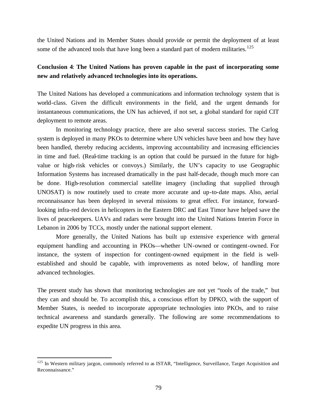the United Nations and its Member States should provide or permit the deployment of at least some of the advanced tools that have long been a standard part of modern militaries.<sup>125</sup>

# **Conclusion 4**: **The United Nations has proven capable in the past of incorporating some new and relatively advanced technologies into its operations.**

The United Nations has developed a communications and information technology system that is world-class. Given the difficult environments in the field, and the urgent demands for instantaneous communications, the UN has achieved, if not set, a global standard for rapid CIT deployment to remote areas.

In monitoring technology practice, there are also several success stories. The Carlog system is deployed in many PKOs to determine where UN vehicles have been and how they have been handled, thereby reducing accidents, improving accountability and increasing efficiencies in time and fuel. (Real-time tracking is an option that could be pursued in the future for highvalue or high-risk vehicles or convoys.) Similarly, the UN's capacity to use Geographic Information Systems has increased dramatically in the past half-decade, though much more can be done. High-resolution commercial satellite imagery (including that supplied through UNOSAT) is now routinely used to create more accurate and up-to-date maps. Also, aerial reconnaissance has been deployed in several missions to great effect. For instance, forwardlooking infra-red devices in helicopters in the Eastern DRC and East Timor have helped save the lives of peacekeepers. UAVs and radars were brought into the United Nations Interim Force in Lebanon in 2006 by TCCs, mostly under the national support element.

More generally, the United Nations has built up extensive experience with general equipment handling and accounting in PKOs—whether UN-owned or contingent-owned. For instance, the system of inspection for contingent-owned equipment in the field is wellestablished and should be capable, with improvements as noted below, of handling more advanced technologies.

The present study has shown that monitoring technologies are not yet "tools of the trade," but they can and should be. To accomplish this, a conscious effort by DPKO, with the support of Member States, is needed to incorporate appropriate technologies into PKOs, and to raise technical awareness and standards generally. The following are some recommendations to expedite UN progress in this area.

<sup>&</sup>lt;sup>125</sup> In Western military jargon, commonly referred to as ISTAR, "Intelligence, Surveillance, Target Acquisition and Reconnaissance."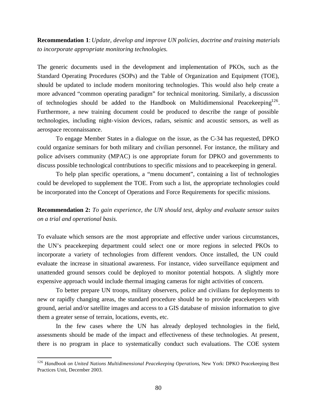**Recommendation 1**: *Update, develop and improve UN policies, doctrine and training materials to incorporate appropriate monitoring technologies.*

The generic documents used in the development and implementation of PKOs, such as the Standard Operating Procedures (SOPs) and the Table of Organization and Equipment (TOE), should be updated to include modern monitoring technologies. This would also help create a more advanced "common operating paradigm" for technical monitoring. Similarly, a discussion of technologies should be added to the Handbook on Multidimensional Peacekeeping<sup>126</sup>. Furthermore, a new training document could be produced to describe the range of possible technologies, including night-vision devices, radars, seismic and acoustic sensors, as well as aerospace reconnaissance.

To engage Member States in a dialogue on the issue, as the C-34 has requested, DPKO could organize seminars for both military and civilian personnel. For instance, the military and police advisers community (MPAC) is one appropriate forum for DPKO and governments to discuss possible technological contributions to specific missions and to peacekeeping in general.

To help plan specific operations, a "menu document", containing a list of technologies could be developed to supplement the TOE. From such a list, the appropriate technologies could be incorporated into the Concept of Operations and Force Requirements for specific missions.

**Recommendation 2:** *To gain experience, the UN should test, deploy and evaluate sensor suites on a trial and operational basis.*

To evaluate which sensors are the most appropriate and effective under various circumstances, the UN's peacekeeping department could select one or more regions in selected PKOs to incorporate a variety of technologies from different vendors. Once installed, the UN could evaluate the increase in situational awareness. For instance, video surveillance equipment and unattended ground sensors could be deployed to monitor potential hotspots. A slightly more expensive approach would include thermal imaging cameras for night activities of concern.

To better prepare UN troops, military observers, police and civilians for deployments to new or rapidly changing areas, the standard procedure should be to provide peacekeepers with ground, aerial and/or satellite images and access to a GIS database of mission information to give them a greater sense of terrain, locations, events, etc.

In the few cases where the UN has already deployed technologies in the field, assessments should be made of the impact and effectiveness of these technologies. At present, there is no program in place to systematically conduct such evaluations. The COE system

<sup>126</sup> *Handbook on United Nations Multidimensional Peacekeeping Operations*, New York: DPKO Peacekeeping Best Practices Unit, December 2003.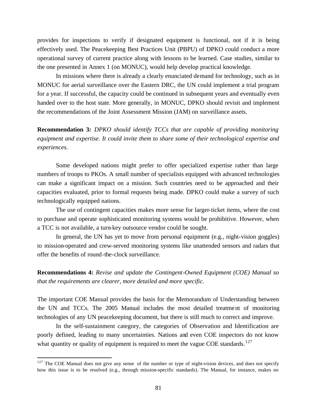provides for inspections to verify if designated equipment is functional, not if it is being effectively used. The Peacekeeping Best Practices Unit (PBPU) of DPKO could conduct a more operational survey of current practice along with lessons to be learned. Case studies, similar to the one presented in Annex 1 (on MONUC), would help develop practical knowledge.

In missions where there is already a clearly enunciated demand for technology, such as in MONUC for aerial surveillance over the Eastern DRC, the UN could implement a trial program for a year. If successful, the capacity could be continued in subsequent years and eventually even handed over to the host state. More generally, in MONUC, DPKO should revisit and implement the recommendations of the Joint Assessment Mission (JAM) on surveillance assets.

**Recommendation 3:** *DPKO should identify TCCs that are capable of providing monitoring equipment and expertise. It could invite them to share some of their technological expertise and experiences.* 

Some developed nations might prefer to offer specialized expertise rather than large numbers of troops to PKOs. A small number of specialists equipped with advanced technologies can make a significant impact on a mission. Such countries need to be approached and their capacities evaluated, prior to formal requests being made. DPKO could make a survey of such technologically equipped nations.

The use of contingent capacities makes more sense for larger-ticket items, where the cost to purchase and operate sophisticated monitoring systems would be prohibitive. However, when a TCC is not available, a turn-key outsource vendor could be sought.

In general, the UN has yet to move from personal equipment (e.g., night-vision goggles) to mission-operated and crew-served monitoring systems like unattended sensors and radars that offer the benefits of round-the-clock surveillance.

**Recommendations 4:** *Revise and update the Contingent-Owned Equipment (COE) Manual so that the requirements are clearer, more detailed and more specific.* 

The important COE Manual provides the basis for the Memorandum of Understanding between the UN and TCCs. The 2005 Manual includes the most detailed treatment of monitoring technologies of any UN peacekeeping document, but there is still much to correct and improve.

In the self-sustainment category, the categories of Observation and Identification are poorly defined, leading to many uncertainties. Nations and even COE inspectors do not know what quantity or quality of equipment is required to meet the vague COE standards.<sup>127</sup>

 $127$  The COE Manual does not give any sense of the number or type of night-vision devices, and does not specify how this issue is to be resolved (e.g., through mission-specific standards). The Manual, for instance, makes no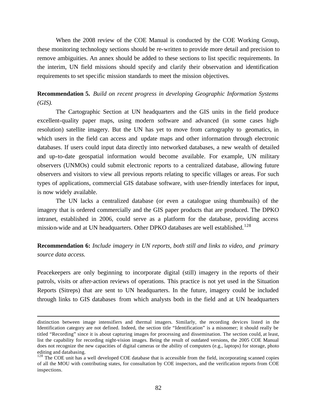When the 2008 review of the COE Manual is conducted by the COE Working Group, these monitoring technology sections should be re-written to provide more detail and precision to remove ambiguities. An annex should be added to these sections to list specific requirements. In the interim, UN field missions should specify and clarify their observation and identification requirements to set specific mission standards to meet the mission objectives.

**Recommendation 5.** *Build on recent progress in developing Geographic Information Systems (GIS).* 

The Cartographic Section at UN headquarters and the GIS units in the field produce excellent-quality paper maps, using modern software and advanced (in some cases highresolution) satellite imagery. But the UN has yet to move from cartography to geomatics, in which users in the field can access and update maps and other information through electronic databases. If users could input data directly into networked databases, a new wealth of detailed and up-to-date geospatial information would become available. For example, UN military observers (UNMOs) could submit electronic reports to a centralized database, allowing future observers and visitors to view all previous reports relating to specific villages or areas. For such types of applications, commercial GIS database software, with user-friendly interfaces for input, is now widely available.

The UN lacks a centralized database (or even a catalogue using thumbnails) of the imagery that is ordered commercially and the GIS paper products that are produced. The DPKO intranet, established in 2006, could serve as a platform for the database, providing access mission-wide and at UN headquarters. Other DPKO databases are well established.<sup>128</sup>

# **Recommendation 6:** *Include imagery in UN reports, both still and links to video, and primary source data access.*

Peacekeepers are only beginning to incorporate digital (still) imagery in the reports of their patrols, visits or after-action reviews of operations. This practice is not yet used in the Situation Reports (Sitreps) that are sent to UN headquarters. In the future, imagery could be included through links to GIS databases from which analysts both in the field and at UN headquarters

distinction between image intensifiers and thermal imagers. Similarly, the recording devices listed in the Identification category are not defined. Indeed, the section title "Identification" is a misnomer; it should really be titled "Recording" since it is about capturing images for processing and dissemination. The section could, at least, list the capability for recording night-vision images. Being the result of outdated versions, the 2005 COE Manual does not recognize the new capacities of digital cameras or the ability of computers (e.g., laptops) for storage, photo editing and databasing.

<sup>&</sup>lt;sup>128</sup> The COE unit has a well developed COE database that is accessible from the field, incorporating scanned copies of all the MOU with contributing states, for consultation by COE inspectors, and the verification reports from COE inspections.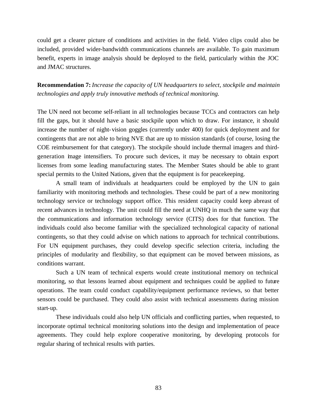could get a clearer picture of conditions and activities in the field. Video clips could also be included, provided wider-bandwidth communications channels are available. To gain maximum benefit, experts in image analysis should be deployed to the field, particularly within the JOC and JMAC structures.

**Recommendation 7:** *Increase the capacity of UN headquarters to select, stockpile and maintain technologies and apply truly innovative methods of technical monitoring.*

The UN need not become self-reliant in all technologies because TCCs and contractors can help fill the gaps, but it should have a basic stockpile upon which to draw. For instance, it should increase the number of night-vision goggles (currently under 400) for quick deployment and for contingents that are not able to bring NVE that are up to mission standards (of course, losing the COE reimbursement for that category). The stockpile should include thermal imagers and thirdgeneration image intensifiers. To procure such devices, it may be necessary to obtain export licenses from some leading manufacturing states. The Member States should be able to grant special permits to the United Nations, given that the equipment is for peacekeeping.

A small team of individuals at headquarters could be employed by the UN to gain familiarity with monitoring methods and technologies. These could be part of a new monitoring technology service or technology support office. This resident capacity could keep abreast of recent advances in technology. The unit could fill the need at UNHQ in much the same way that the communications and information technology service (CITS) does for that function. The individuals could also become familiar with the specialized technological capacity of national contingents, so that they could advise on which nations to approach for technical contributions. For UN equipment purchases, they could develop specific selection criteria, including the principles of modularity and flexibility, so that equipment can be moved between missions, as conditions warrant.

Such a UN team of technical experts would create institutional memory on technical monitoring, so that lessons learned about equipment and techniques could be applied to future operations. The team could conduct capability/equipment performance reviews, so that better sensors could be purchased. They could also assist with technical assessments during mission start-up.

 These individuals could also help UN officials and conflicting parties, when requested, to incorporate optimal technical monitoring solutions into the design and implementation of peace agreements. They could help explore cooperative monitoring, by developing protocols for regular sharing of technical results with parties.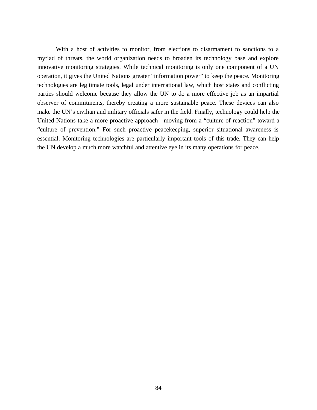With a host of activities to monitor, from elections to disarmament to sanctions to a myriad of threats, the world organization needs to broaden its technology base and explore innovative monitoring strategies. While technical monitoring is only one component of a UN operation, it gives the United Nations greater "information power" to keep the peace. Monitoring technologies are legitimate tools, legal under international law, which host states and conflicting parties should welcome because they allow the UN to do a more effective job as an impartial observer of commitments, thereby creating a more sustainable peace. These devices can also make the UN's civilian and military officials safer in the field. Finally, technology could help the United Nations take a more proactive approach—moving from a "culture of reaction" toward a "culture of prevention." For such proactive peacekeeping, superior situational awareness is essential. Monitoring technologies are particularly important tools of this trade. They can help the UN develop a much more watchful and attentive eye in its many operations for peace.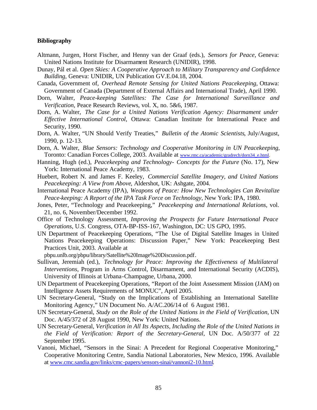### **Bibliography**

- Altmann, Jurgen, Horst Fischer, and Henny van der Graaf (eds.), *Sensors for Peace*, Geneva: United Nations Institute for Disarmament Research (UNIDIR), 1998.
- Dunay, Pál et al. *Open Skies: A Cooperative Approach to Military Transparency and Confidence Building*, Geneva: UNIDIR, UN Publication GV.E.04.18, 2004.
- Canada, Government of, *Overhead Remote Sensing for United Nations Peacekeeping*, Ottawa: Government of Canada (Department of External Affairs and International Trade), April 1990.
- Dorn, Walter, *Peace-keeping Satellites: The Case for International Surveillance and Verification*, Peace Research Reviews, vol. X, no. 5&6, 1987.
- Dorn, A. Walter, *The Case for a United Nations Verification Agency: Disarmament under Effective International Control*, Ottawa: Canadian Institute for International Peace and Security, 1990.
- Dorn, A. Walter, "UN Should Verify Treaties," *Bulletin of the Atomic Scientists*, July/August, 1990, p. 12-13.
- Dorn, A. Walter, *Blue Sensors: Technology and Cooperative Monitoring in UN Peacekeeping*, Toronto: Canadian Forces College, 2003. Available at www.rmc.ca/academic/gradrech/dorn34\_e.html.
- Hanning, Hugh (ed.), *Peacekeeping and Technology- Concepts for the Future* (No. 17), New York: International Peace Academy, 1983.
- Huebert, Robert N. and James F. Keeley, *Commercial Satellite Imagery, and United Nations Peacekeeping: A View from Above*, Aldershot, UK: Ashgate, 2004.
- International Peace Academy (IPA), *Weapons of Peace: How New Technologies Can Revitalize Peace-keeping: A Report of the IPA Task Force on Technology*, New York: IPA, 1980.
- Jones, Peter, "Technology and Peacekeeping," *Peacekeeping and International Relations*, vol. 21, no. 6, November/December 1992.
- Office of Technology Assessment, *Improving the Prospects for Future International Peace Operations*, U.S. Congress, OTA-BP-ISS-167, Washington, DC: US GPO, 1995.
- UN Department of Peacekeeping Operations, "The Use of Digital Satellite Images in United Nations Peacekeeping Operations: Discussion Paper," New York: Peacekeeping Best Practices Unit, 2003. Available at

pbpu.unlb.org/pbpu/library/Satellite%20Image%20Discussion.pdf.

- Sullivan, Jeremiah (ed.), *Technology for Peace: Improving the Effectiveness of Multilateral Interventions*, Program in Arms Control, Disarmament, and International Security (ACDIS), University of Illinois at Urbana-Champagne, Urbana, 2000.
- UN Department of Peacekeeping Operations, "Report of the Joint Assessment Mission (JAM) on Intelligence Assets Requirements of MONUC", April 2005.
- UN Secretary-General, "Study on the Implications of Establishing an International Satellite Monitoring Agency," UN Document No. A/AC.206/14 of 6 August 1981.
- UN Secretary-General, *Study on the Role of the United Nations in the Field of Verification*, UN Doc. A/45/372 of 28 August 1990, New York: United Nations.
- UN Secretary-General, *Verification in All Its Aspects, Including the Role of the United Nations in the Field of Verification: Report of the Secretary-General*, UN Doc. A/50/377 of 22 September 1995.
- Vanoni, Michael, "Sensors in the Sinai: A Precedent for Regional Cooperative Monitoring," Cooperative Monitoring Centre, Sandia National Laboratories, New Mexico, 1996. Available at www.cmc.sandia.gov/links/cmc-papers/sensors-sinai/vannoni2-10.html.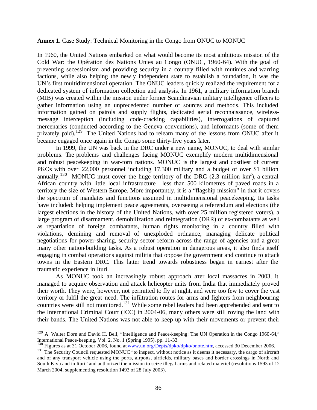**Annex 1.** Case Study: Technical Monitoring in the Congo from ONUC to MONUC

In 1960, the United Nations embarked on what would become its most ambitious mission of the Cold War: the Opération des Nations Unies au Congo (ONUC, 1960-64). With the goal of preventing secessionism and providing security in a country filled with mutinies and warring factions, while also helping the newly independent state to establish a foundation, it was the UN's first multidimensional operation. The ONUC leaders quickly realized the requirement for a dedicated system of information collection and analysis. In 1961, a military information branch (MIB) was created within the mission under former Scandinavian military intelligence officers to gather information using an unprecedented number of sources and methods. This included information gained on patrols and supply flights, dedicated aerial reconnaissance, wirelessmessage interception (including code-cracking capabilities), interrogations of captured mercenaries (conducted according to the Geneva conventions), and informants (some of them privately paid).<sup>129</sup> The United Nations had to relearn many of the lessons from ONUC after it became engaged once again in the Congo some thirty-five years later.

In 1999, the UN was back in the DRC under a new name, MONUC, to deal with similar problems. The problems and challenges facing MONUC exemplify modern multidimensional and robust peacekeeping in war-torn nations. MONUC is the largest and costliest of current PKOs with over 22,000 personnel including 17,300 military and a budget of over \$1 billion annually.<sup>130</sup> MONUC must cover the huge territory of the DRC (2.3 million km<sup>2</sup>), a central African country with little local infrastructure—less than 500 kilometres of paved roads in a territory the size of Western Europe. More importantly, it is a "flagship mission" in that it covers the spectrum of mandates and functions assumed in multidimensional peacekeeping. Its tasks have included: helping implement peace agreements, overseeing a referendum and elections (the largest elections in the history of the United Nations, with over 25 million registered voters), a large program of disarmament, demobilization and reintegration (DRR) of ex-combatants as well as repatriation of foreign combatants, human rights monitoring in a country filled with violations, demining and removal of unexploded ordnance, managing delicate political negotiations for power-sharing, security sector reform across the range of agencies and a great many other nation-building tasks. As a robust operation in dangerous areas, it also finds itself engaging in combat operations against militia that oppose the government and continue to attack towns in the Eastern DRC. This latter trend towards robustness began in earnest after the traumatic experience in Ituri.

As MONUC took an increasingly robust approach after local massacres in 2003, it managed to acquire observation and attack helicopter units from India that immediately proved their worth. They were, however, not permitted to fly at night, and were too few to cover the vast territory or fulfil the great need. The infiltration routes for arms and fighters from neighbouring countries were still not monitored.<sup>131</sup> While some rebel leaders had been apprehended and sent to the International Criminal Court (ICC) in 2004-06, many others were still roving the land with their bands. The United Nations was not able to keep up with their movements or prevent their

<sup>&</sup>lt;sup>129</sup> A. Walter Dorn and David H. Bell, "Intelligence and Peace-keeping: The UN Operation in the Congo 1960-64," International Peace-keeping, Vol. 2, No. 1 (Spring 1995), pp. 11-33.

<sup>&</sup>lt;sup>130</sup> Figures as at 31 October 2006, found at www.un.org/Depts/dpko/dpko/bnote.htm, accessed 30 December 2006.

<sup>&</sup>lt;sup>131</sup> The Security Council requested MONUC "to inspect, without notice as it deems it necessary, the cargo of aircraft and of any transport vehicle using the ports, airports, airfields, military bases and border crossings in North and South Kivu and in Ituri" and authorized the mission to seize illegal arms and related materiel (resolutions 1593 of 12 March 2004, supplementing resolution 1493 of 28 July 2003).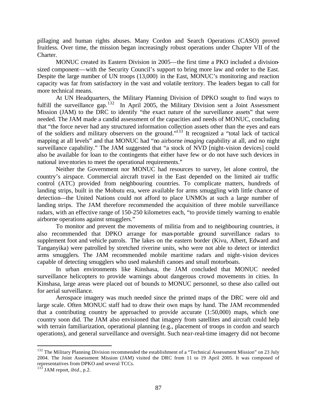pillaging and human rights abuses. Many Cordon and Search Operations (CASO) proved fruitless. Over time, the mission began increasingly robust operations under Chapter VII of the Charter.

MONUC created its Eastern Division in 2005—the first time a PKO included a divisionsized component—with the Security Council's support to bring more law and order to the East. Despite the large number of UN troops (13,000) in the East, MONUC's monitoring and reaction capacity was far from satisfactory in the vast and volatile territory. The leaders began to call for more technical means.

At UN Headquarters, the Military Planning Division of DPKO sought to find ways to fulfill the surveillance gap.<sup>132</sup> In April 2005, the Military Division sent a Joint Assessment Mission (JAM) to the DRC to identify "the exact nature of the surveillance assets" that were needed. The JAM made a candid assessment of the capacities and needs of MONUC, concluding that "the force never had any structured information collection assets other than the eyes and ears of the soldiers and military observers on the ground."<sup>133</sup> It recognized a "total lack of tactical mapping at all levels" and that MONUC had "no airborne *imaging* capability at all, and no night surveillance capability." The JAM suggested that "a stock of NVD [night-vision devices] could also be available for loan to the contingents that either have few or do not have such devices in national inventories to meet the operational requirements."

Neither the Government nor MONUC had resources to survey, let alone control, the country's airspace. Commercial aircraft travel in the East depended on the limited air traffic control (ATC) provided from neighbouring countries. To complicate matters, hundreds of landing strips, built in the Mobutu era, were available for arms smuggling with little chance of detection—the United Nations could not afford to place UNMOs at such a large number of landing strips. The JAM therefore recommended the acquisition of three mobile surveillance radars, with an effective range of 150-250 kilometres each, "to provide timely warning to enable airborne operations against smugglers."

To monitor and prevent the movements of militia from and to neighbouring countries, it also recommended that DPKO arrange for man-portable ground surveillance radars to supplement foot and vehicle patrols. The lakes on the eastern border (Kivu, Albert, Edward and Tanganyika) were patrolled by stretched riverine units, who were not able to detect or interdict arms smugglers. The JAM recommended mobile maritime radars and night-vision devices capable of detecting smugglers who used makeshift canoes and small motorboats.

In urban environments like Kinshasa, the JAM concluded that MONUC needed surveillance helicopters to provide warnings about dangerous crowd movements in cities. In Kinshasa, large areas were placed out of bounds to MONUC personnel, so these also called out for aerial surveillance.

Aerospace imagery was much needed since the printed maps of the DRC were old and large scale. Often MONUC staff had to draw their own maps by hand. The JAM recommended that a contributing country be approached to provide accurate (1:50,000) maps, which one country soon did. The JAM also envisioned that imagery from satellites and aircraft could help with terrain familiarization, operational planning (e.g., placement of troops in cordon and search operations), and general surveillance and oversight. Such near-real-time imagery did not become

 $132$  The Military Planning Division recommended the establishment of a "Technical Assessment Mission" on 23 July 2004. The Joint Assessment Mission (JAM) visited the DRC from 11 to 19 April 2005. It was composed of representatives from DPKO and several TCCs.

<sup>133</sup> JAM report, *ibid*., p.2.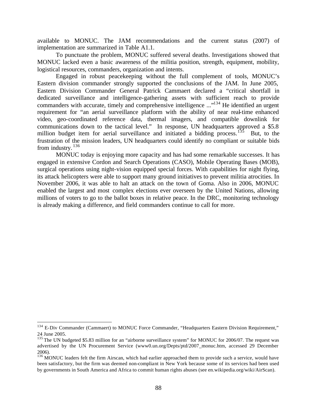available to MONUC. The JAM recommendations and the current status (2007) of implementation are summarized in Table A1.1.

To punctuate the problem, MONUC suffered several deaths. Investigations showed that MONUC lacked even a basic awareness of the militia position, strength, equipment, mobility, logistical resources, commanders, organization and intents.

Engaged in robust peacekeeping without the full complement of tools, MONUC's Eastern division commander strongly supported the conclusions of the JAM. In June 2005, Eastern Division Commander General Patrick Cammaert declared a "critical shortfall in dedicated surveillance and intelligence-gathering assets with sufficient reach to provide commanders with accurate, timely and comprehensive intelligence ..."<sup>134</sup> He identified an urgent requirement for "an aerial surveillance platform with the ability of near real-time enhanced video, geo-coordinated reference data, thermal imagers, and compatible downlink for communications down to the tactical level." In response, UN headquarters approved a \$5.8 million budget item for aerial surveillance and initiated a bidding process.<sup>135</sup> But, to the frustration of the mission leaders, UN headquarters could identify no compliant or suitable bids from industry.  $136$ 

MONUC today is enjoying more capacity and has had some remarkable successes. It has engaged in extensive Cordon and Search Operations (CASO), Mobile Operating Bases (MOB), surgical operations using night-vision equipped special forces. With capabilities for night flying, its attack helicopters were able to support many ground initiatives to prevent militia atrocities. In November 2006, it was able to halt an attack on the town of Goma. Also in 2006, MONUC enabled the largest and most complex elections ever overseen by the United Nations, allowing millions of voters to go to the ballot boxes in relative peace. In the DRC, monitoring technology is already making a difference, and field commanders continue to call for more.

<sup>&</sup>lt;sup>134</sup> E-Div Commander (Cammaert) to MONUC Force Commander, "Headquarters Eastern Division Requirement," 24 June 2005.

<sup>&</sup>lt;sup>135</sup> The UN budgeted \$5.83 million for an "airborne surveillance system" for MONUC for 2006/07. The request was advertised by the UN Procurement Service (www0.un.org/Depts/ptd/2007\_monuc.htm, accessed 29 December 2006).

 $136$  MONUC leaders felt the firm Airscan, which had earlier approached them to provide such a service, would have been satisfactory, but the firm was deemed non-compliant in New York because some of its services had been used by governments in South America and Africa to commit human rights abuses (see en.wikipedia.org/wiki/AirScan).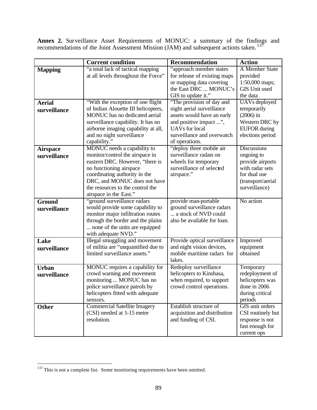**Annex 2.** Surveillance Asset Requirements of MONUC: a summary of the findings and recommendations of the Joint Assessment Mission (JAM) and subsequent actions taken.<sup>137</sup>

|                 | <b>Current condition</b>            | Recommendation               | <b>Action</b>        |  |
|-----------------|-------------------------------------|------------------------------|----------------------|--|
| <b>Mapping</b>  | "a total lack of tactical mapping   | "approach member states      | A Member State       |  |
|                 | at all levels throughout the Force" | for release of existing maps | provided             |  |
|                 |                                     | or mapping data covering     | 1:50,000 maps;       |  |
|                 |                                     | the East DRC  MONUC's        | <b>GIS Unit used</b> |  |
|                 |                                     | GIS to update it."           | the data             |  |
| <b>Aerial</b>   | "With the exception of one flight   | "The provision of day and    | <b>UAVs</b> deployed |  |
|                 | of Indian Alouette III helicopters, | night aerial surveillance    | temporarily          |  |
| surveillance    | MONUC has no dedicated aerial       |                              | $(2006)$ in          |  |
|                 |                                     | assets would have an early   |                      |  |
|                 | surveillance capability. It has no  | and positive impact ",       | Western DRC by       |  |
|                 | airborne imaging capability at all, | <b>UAVs</b> for local        | <b>EUFOR</b> during  |  |
|                 | and no night surveillance           | surveillance and overwatch   | elections period     |  |
|                 | capability."                        | of operations.               |                      |  |
| <b>Airspace</b> | MONUC needs a capability to         | "deploy three mobile air     | <b>Discussions</b>   |  |
| surveillance    | monitor/control the airspace in     | surveillance radars on       | ongoing to           |  |
|                 | eastern DRC. However, "there is     | wheels for temporary         | provide airports     |  |
|                 | no functioning airspace             | surveillance of selected     | with radar sets      |  |
|                 | coordinating authority in the       | airspace."                   | for dual use         |  |
|                 | DRC, and MONUC does not have        |                              | (transport/aerial    |  |
|                 | the resources to the control the    |                              | surveillance)        |  |
|                 | airspace in the East."              |                              |                      |  |
| Ground          | "ground surveillance radars         | provide man-portable         | No action            |  |
| surveillance    | would provide some capability to    | ground surveillance radars   |                      |  |
|                 | monitor major infiltration routes   | a stock of NVD could         |                      |  |
|                 | through the border and the plains   | also be available for loan.  |                      |  |
|                 | none of the units are equipped      |                              |                      |  |
|                 | with adequate NVD."                 |                              |                      |  |
| Lake            | Illegal smuggling and movement      | Provide optical surveillance | Improved             |  |
| surveillance    | of militia are "unquantified due to | and night vision devices,    | equipment            |  |
|                 | limited surveillance assets."       | mobile maritime radars for   | obtained             |  |
|                 |                                     | lakes.                       |                      |  |
| <b>Urban</b>    | MONUC requires a capability for     | Redeploy surveillance        | Temporary            |  |
| surveillance    | crowd warning and movement          | helicopters to Kinshasa,     | redeployment of      |  |
|                 | monitoring  MONUC has no            | when required, to support    | helicopters was      |  |
|                 | police surveillance patrols by      | crowd control operations.    | done in 2006         |  |
|                 | helicopters fitted with adequate    |                              | during critical      |  |
|                 | sensors.                            |                              | periods              |  |
| <b>Other</b>    | <b>Commercial Satellite Imagery</b> | Establish structure of       | GIS unit orders      |  |
|                 | (CSI) needed at 1-15 metre          | acquisition and distribution | CSI routinely but    |  |
|                 | resolution.                         | and funding of CSI.          | response is not      |  |
|                 |                                     |                              | fast enough for      |  |
|                 |                                     |                              | current ops          |  |

 $137$  This is not a complete list. Some monitoring requirements have been omitted.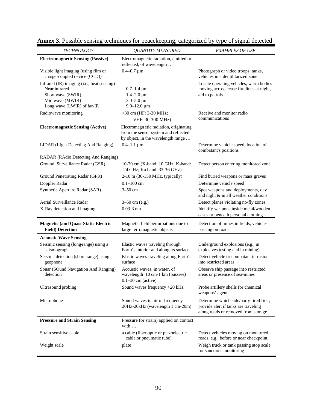| <b>TECHNOLOGY</b>                                                                                                                 | <b>QUANTITY MEASURED</b>                                                                                              | <b>EXAMPLES OF USE</b>                                                                                                 |  |
|-----------------------------------------------------------------------------------------------------------------------------------|-----------------------------------------------------------------------------------------------------------------------|------------------------------------------------------------------------------------------------------------------------|--|
| <b>Electromagnetic Sensing (Passive)</b>                                                                                          | Electromagnetic radiation, emitted or<br>reflected, of wavelength                                                     |                                                                                                                        |  |
| Visible light imaging (using film or<br>charge-coupled device (CCD))                                                              | $0.4 - 0.7 \,\mathrm{\upmu m}$                                                                                        | Photograph or video troops, tanks,<br>vehicles in a demilitarized zone                                                 |  |
| Infrared (IR) imaging (i.e., heat sensing)<br>Near infrared<br>Short wave (SWIR)<br>Mid wave (MWIR)<br>Long wave (LWIR) of far-IR | $0.7 - 1.4 \,\mu m$<br>$1.4 - 2.0 \,\mu m$<br>$3.0 - 5.0 \,\mu m$<br>$9.0 - 12.0 \,\mu m$                             | Locate operating vehicles, warm bodies<br>moving across cease-fire lines at night,<br>aid to patrols                   |  |
| Radiowave monitoring                                                                                                              | >30 cm (HF: 3-30 MHz;<br>VHF: 30-300 MHz)                                                                             | Receive and monitor radio<br>communications                                                                            |  |
| <b>Electromagnetic Sensing (Active)</b>                                                                                           | Electromagn etic radiation, originating<br>from the sensor system and reflected<br>by object, in the wavelength range |                                                                                                                        |  |
| LIDAR (LIght Detecting And Ranging)                                                                                               | $0.4 - 1.1 \mu m$                                                                                                     | Determine vehicle speed, location of<br>combatant's positions                                                          |  |
| RADAR (RAdio Detecting And Ranging)                                                                                               |                                                                                                                       |                                                                                                                        |  |
| Ground Surveillance Radar (GSR)                                                                                                   | 10-30 cm (X-band: 10 GHz; K-band:<br>24 GHz; Ka band: 33-36 GHz)                                                      | Detect person entering monitored zone                                                                                  |  |
| Ground Penetrating Radar (GPR)                                                                                                    | 2-10 m (30-150 MHz, typically)                                                                                        | Find buried weapons or mass graves                                                                                     |  |
| Doppler Radar                                                                                                                     | $0.1 - 100$ cm                                                                                                        | Determine vehicle speed                                                                                                |  |
| Synthetic Aperture Radar (SAR)                                                                                                    | $3-50$ cm                                                                                                             | Spot weapons and deployments, day<br>and night & in all weather conditions                                             |  |
| Aerial Surveillance Radar                                                                                                         | 3-50 cm (e.g.)                                                                                                        | Detect planes violating no-fly zones                                                                                   |  |
| X-Ray detection and imaging                                                                                                       | $0.03 - 3$ nm                                                                                                         | Identify weapons inside metal/wooden<br>cases or beneath personal clothing                                             |  |
| <b>Magnetic (and Quasi-Static Electric</b><br><b>Field)</b> Detection                                                             | Magnetic field perturbations due to<br>large ferromagnetic objects                                                    | Detection of mines in fields; vehicles<br>passing on roads                                                             |  |
| <b>Acoustic Wave Sensing</b>                                                                                                      |                                                                                                                       |                                                                                                                        |  |
| Seismic sensing (long-range) using a<br>seismograph                                                                               | Elastic waves traveling through<br>Earth's interior and along its surface                                             | Underground explosions (e.g., in<br>explosives testing and in mining)                                                  |  |
| Seismic detection (short-range) using a<br>geophone                                                                               | Elastic waves traveling along Earth's<br>surface                                                                      | Detect vehicle or combatant intrusion<br>into restricted areas                                                         |  |
| Sonar (SOund Navigation And Ranging)<br>detection                                                                                 | Acoustic waves, in water, of<br>wavelength 10 cm-1 km (passive)<br>$0.1 - 30$ cm (active)                             | Observe ship passage into restricted<br>areas or presence of sea-mines                                                 |  |
| Ultrasound probing                                                                                                                | Sound waves frequency >20 kHz                                                                                         | Probe artillery shells for chemical<br>weapons' agents                                                                 |  |
| Microphone                                                                                                                        | Sound waves in air of frequency<br>20Hz-20kHz (wavelength 1 cm-20m)                                                   | Determine which side/party fired first;<br>provide alert if tanks are traveling<br>along roads or removed from storage |  |
| <b>Pressure and Strain Sensing</b>                                                                                                | Pressure (or strain) applied on contact<br>with $\ldots$                                                              |                                                                                                                        |  |
| Strain sensitive cable                                                                                                            | a cable (fiber optic or piezoelectric<br>cable or pneumatic tube)                                                     | Detect vehicles moving on monitored<br>roads, e.g., before or near checkpoint                                          |  |
| Weight scale                                                                                                                      | plate                                                                                                                 | Weigh truck or tank passing atop scale<br>for sanctions monitoring                                                     |  |

|  |  | Annex 3. Possible sensing techniques for peacekeeping, categorized by type of signal detected |  |  |
|--|--|-----------------------------------------------------------------------------------------------|--|--|
|  |  |                                                                                               |  |  |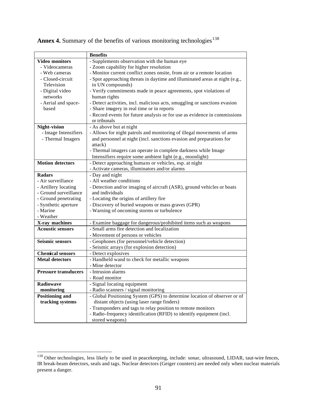|                             | <b>Benefits</b>                                                             |
|-----------------------------|-----------------------------------------------------------------------------|
| <b>Video monitors</b>       | - Supplements observation with the human eye                                |
| - Videocameras              | - Zoom capability for higher resolution                                     |
| - Web cameras               | - Monitor current conflict zones onsite, from air or a remote location      |
| - Closed-circuit            | - Spot approaching threats in daytime and illuminated areas at night (e.g., |
| Television                  | in UN compounds)                                                            |
| - Digital video             | - Verify commitments made in peace agreements, spot violations of           |
| networks                    | human rights                                                                |
| - Aerial and space-         | - Detect activities, incl. malicious acts, smuggling or sanctions evasion   |
| based                       | - Share imagery in real time or in reports                                  |
|                             | - Record events for future analysis or for use as evidence in commissions   |
|                             | or tribunals                                                                |
| Night-vision                | - As above but at night                                                     |
| - Image Intensifiers        | - Allows for night patrols and monitoring of illegal movements of arms      |
| - Thermal Imagers           | and personnel at night (incl. sanctions evasion and preparations for        |
|                             | attack)                                                                     |
|                             | - Thermal imagers can operate in complete darkness while Image              |
|                             | Intensifiers require some ambient light (e.g., moonlight)                   |
| <b>Motion detectors</b>     | - Detect approaching humans or vehicles, esp. at night                      |
|                             | - Activate cameras, illuminators and/or alarms                              |
| <b>Radars</b>               | - Day and night                                                             |
| - Air surveillance          | - All weather conditions                                                    |
| - Artillery locating        | - Detection and/or imaging of aircraft (ASR), ground vehicles or boats      |
| - Ground surveillance       | and individuals                                                             |
| - Ground penetrating        | - Locating the origins of artillery fire                                    |
| - Synthetic aperture        | - Discovery of buried weapons or mass graves (GPR)                          |
| - Marine                    | - Warning of oncoming storms or turbulence                                  |
| - Weather                   |                                                                             |
| X-ray machines              | - Examine baggage for dangerous/prohibited items such as weapons            |
| <b>Acoustic sensors</b>     | - Small arms fire detection and localization                                |
|                             | - Movement of persons or vehicles                                           |
| <b>Seismic sensors</b>      | - Geophones (for personnel/vehicle detection)                               |
|                             | - Seismic arrays (for explosion detection)                                  |
| <b>Chemical sensors</b>     | - Detect explosives                                                         |
| <b>Metal detectors</b>      | - Handheld wand to check for metallic weapons                               |
|                             | - Mine detector                                                             |
| <b>Pressure transducers</b> | - Intrusion alarms                                                          |
|                             | - Road monitor                                                              |
| <b>Radiowave</b>            | -Signal locating equipment                                                  |
| monitoring                  | - Radio scanners / signal monitoring                                        |
| <b>Positioning and</b>      | - Global Positioning System (GPS) to determine location of observer or of   |
| tracking systems            | distant objects (using laser range finders)                                 |
|                             | - Transponders and tags to relay position to remote monitors                |
|                             | - Radio-frequency identification (RFID) to identify equipment (incl.        |
|                             | stored weapons)                                                             |

Annex 4. Summary of the benefits of various monitoring technologies<sup>138</sup>

<sup>&</sup>lt;sup>138</sup> Other technologies, less likely to be used in peacekeeping, include: sonar, ultrasound, LIDAR, taut-wire fences, IR break-beam detectors, seals and tags. Nuclear detectors (Geiger counters) are needed only when nuclear materials present a danger.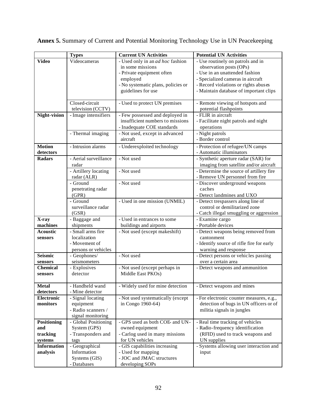|                    | <b>Types</b>          | <b>Current UN Activities</b>            | <b>Potential UN Activities</b>            |
|--------------------|-----------------------|-----------------------------------------|-------------------------------------------|
| <b>Video</b>       | Videocameras          | - Used only in an <i>ad hoc</i> fashion | - Use routinely on patrols and in         |
|                    |                       | in some missions                        | observation posts (OPs)                   |
|                    |                       | - Private equipment often               | - Use in an unattended fashion            |
|                    |                       | employed                                | - Specialized cameras in aircraft         |
|                    |                       | - No systematic plans, policies or      | - Record violations or rights abuses      |
|                    |                       | guidelines for use                      | - Maintain database of important clips    |
|                    |                       |                                         |                                           |
|                    | Closed-circuit        | - Used to protect UN premises           | - Remote viewing of hotspots and          |
|                    | television (CCTV)     |                                         | potential flashpoints                     |
| Night-vision       | - Image intensifiers  | - Few possessed and deployed in         | - FLIR in aircraft                        |
|                    |                       | insufficient numbers to missions        | - Facilitate night patrols and night      |
|                    |                       | - Inadequate COE standards              | operations                                |
|                    | - Thermal imaging     | - Not used, except in advanced          | - Night patrols                           |
|                    |                       | aircraft                                | - Border control                          |
| <b>Motion</b>      | - Intrusion alarms    | - Underexploited technology             | - Protection of refugee/UN camps          |
| detectors          |                       |                                         | - Automatic illuminators                  |
| <b>Radars</b>      | - Aerial surveillance | - Not used                              | - Synthetic aperture radar (SAR) for      |
|                    | radar                 |                                         | imaging from satellite and/or aircraft    |
|                    | - Artillery locating  | - Not used                              | - Determine the source of artillery fire  |
|                    | radar (ALR)           |                                         | - Remove UN personnel from fire           |
|                    | - Ground              | - Not used                              | - Discover underground weapons            |
|                    | penetrating radar     |                                         | caches                                    |
|                    | (GPR)                 |                                         | - Detect landmines and UXO                |
|                    | - Ground              | - Used in one mission (UNMIL)           | - Detect trespassers along line of        |
|                    | surveillance radar    |                                         | control or demilitarized zone             |
|                    | (GSR)                 |                                         | - Catch illegal smuggling or aggression   |
| X-ray              | - Baggage and         | - Used in entrances to some             | - Examine cargo                           |
| machines           | shipments             | buildings and airports                  | - Portable devices                        |
| <b>Acoustic</b>    | - Small arms fire     | - Not used (except makeshift)           | - Detect weapons being removed from       |
| sensors            | localization          |                                         | cantonment                                |
|                    | - Movement of         |                                         | - Identify source of rifle fire for early |
|                    | persons or vehicles   |                                         | warning and response                      |
| <b>Seismic</b>     | - Geophones/          | - Not used                              | - Detect persons or vehicles passing      |
| sensors            | seismometers          |                                         | over a certain area                       |
| <b>Chemical</b>    | - Explosives          | - Not used (except perhaps in           | - Detect weapons and ammunition           |
| sensors            | detector              | Middle East PKOs)                       |                                           |
|                    |                       |                                         |                                           |
| <b>Metal</b>       | - Handheld wand       | - Widely used for mine detection        | - Detect weapons and mines                |
| detectors          | - Mine detector       |                                         |                                           |
| <b>Electronic</b>  | - Signal locating     | - Not used systematically (except       | - For electronic counter measures, e.g.,  |
| monitors           | equipment             | in Congo 1960-64)                       | detection of bugs in UN officers or of    |
|                    | - Radio scanners /    |                                         | militia signals in jungles                |
|                    | signal monitoring     |                                         |                                           |
| <b>Positioning</b> | - Global Positioning  | - GPS used as both COE- and UN-         | - Real time tracking of vehicles          |
| and                | System (GPS)          | owned equipment                         | - Radio-frequency identification          |
| tracking           | - Transponders and    | - Carlog used in many missions          | (RFID) used to track weapons and          |
| systems            | tags                  | for UN vehicles                         | UN supplies                               |
| <b>Information</b> | - Geographical        | - GIS capabilities increasing           | - Systems allowing user interaction and   |
| analysis           | Information           | - Used for mapping                      | input                                     |
|                    | Systems (GIS)         | - JOC and JMAC structures               |                                           |
|                    | - Databases           | developing SOPs                         |                                           |

**Annex 5.** Summary of Current and Potential Monitoring Technology Use in UN Peacekeeping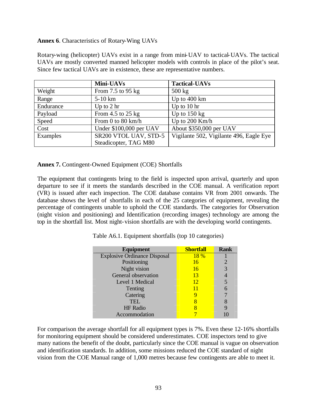## **Annex 6**. Characteristics of Rotary-Wing UAVs

Rotary-wing (helicopter) UAVs exist in a range from mini-UAV to tactical-UAVs. The tactical UAVs are mostly converted manned helicopter models with controls in place of the pilot's seat. Since few tactical UAVs are in existence, these are representative numbers.

|           | Mini-UAVs               | <b>Tactical-UAVs</b>                    |
|-----------|-------------------------|-----------------------------------------|
| Weight    | From $7.5$ to $95$ kg   | $500 \text{ kg}$                        |
| Range     | $5-10$ km               | Up to 400 km                            |
| Endurance | Up to $2 \text{ hr}$    | Up to $10 \text{ hr}$                   |
| Payload   | From $4.5$ to $25$ kg   | Up to $150 \text{ kg}$                  |
| Speed     | From $0$ to $80$ km/h   | Up to 200 Km/h                          |
| Cost      | Under \$100,000 per UAV | About \$350,000 per UAV                 |
| Examples  | SR200 VTOL UAV, STD-5   | Vigilante 502, Vigilante 496, Eagle Eye |
|           | Steadicopter, TAG M80   |                                         |

**Annex 7.** Contingent-Owned Equipment (COE) Shortfalls

The equipment that contingents bring to the field is inspected upon arrival, quarterly and upon departure to see if it meets the standards described in the COE manual. A verification report (VR) is issued after each inspection. The COE database contains VR from 2001 onwards. The database shows the level of shortfalls in each of the 25 categories of equipment, revealing the percentage of contingents unable to uphold the COE standards. The categories for Observation (night vision and positioning) and Identification (recording images) technology are among the top in the shortfall list. Most night-vision shortfalls are with the developing world contingents.

| <b>Equipment</b>                    | <b>Shortfall</b> | <b>Rank</b> |
|-------------------------------------|------------------|-------------|
| <b>Explosive Ordinance Disposal</b> | <b>18</b> %      |             |
| Positioning                         | 16               | 2           |
| Night vision                        | 16               | 3           |
| General observation                 | 13               |             |
| Level 1 Medical                     | 12               | 5           |
| Tenting                             | 11               |             |
| Catering                            |                  |             |
| <b>TEL</b>                          |                  |             |
| <b>HF</b> Radio                     |                  |             |
| Accommodation                       |                  |             |

Table A6.1. Equipment shortfalls (top 10 categories)

For comparison the average shortfall for all equipment types is 7%. Even these 12-16% shortfalls for monitoring equipment should be considered underestimates. COE inspectors tend to give many nations the benefit of the doubt, particularly since the COE manual is vague on observation and identification standards. In addition, some missions reduced the COE standard of night vision from the COE Manual range of 1,000 metres because few contingents are able to meet it.